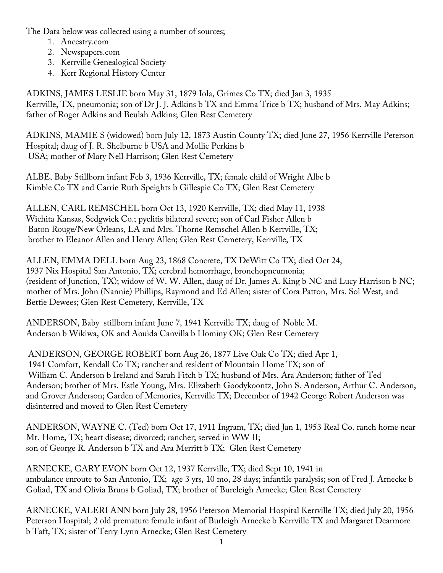The Data below was collected using a number of sources;

- 1. Ancestry.com
- 2. Newspapers.com
- 3. Kerrville Genealogical Society
- 4. Kerr Regional History Center

ADKINS, JAMES LESLIE born May 31, 1879 Iola, Grimes Co TX; died Jan 3, 1935 Kerrville, TX, pneumonia; son of Dr J. J. Adkins b TX and Emma Trice b TX; husband of Mrs. May Adkins; father of Roger Adkins and Beulah Adkins; Glen Rest Cemetery

ADKINS, MAMIE S (widowed) born July 12, 1873 Austin County TX; died June 27, 1956 Kerrville Peterson Hospital; daug of J. R. Shelburne b USA and Mollie Perkins b USA; mother of Mary Nell Harrison; Glen Rest Cemetery

ALBE, Baby Stillborn infant Feb 3, 1936 Kerrville, TX; female child of Wright Albe b Kimble Co TX and Carrie Ruth Speights b Gillespie Co TX; Glen Rest Cemetery

ALLEN, CARL REMSCHEL born Oct 13, 1920 Kerrville, TX; died May 11, 1938 Wichita Kansas, Sedgwick Co.; pyelitis bilateral severe; son of Carl Fisher Allen b Baton Rouge/New Orleans, LA and Mrs. Thorne Remschel Allen b Kerrville, TX; brother to Eleanor Allen and Henry Allen; Glen Rest Cemetery, Kerrville, TX

ALLEN, EMMA DELL born Aug 23, 1868 Concrete, TX DeWitt Co TX; died Oct 24, 1937 Nix Hospital San Antonio, TX; cerebral hemorrhage, bronchopneumonia; (resident of Junction, TX); widow of W. W. Allen, daug of Dr. James A. King b NC and Lucy Harrison b NC; mother of Mrs. John (Nannie) Phillips, Raymond and Ed Allen; sister of Cora Patton, Mrs. Sol West, and Bettie Dewees; Glen Rest Cemetery, Kerrville, TX

ANDERSON, Baby stillborn infant June 7, 1941 Kerrville TX; daug of Noble M. Anderson b Wikiwa, OK and Aouida Canvilla b Hominy OK; Glen Rest Cemetery

ANDERSON, GEORGE ROBERT born Aug 26, 1877 Live Oak Co TX; died Apr 1, 1941 Comfort, Kendall Co TX; rancher and resident of Mountain Home TX; son of William C. Anderson b Ireland and Sarah Fitch b TX; husband of Mrs. Ara Anderson; father of Ted Anderson; brother of Mrs. Estle Young, Mrs. Elizabeth Goodykoontz, John S. Anderson, Arthur C. Anderson, and Grover Anderson; Garden of Memories, Kerrville TX; December of 1942 George Robert Anderson was disinterred and moved to Glen Rest Cemetery

ANDERSON, WAYNE C. (Ted) born Oct 17, 1911 Ingram, TX; died Jan 1, 1953 Real Co. ranch home near Mt. Home, TX; heart disease; divorced; rancher; served in WW II; son of George R. Anderson b TX and Ara Merritt b TX; Glen Rest Cemetery

ARNECKE, GARY EVON born Oct 12, 1937 Kerrville, TX; died Sept 10, 1941 in ambulance enroute to San Antonio, TX; age 3 yrs, 10 mo, 28 days; infantile paralysis; son of Fred J. Arnecke b Goliad, TX and Olivia Bruns b Goliad, TX; brother of Bureleigh Arnecke; Glen Rest Cemetery

ARNECKE, VALERI ANN born July 28, 1956 Peterson Memorial Hospital Kerrville TX; died July 20, 1956 Peterson Hospital; 2 old premature female infant of Burleigh Arnecke b Kerrville TX and Margaret Dearmore b Taft, TX; sister of Terry Lynn Arnecke; Glen Rest Cemetery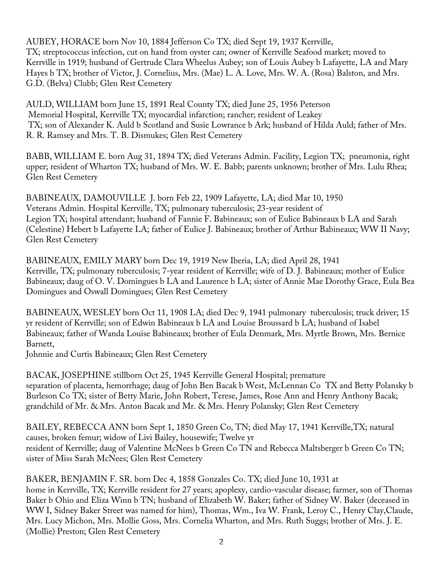AUBEY, HORACE born Nov 10, 1884 Jefferson Co TX; died Sept 19, 1937 Kerrville, TX; streptococcus infection, cut on hand from oyster can; owner of Kerrville Seafood market; moved to Kerrville in 1919; husband of Gertrude Clara Wheelus Aubey; son of Louis Aubey b Lafayette, LA and Mary Hayes b TX; brother of Victor, J. Cornelius, Mrs. (Mae) L. A. Love, Mrs. W. A. (Rosa) Balston, and Mrs. G.D. (Belva) Clubb; Glen Rest Cemetery

AULD, WILLIAM born June 15, 1891 Real County TX; died June 25, 1956 Peterson Memorial Hospital, Kerrville TX; myocardial infarction; rancher; resident of Leakey TX; son of Alexander K. Auld b Scotland and Susie Lowrance b Ark; husband of Hilda Auld; father of Mrs. R. R. Ramsey and Mrs. T. B. Dismukes; Glen Rest Cemetery

BABB, WILLIAM E. born Aug 31, 1894 TX; died Veterans Admin. Facility, Legion TX; pneumonia, right upper; resident of Wharton TX; husband of Mrs. W. E. Babb; parents unknown; brother of Mrs. Lulu Rhea; Glen Rest Cemetery

BABINEAUX, DAMOUVILLE J. born Feb 22, 1909 Lafayette, LA; died Mar 10, 1950 Veterans Admin. Hospital Kerrville, TX; pulmonary tuberculosis; 23-year resident of Legion TX; hospital attendant; husband of Fannie F. Babineaux; son of Eulice Babineaux b LA and Sarah (Celestine) Hebert b Lafayette LA; father of Eulice J. Babineaux; brother of Arthur Babineaux; WW II Navy; Glen Rest Cemetery

BABINEAUX, EMILY MARY born Dec 19, 1919 New Iberia, LA; died April 28, 1941 Kerrville, TX; pulmonary tuberculosis; 7-year resident of Kerrville; wife of D. J. Babineaux; mother of Eulice Babineaux; daug of O. V. Domingues b LA and Laurence b LA; sister of Annie Mae Dorothy Grace, Eula Bea Domingues and Oswall Domingues; Glen Rest Cemetery

BABINEAUX, WESLEY born Oct 11, 1908 LA; died Dec 9, 1941 pulmonary tuberculosis; truck driver; 15 yr resident of Kerrville; son of Edwin Babineaux b LA and Louise Broussard b LA; husband of Isabel Babineaux; father of Wanda Louise Babineaux; brother of Eula Denmark, Mrs. Myrtle Brown, Mrs. Bernice Barnett,

Johnnie and Curtis Babineaux; Glen Rest Cemetery

BACAK, JOSEPHINE stillborn Oct 25, 1945 Kerrville General Hospital; premature separation of placenta, hemorrhage; daug of John Ben Bacak b West, McLennan Co TX and Betty Polansky b Burleson Co TX; sister of Betty Marie, John Robert, Terese, James, Rose Ann and Henry Anthony Bacak; grandchild of Mr. & Mrs. Anton Bacak and Mr. & Mrs. Henry Polansky; Glen Rest Cemetery

BAILEY, REBECCA ANN born Sept 1, 1850 Green Co, TN; died May 17, 1941 Kerrville,TX; natural causes, broken femur; widow of Livi Bailey, housewife; Twelve yr resident of Kerrville; daug of Valentine McNees b Green Co TN and Rebecca Maltsberger b Green Co TN; sister of Miss Sarah McNees; Glen Rest Cemetery

BAKER, BENJAMIN F. SR. born Dec 4, 1858 Gonzales Co. TX; died June 10, 1931 at

home in Kerrville, TX; Kerrville resident for 27 years; apoplexy, cardio-vascular disease; farmer, son of Thomas Baker b Ohio and Eliza Winn b TN; husband of Elizabeth W. Baker; father of Sidney W. Baker (deceased in WW I, Sidney Baker Street was named for him), Thomas, Wm., Iva W. Frank, Leroy C., Henry Clay,Claude, Mrs. Lucy Michon, Mrs. Mollie Goss, Mrs. Cornelia Wharton, and Mrs. Ruth Suggs; brother of Mrs. J. E. (Mollie) Preston; Glen Rest Cemetery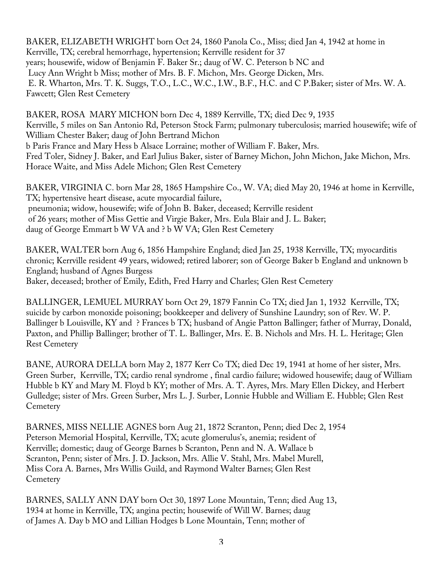BAKER, ELIZABETH WRIGHT born Oct 24, 1860 Panola Co., Miss; died Jan 4, 1942 at home in Kerrville, TX; cerebral hemorrhage, hypertension; Kerrville resident for 37 years; housewife, widow of Benjamin F. Baker Sr.; daug of W. C. Peterson b NC and Lucy Ann Wright b Miss; mother of Mrs. B. F. Michon, Mrs. George Dicken, Mrs. E. R. Wharton, Mrs. T. K. Suggs, T.O., L.C., W.C., I.W., B.F., H.C. and C P.Baker; sister of Mrs. W. A. Fawcett; Glen Rest Cemetery

BAKER, ROSA MARY MICHON born Dec 4, 1889 Kerrville, TX; died Dec 9, 1935 Kerrville, 5 miles on San Antonio Rd, Peterson Stock Farm; pulmonary tuberculosis; married housewife; wife of William Chester Baker; daug of John Bertrand Michon b Paris France and Mary Hess b Alsace Lorraine; mother of William F. Baker, Mrs. Fred Toler, Sidney J. Baker, and Earl Julius Baker, sister of Barney Michon, John Michon, Jake Michon, Mrs. Horace Waite, and Miss Adele Michon; Glen Rest Cemetery

BAKER, VIRGINIA C. born Mar 28, 1865 Hampshire Co., W. VA; died May 20, 1946 at home in Kerrville, TX; hypertensive heart disease, acute myocardial failure, pneumonia; widow, housewife; wife of John B. Baker, deceased; Kerrville resident of 26 years; mother of Miss Gettie and Virgie Baker, Mrs. Eula Blair and J. L. Baker; daug of George Emmart b W VA and ? b W VA; Glen Rest Cemetery

BAKER, WALTER born Aug 6, 1856 Hampshire England; died Jan 25, 1938 Kerrville, TX; myocarditis chronic; Kerrville resident 49 years, widowed; retired laborer; son of George Baker b England and unknown b England; husband of Agnes Burgess

Baker, deceased; brother of Emily, Edith, Fred Harry and Charles; Glen Rest Cemetery

BALLINGER, LEMUEL MURRAY born Oct 29, 1879 Fannin Co TX; died Jan 1, 1932 Kerrville, TX; suicide by carbon monoxide poisoning; bookkeeper and delivery of Sunshine Laundry; son of Rev. W. P. Ballinger b Louisville, KY and ? Frances b TX; husband of Angie Patton Ballinger; father of Murray, Donald, Paxton, and Phillip Ballinger; brother of T. L. Ballinger, Mrs. E. B. Nichols and Mrs. H. L. Heritage; Glen Rest Cemetery

BANE, AURORA DELLA born May 2, 1877 Kerr Co TX; died Dec 19, 1941 at home of her sister, Mrs. Green Surber, Kerrville, TX; cardio renal syndrome , final cardio failure; widowed housewife; daug of William Hubble b KY and Mary M. Floyd b KY; mother of Mrs. A. T. Ayres, Mrs. Mary Ellen Dickey, and Herbert Gulledge; sister of Mrs. Green Surber, Mrs L. J. Surber, Lonnie Hubble and William E. Hubble; Glen Rest **Cemetery** 

BARNES, MISS NELLIE AGNES born Aug 21, 1872 Scranton, Penn; died Dec 2, 1954 Peterson Memorial Hospital, Kerrville, TX; acute glomerulus's, anemia; resident of Kerrville; domestic; daug of George Barnes b Scranton, Penn and N. A. Wallace b Scranton, Penn; sister of Mrs. J. D. Jackson, Mrs. Allie V. Stahl, Mrs. Mabel Murell, Miss Cora A. Barnes, Mrs Willis Guild, and Raymond Walter Barnes; Glen Rest **Cemetery** 

BARNES, SALLY ANN DAY born Oct 30, 1897 Lone Mountain, Tenn; died Aug 13, 1934 at home in Kerrville, TX; angina pectin; housewife of Will W. Barnes; daug of James A. Day b MO and Lillian Hodges b Lone Mountain, Tenn; mother of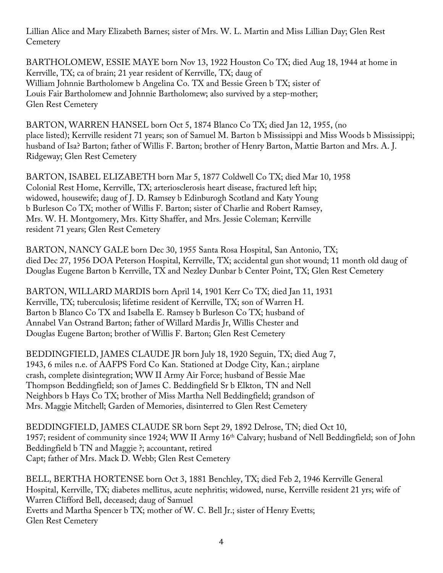Lillian Alice and Mary Elizabeth Barnes; sister of Mrs. W. L. Martin and Miss Lillian Day; Glen Rest **Cemetery** 

BARTHOLOMEW, ESSIE MAYE born Nov 13, 1922 Houston Co TX; died Aug 18, 1944 at home in Kerrville, TX; ca of brain; 21 year resident of Kerrville, TX; daug of William Johnnie Bartholomew b Angelina Co. TX and Bessie Green b TX; sister of Louis Fair Bartholomew and Johnnie Bartholomew; also survived by a step-mother; Glen Rest Cemetery

BARTON, WARREN HANSEL born Oct 5, 1874 Blanco Co TX; died Jan 12, 1955, (no place listed); Kerrville resident 71 years; son of Samuel M. Barton b Mississippi and Miss Woods b Mississippi; husband of Isa? Barton; father of Willis F. Barton; brother of Henry Barton, Mattie Barton and Mrs. A. J. Ridgeway; Glen Rest Cemetery

BARTON, ISABEL ELIZABETH born Mar 5, 1877 Coldwell Co TX; died Mar 10, 1958 Colonial Rest Home, Kerrville, TX; arteriosclerosis heart disease, fractured left hip; widowed, housewife; daug of J. D. Ramsey b Edinburogh Scotland and Katy Young b Burleson Co TX; mother of Willis F. Barton; sister of Charlie and Robert Ramsey, Mrs. W. H. Montgomery, Mrs. Kitty Shaffer, and Mrs. Jessie Coleman; Kerrville resident 71 years; Glen Rest Cemetery

BARTON, NANCY GALE born Dec 30, 1955 Santa Rosa Hospital, San Antonio, TX; died Dec 27, 1956 DOA Peterson Hospital, Kerrville, TX; accidental gun shot wound; 11 month old daug of Douglas Eugene Barton b Kerrville, TX and Nezley Dunbar b Center Point, TX; Glen Rest Cemetery

BARTON, WILLARD MARDIS born April 14, 1901 Kerr Co TX; died Jan 11, 1931 Kerrville, TX; tuberculosis; lifetime resident of Kerrville, TX; son of Warren H. Barton b Blanco Co TX and Isabella E. Ramsey b Burleson Co TX; husband of Annabel Van Ostrand Barton; father of Willard Mardis Jr, Willis Chester and Douglas Eugene Barton; brother of Willis F. Barton; Glen Rest Cemetery

BEDDINGFIELD, JAMES CLAUDE JR born July 18, 1920 Seguin, TX; died Aug 7, 1943, 6 miles n.e. of AAFPS Ford Co Kan. Stationed at Dodge City, Kan.; airplane crash, complete disintegration; WW II Army Air Force; husband of Bessie Mae Thompson Beddingfield; son of James C. Beddingfield Sr b Elkton, TN and Nell Neighbors b Hays Co TX; brother of Miss Martha Nell Beddingfield; grandson of Mrs. Maggie Mitchell; Garden of Memories, disinterred to Glen Rest Cemetery

BEDDINGFIELD, JAMES CLAUDE SR born Sept 29, 1892 Delrose, TN; died Oct 10, 1957; resident of community since 1924; WW II Army 16<sup>th</sup> Calvary; husband of Nell Beddingfield; son of John Beddingfield b TN and Maggie ?; accountant, retired Capt; father of Mrs. Mack D. Webb; Glen Rest Cemetery

BELL, BERTHA HORTENSE born Oct 3, 1881 Benchley, TX; died Feb 2, 1946 Kerrville General Hospital, Kerrville, TX; diabetes mellitus, acute nephritis; widowed, nurse, Kerrville resident 21 yrs; wife of Warren Clifford Bell, deceased; daug of Samuel Evetts and Martha Spencer b TX; mother of W. C. Bell Jr.; sister of Henry Evetts; Glen Rest Cemetery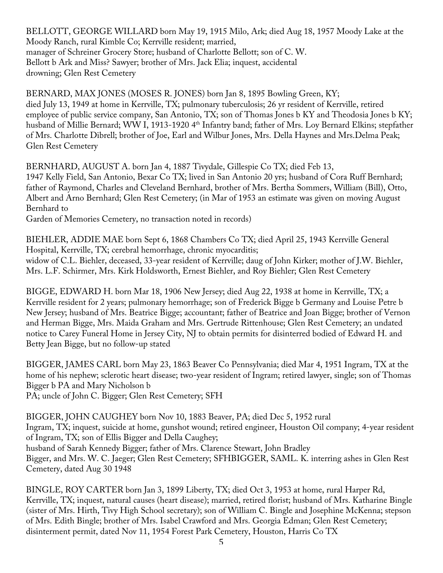BELLOTT, GEORGE WILLARD born May 19, 1915 Milo, Ark; died Aug 18, 1957 Moody Lake at the Moody Ranch, rural Kimble Co; Kerrville resident; married, manager of Schreiner Grocery Store; husband of Charlotte Bellott; son of C. W. Bellott b Ark and Miss? Sawyer; brother of Mrs. Jack Elia; inquest, accidental drowning; Glen Rest Cemetery

BERNARD, MAX JONES (MOSES R. JONES) born Jan 8, 1895 Bowling Green, KY; died July 13, 1949 at home in Kerrville, TX; pulmonary tuberculosis; 26 yr resident of Kerrville, retired employee of public service company, San Antonio, TX; son of Thomas Jones b KY and Theodosia Jones b KY; husband of Millie Bernard; WW I, 1913-1920 4<sup>th</sup> Infantry band; father of Mrs. Loy Bernard Elkins; stepfather of Mrs. Charlotte Dibrell; brother of Joe, Earl and Wilbur Jones, Mrs. Della Haynes and Mrs.Delma Peak; Glen Rest Cemetery

BERNHARD, AUGUST A. born Jan 4, 1887 Tivydale, Gillespie Co TX; died Feb 13, 1947 Kelly Field, San Antonio, Bexar Co TX; lived in San Antonio 20 yrs; husband of Cora Ruff Bernhard; father of Raymond, Charles and Cleveland Bernhard, brother of Mrs. Bertha Sommers, William (Bill), Otto, Albert and Arno Bernhard; Glen Rest Cemetery; (in Mar of 1953 an estimate was given on moving August Bernhard to

Garden of Memories Cemetery, no transaction noted in records)

BIEHLER, ADDIE MAE born Sept 6, 1868 Chambers Co TX; died April 25, 1943 Kerrville General Hospital, Kerrville, TX; cerebral hemorrhage, chronic myocarditis; widow of C.L. Biehler, deceased, 33-year resident of Kerrville; daug of John Kirker; mother of J.W. Biehler, Mrs. L.F. Schirmer, Mrs. Kirk Holdsworth, Ernest Biehler, and Roy Biehler; Glen Rest Cemetery

BIGGE, EDWARD H. born Mar 18, 1906 New Jersey; died Aug 22, 1938 at home in Kerrville, TX; a Kerrville resident for 2 years; pulmonary hemorrhage; son of Frederick Bigge b Germany and Louise Petre b New Jersey; husband of Mrs. Beatrice Bigge; accountant; father of Beatrice and Joan Bigge; brother of Vernon and Herman Bigge, Mrs. Maida Graham and Mrs. Gertrude Rittenhouse; Glen Rest Cemetery; an undated notice to Carey Funeral Home in Jersey City, NJ to obtain permits for disinterred bodied of Edward H. and Betty Jean Bigge, but no follow-up stated

BIGGER, JAMES CARL born May 23, 1863 Beaver Co Pennsylvania; died Mar 4, 1951 Ingram, TX at the home of his nephew; sclerotic heart disease; two-year resident of Ingram; retired lawyer, single; son of Thomas Bigger b PA and Mary Nicholson b

PA; uncle of John C. Bigger; Glen Rest Cemetery; SFH

BIGGER, JOHN CAUGHEY born Nov 10, 1883 Beaver, PA; died Dec 5, 1952 rural Ingram, TX; inquest, suicide at home, gunshot wound; retired engineer, Houston Oil company; 4-year resident of Ingram, TX; son of Ellis Bigger and Della Caughey; husband of Sarah Kennedy Bigger; father of Mrs. Clarence Stewart, John Bradley Bigger, and Mrs. W. C. Jaeger; Glen Rest Cemetery; SFHBIGGER, SAML. K. interring ashes in Glen Rest Cemetery, dated Aug 30 1948

BINGLE, ROY CARTER born Jan 3, 1899 Liberty, TX; died Oct 3, 1953 at home, rural Harper Rd, Kerrville, TX; inquest, natural causes (heart disease); married, retired florist; husband of Mrs. Katharine Bingle (sister of Mrs. Hirth, Tivy High School secretary); son of William C. Bingle and Josephine McKenna; stepson of Mrs. Edith Bingle; brother of Mrs. Isabel Crawford and Mrs. Georgia Edman; Glen Rest Cemetery; disinterment permit, dated Nov 11, 1954 Forest Park Cemetery, Houston, Harris Co TX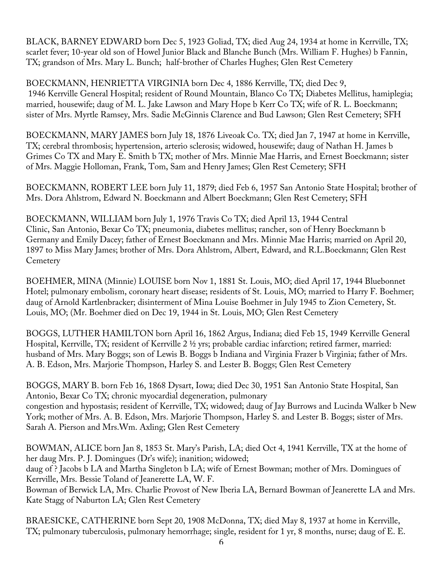BLACK, BARNEY EDWARD born Dec 5, 1923 Goliad, TX; died Aug 24, 1934 at home in Kerrville, TX; scarlet fever; 10-year old son of Howel Junior Black and Blanche Bunch (Mrs. William F. Hughes) b Fannin, TX; grandson of Mrs. Mary L. Bunch; half-brother of Charles Hughes; Glen Rest Cemetery

BOECKMANN, HENRIETTA VIRGINIA born Dec 4, 1886 Kerrville, TX; died Dec 9, 1946 Kerrville General Hospital; resident of Round Mountain, Blanco Co TX; Diabetes Mellitus, hamiplegia; married, housewife; daug of M. L. Jake Lawson and Mary Hope b Kerr Co TX; wife of R. L. Boeckmann; sister of Mrs. Myrtle Ramsey, Mrs. Sadie McGinnis Clarence and Bud Lawson; Glen Rest Cemetery; SFH

BOECKMANN, MARY JAMES born July 18, 1876 Liveoak Co. TX; died Jan 7, 1947 at home in Kerrville, TX; cerebral thrombosis; hypertension, arterio sclerosis; widowed, housewife; daug of Nathan H. James b Grimes Co TX and Mary E. Smith b TX; mother of Mrs. Minnie Mae Harris, and Ernest Boeckmann; sister of Mrs. Maggie Holloman, Frank, Tom, Sam and Henry James; Glen Rest Cemetery; SFH

BOECKMANN, ROBERT LEE born July 11, 1879; died Feb 6, 1957 San Antonio State Hospital; brother of Mrs. Dora Ahlstrom, Edward N. Boeckmann and Albert Boeckmann; Glen Rest Cemetery; SFH

BOECKMANN, WILLIAM born July 1, 1976 Travis Co TX; died April 13, 1944 Central Clinic, San Antonio, Bexar Co TX; pneumonia, diabetes mellitus; rancher, son of Henry Boeckmann b Germany and Emily Dacey; father of Ernest Boeckmann and Mrs. Minnie Mae Harris; married on April 20, 1897 to Miss Mary James; brother of Mrs. Dora Ahlstrom, Albert, Edward, and R.L.Boeckmann; Glen Rest **Cemetery** 

BOEHMER, MINA (Minnie) LOUISE born Nov 1, 1881 St. Louis, MO; died April 17, 1944 Bluebonnet Hotel; pulmonary embolism, coronary heart disease; residents of St. Louis, MO; married to Harry F. Boehmer; daug of Arnold Kartlenbracker; disinterment of Mina Louise Boehmer in July 1945 to Zion Cemetery, St. Louis, MO; (Mr. Boehmer died on Dec 19, 1944 in St. Louis, MO; Glen Rest Cemetery

BOGGS, LUTHER HAMILTON born April 16, 1862 Argus, Indiana; died Feb 15, 1949 Kerrville General Hospital, Kerrville, TX; resident of Kerrville 2 ½ yrs; probable cardiac infarction; retired farmer, married: husband of Mrs. Mary Boggs; son of Lewis B. Boggs b Indiana and Virginia Frazer b Virginia; father of Mrs. A. B. Edson, Mrs. Marjorie Thompson, Harley S. and Lester B. Boggs; Glen Rest Cemetery

BOGGS, MARY B. born Feb 16, 1868 Dysart, Iowa; died Dec 30, 1951 San Antonio State Hospital, San Antonio, Bexar Co TX; chronic myocardial degeneration, pulmonary congestion and hypostasis; resident of Kerrville, TX; widowed; daug of Jay Burrows and Lucinda Walker b New York; mother of Mrs. A. B. Edson, Mrs. Marjorie Thompson, Harley S. and Lester B. Boggs; sister of Mrs. Sarah A. Pierson and Mrs.Wm. Axling; Glen Rest Cemetery

BOWMAN, ALICE born Jan 8, 1853 St. Mary's Parish, LA; died Oct 4, 1941 Kerrville, TX at the home of her daug Mrs. P. J. Domingues (Dr's wife); inanition; widowed; daug of ? Jacobs b LA and Martha Singleton b LA; wife of Ernest Bowman; mother of Mrs. Domingues of Kerrville, Mrs. Bessie Toland of Jeanerette LA, W. F. Bowman of Berwick LA, Mrs. Charlie Provost of New Iberia LA, Bernard Bowman of Jeanerette LA and Mrs.

Kate Stagg of Naburton LA; Glen Rest Cemetery

BRAESICKE, CATHERINE born Sept 20, 1908 McDonna, TX; died May 8, 1937 at home in Kerrville, TX; pulmonary tuberculosis, pulmonary hemorrhage; single, resident for 1 yr, 8 months, nurse; daug of E. E.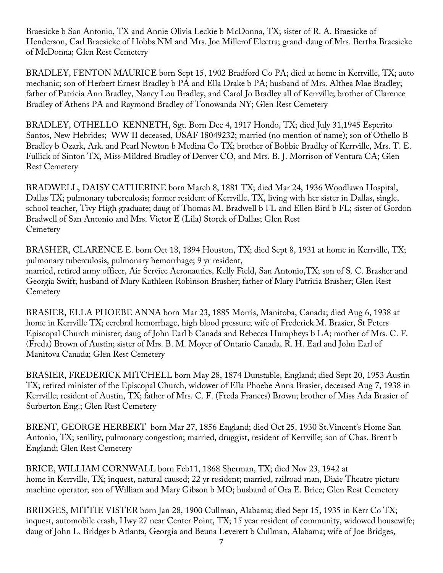Braesicke b San Antonio, TX and Annie Olivia Leckie b McDonna, TX; sister of R. A. Braesicke of Henderson, Carl Braesicke of Hobbs NM and Mrs. Joe Millerof Electra; grand-daug of Mrs. Bertha Braesicke of McDonna; Glen Rest Cemetery

BRADLEY, FENTON MAURICE born Sept 15, 1902 Bradford Co PA; died at home in Kerrville, TX; auto mechanic; son of Herbert Ernest Bradley b PA and Ella Drake b PA; husband of Mrs. Althea Mae Bradley; father of Patricia Ann Bradley, Nancy Lou Bradley, and Carol Jo Bradley all of Kerrville; brother of Clarence Bradley of Athens PA and Raymond Bradley of Tonowanda NY; Glen Rest Cemetery

BRADLEY, OTHELLO KENNETH, Sgt. Born Dec 4, 1917 Hondo, TX; died July 31,1945 Esperito Santos, New Hebrides; WW II deceased, USAF 18049232; married (no mention of name); son of Othello B Bradley b Ozark, Ark. and Pearl Newton b Medina Co TX; brother of Bobbie Bradley of Kerrville, Mrs. T. E. Fullick of Sinton TX, Miss Mildred Bradley of Denver CO, and Mrs. B. J. Morrison of Ventura CA; Glen Rest Cemetery

BRADWELL, DAISY CATHERINE born March 8, 1881 TX; died Mar 24, 1936 Woodlawn Hospital, Dallas TX; pulmonary tuberculosis; former resident of Kerrville, TX, living with her sister in Dallas, single, school teacher, Tivy High graduate; daug of Thomas M. Bradwell b FL and Ellen Bird b FL; sister of Gordon Bradwell of San Antonio and Mrs. Victor E (Lila) Storck of Dallas; Glen Rest **Cemetery** 

BRASHER, CLARENCE E. born Oct 18, 1894 Houston, TX; died Sept 8, 1931 at home in Kerrville, TX; pulmonary tuberculosis, pulmonary hemorrhage; 9 yr resident, married, retired army officer, Air Service Aeronautics, Kelly Field, San Antonio,TX; son of S. C. Brasher and Georgia Swift; husband of Mary Kathleen Robinson Brasher; father of Mary Patricia Brasher; Glen Rest **Cemetery** 

BRASIER, ELLA PHOEBE ANNA born Mar 23, 1885 Morris, Manitoba, Canada; died Aug 6, 1938 at home in Kerrville TX; cerebral hemorrhage, high blood pressure; wife of Frederick M. Brasier, St Peters Episcopal Church minister; daug of John Earl b Canada and Rebecca Humpheys b LA; mother of Mrs. C. F. (Freda) Brown of Austin; sister of Mrs. B. M. Moyer of Ontario Canada, R. H. Earl and John Earl of Manitova Canada; Glen Rest Cemetery

BRASIER, FREDERICK MITCHELL born May 28, 1874 Dunstable, England; died Sept 20, 1953 Austin TX; retired minister of the Episcopal Church, widower of Ella Phoebe Anna Brasier, deceased Aug 7, 1938 in Kerrville; resident of Austin, TX; father of Mrs. C. F. (Freda Frances) Brown; brother of Miss Ada Brasier of Surberton Eng.; Glen Rest Cemetery

BRENT, GEORGE HERBERT born Mar 27, 1856 England; died Oct 25, 1930 St.Vincent's Home San Antonio, TX; senility, pulmonary congestion; married, druggist, resident of Kerrville; son of Chas. Brent b England; Glen Rest Cemetery

BRICE, WILLIAM CORNWALL born Feb11, 1868 Sherman, TX; died Nov 23, 1942 at home in Kerrville, TX; inquest, natural caused; 22 yr resident; married, railroad man, Dixie Theatre picture machine operator; son of William and Mary Gibson b MO; husband of Ora E. Brice; Glen Rest Cemetery

BRIDGES, MITTIE VISTER born Jan 28, 1900 Cullman, Alabama; died Sept 15, 1935 in Kerr Co TX; inquest, automobile crash, Hwy 27 near Center Point, TX; 15 year resident of community, widowed housewife; daug of John L. Bridges b Atlanta, Georgia and Beuna Leverett b Cullman, Alabama; wife of Joe Bridges,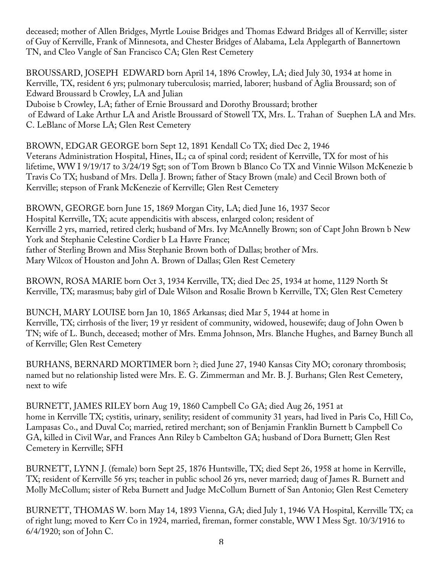deceased; mother of Allen Bridges, Myrtle Louise Bridges and Thomas Edward Bridges all of Kerrville; sister of Guy of Kerrville, Frank of Minnesota, and Chester Bridges of Alabama, Lela Applegarth of Bannertown TN, and Cleo Vangle of San Francisco CA; Glen Rest Cemetery

BROUSSARD, JOSEPH EDWARD born April 14, 1896 Crowley, LA; died July 30, 1934 at home in Kerrville, TX, resident 6 yrs; pulmonary tuberculosis; married, laborer; husband of Aglia Broussard; son of Edward Broussard b Crowley, LA and Julian Duboise b Crowley, LA; father of Ernie Broussard and Dorothy Broussard; brother of Edward of Lake Arthur LA and Aristle Broussard of Stowell TX, Mrs. L. Trahan of Suephen LA and Mrs. C. LeBlanc of Morse LA; Glen Rest Cemetery

BROWN, EDGAR GEORGE born Sept 12, 1891 Kendall Co TX; died Dec 2, 1946 Veterans Administration Hospital, Hines, IL; ca of spinal cord; resident of Kerrville, TX for most of his lifetime, WW I 9/19/17 to 3/24/19 Sgt; son of Tom Brown b Blanco Co TX and Vinnie Wilson McKenezie b Travis Co TX; husband of Mrs. Della J. Brown; father of Stacy Brown (male) and Cecil Brown both of Kerrville; stepson of Frank McKenezie of Kerrville; Glen Rest Cemetery

BROWN, GEORGE born June 15, 1869 Morgan City, LA; died June 16, 1937 Secor Hospital Kerrville, TX; acute appendicitis with abscess, enlarged colon; resident of Kerrville 2 yrs, married, retired clerk; husband of Mrs. Ivy McAnnelly Brown; son of Capt John Brown b New York and Stephanie Celestine Cordier b La Havre France; father of Sterling Brown and Miss Stephanie Brown both of Dallas; brother of Mrs. Mary Wilcox of Houston and John A. Brown of Dallas; Glen Rest Cemetery

BROWN, ROSA MARIE born Oct 3, 1934 Kerrville, TX; died Dec 25, 1934 at home, 1129 North St Kerrville, TX; marasmus; baby girl of Dale Wilson and Rosalie Brown b Kerrville, TX; Glen Rest Cemetery

BUNCH, MARY LOUISE born Jan 10, 1865 Arkansas; died Mar 5, 1944 at home in Kerrville, TX; cirrhosis of the liver; 19 yr resident of community, widowed, housewife; daug of John Owen b TN; wife of L. Bunch, deceased; mother of Mrs. Emma Johnson, Mrs. Blanche Hughes, and Barney Bunch all of Kerrville; Glen Rest Cemetery

BURHANS, BERNARD MORTIMER born ?; died June 27, 1940 Kansas City MO; coronary thrombosis; named but no relationship listed were Mrs. E. G. Zimmerman and Mr. B. J. Burhans; Glen Rest Cemetery, next to wife

BURNETT, JAMES RILEY born Aug 19, 1860 Campbell Co GA; died Aug 26, 1951 at home in Kerrville TX; cystitis, urinary, senility; resident of community 31 years, had lived in Paris Co, Hill Co, Lampasas Co., and Duval Co; married, retired merchant; son of Benjamin Franklin Burnett b Campbell Co GA, killed in Civil War, and Frances Ann Riley b Cambelton GA; husband of Dora Burnett; Glen Rest Cemetery in Kerrville; SFH

BURNETT, LYNN J. (female) born Sept 25, 1876 Huntsville, TX; died Sept 26, 1958 at home in Kerrville, TX; resident of Kerrville 56 yrs; teacher in public school 26 yrs, never married; daug of James R. Burnett and Molly McCollum; sister of Reba Burnett and Judge McCollum Burnett of San Antonio; Glen Rest Cemetery

BURNETT, THOMAS W. born May 14, 1893 Vienna, GA; died July 1, 1946 VA Hospital, Kerrville TX; ca of right lung; moved to Kerr Co in 1924, married, fireman, former constable, WW I Mess Sgt. 10/3/1916 to 6/4/1920; son of John C.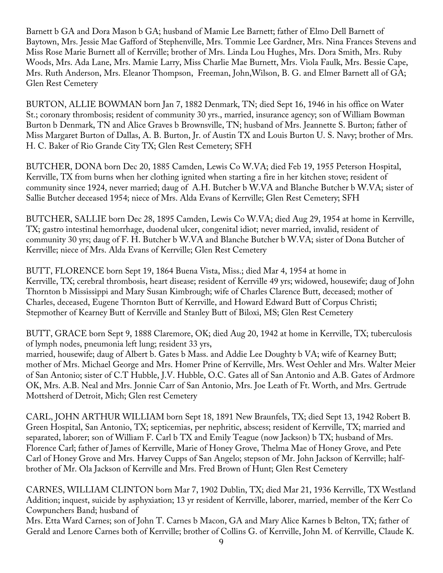Barnett b GA and Dora Mason b GA; husband of Mamie Lee Barnett; father of Elmo Dell Barnett of Baytown, Mrs. Jessie Mae Gafford of Stephenville, Mrs. Tommie Lee Gardner, Mrs. Nina Frances Stevens and Miss Rose Marie Burnett all of Kerrville; brother of Mrs. Linda Lou Hughes, Mrs. Dora Smith, Mrs. Ruby Woods, Mrs. Ada Lane, Mrs. Mamie Larry, Miss Charlie Mae Burnett, Mrs. Viola Faulk, Mrs. Bessie Cape, Mrs. Ruth Anderson, Mrs. Eleanor Thompson, Freeman, John,Wilson, B. G. and Elmer Barnett all of GA; Glen Rest Cemetery

BURTON, ALLIE BOWMAN born Jan 7, 1882 Denmark, TN; died Sept 16, 1946 in his office on Water St.; coronary thrombosis; resident of community 30 yrs., married, insurance agency; son of William Bowman Burton b Denmark, TN and Alice Graves b Brownsville, TN; husband of Mrs. Jeannette S. Burton; father of Miss Margaret Burton of Dallas, A. B. Burton, Jr. of Austin TX and Louis Burton U. S. Navy; brother of Mrs. H. C. Baker of Rio Grande City TX; Glen Rest Cemetery; SFH

BUTCHER, DONA born Dec 20, 1885 Camden, Lewis Co W.VA; died Feb 19, 1955 Peterson Hospital, Kerrville, TX from burns when her clothing ignited when starting a fire in her kitchen stove; resident of community since 1924, never married; daug of A.H. Butcher b W.VA and Blanche Butcher b W.VA; sister of Sallie Butcher deceased 1954; niece of Mrs. Alda Evans of Kerrville; Glen Rest Cemetery; SFH

BUTCHER, SALLIE born Dec 28, 1895 Camden, Lewis Co W.VA; died Aug 29, 1954 at home in Kerrville, TX; gastro intestinal hemorrhage, duodenal ulcer, congenital idiot; never married, invalid, resident of community 30 yrs; daug of F. H. Butcher b W.VA and Blanche Butcher b W.VA; sister of Dona Butcher of Kerrville; niece of Mrs. Alda Evans of Kerrville; Glen Rest Cemetery

BUTT, FLORENCE born Sept 19, 1864 Buena Vista, Miss.; died Mar 4, 1954 at home in Kerrville, TX; cerebral thrombosis, heart disease; resident of Kerrville 49 yrs; widowed, housewife; daug of John Thornton b Mississippi and Mary Susan Kimbrough; wife of Charles Clarence Butt, deceased; mother of Charles, deceased, Eugene Thornton Butt of Kerrville, and Howard Edward Butt of Corpus Christi; Stepmother of Kearney Butt of Kerrville and Stanley Butt of Biloxi, MS; Glen Rest Cemetery

BUTT, GRACE born Sept 9, 1888 Claremore, OK; died Aug 20, 1942 at home in Kerrville, TX; tuberculosis of lymph nodes, pneumonia left lung; resident 33 yrs, married, housewife; daug of Albert b. Gates b Mass. and Addie Lee Doughty b VA; wife of Kearney Butt; mother of Mrs. Michael George and Mrs. Homer Prine of Kerrville, Mrs. West Oehler and Mrs. Walter Meier of San Antonio; sister of C.T Hubble, J.V. Hubble, O.C. Gates all of San Antonio and A.B. Gates of Ardmore OK, Mrs. A.B. Neal and Mrs. Jonnie Carr of San Antonio, Mrs. Joe Leath of Ft. Worth, and Mrs. Gertrude Mottsherd of Detroit, Mich; Glen rest Cemetery

CARL, JOHN ARTHUR WILLIAM born Sept 18, 1891 New Braunfels, TX; died Sept 13, 1942 Robert B. Green Hospital, San Antonio, TX; septicemias, per nephritic, abscess; resident of Kerrville, TX; married and separated, laborer; son of William F. Carl b TX and Emily Teague (now Jackson) b TX; husband of Mrs. Florence Carl; father of James of Kerrville, Marie of Honey Grove, Thelma Mae of Honey Grove, and Pete Carl of Honey Grove and Mrs. Harvey Cupps of San Angelo; stepson of Mr. John Jackson of Kerrville; halfbrother of Mr. Ola Jackson of Kerrville and Mrs. Fred Brown of Hunt; Glen Rest Cemetery

CARNES, WILLIAM CLINTON born Mar 7, 1902 Dublin, TX; died Mar 21, 1936 Kerrville, TX Westland Addition; inquest, suicide by asphyxiation; 13 yr resident of Kerrville, laborer, married, member of the Kerr Co Cowpunchers Band; husband of

Mrs. Etta Ward Carnes; son of John T. Carnes b Macon, GA and Mary Alice Karnes b Belton, TX; father of Gerald and Lenore Carnes both of Kerrville; brother of Collins G. of Kerrville, John M. of Kerrville, Claude K.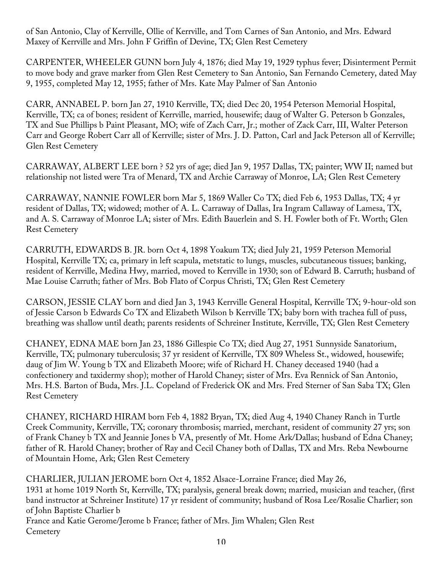of San Antonio, Clay of Kerrville, Ollie of Kerrville, and Tom Carnes of San Antonio, and Mrs. Edward Maxey of Kerrville and Mrs. John F Griffin of Devine, TX; Glen Rest Cemetery

CARPENTER, WHEELER GUNN born July 4, 1876; died May 19, 1929 typhus fever; Disinterment Permit to move body and grave marker from Glen Rest Cemetery to San Antonio, San Fernando Cemetery, dated May 9, 1955, completed May 12, 1955; father of Mrs. Kate May Palmer of San Antonio

CARR, ANNABEL P. born Jan 27, 1910 Kerrville, TX; died Dec 20, 1954 Peterson Memorial Hospital, Kerrville, TX; ca of bones; resident of Kerrville, married, housewife; daug of Walter G. Peterson b Gonzales, TX and Sue Phillips b Paint Pleasant, MO; wife of Zach Carr, Jr.; mother of Zack Carr, III, Walter Peterson Carr and George Robert Carr all of Kerrville; sister of Mrs. J. D. Patton, Carl and Jack Peterson all of Kerrville; Glen Rest Cemetery

CARRAWAY, ALBERT LEE born ? 52 yrs of age; died Jan 9, 1957 Dallas, TX; painter; WW II; named but relationship not listed were Tra of Menard, TX and Archie Carraway of Monroe, LA; Glen Rest Cemetery

CARRAWAY, NANNIE FOWLER born Mar 5, 1869 Waller Co TX; died Feb 6, 1953 Dallas, TX; 4 yr resident of Dallas, TX; widowed; mother of A. L. Carraway of Dallas, Ira Ingram Callaway of Lamesa, TX, and A. S. Carraway of Monroe LA; sister of Mrs. Edith Bauerlein and S. H. Fowler both of Ft. Worth; Glen Rest Cemetery

CARRUTH, EDWARDS B. JR. born Oct 4, 1898 Yoakum TX; died July 21, 1959 Peterson Memorial Hospital, Kerrville TX; ca, primary in left scapula, metstatic to lungs, muscles, subcutaneous tissues; banking, resident of Kerrville, Medina Hwy, married, moved to Kerrville in 1930; son of Edward B. Carruth; husband of Mae Louise Carruth; father of Mrs. Bob Flato of Corpus Christi, TX; Glen Rest Cemetery

CARSON, JESSIE CLAY born and died Jan 3, 1943 Kerrville General Hospital, Kerrville TX; 9-hour-old son of Jessie Carson b Edwards Co TX and Elizabeth Wilson b Kerrville TX; baby born with trachea full of puss, breathing was shallow until death; parents residents of Schreiner Institute, Kerrville, TX; Glen Rest Cemetery

CHANEY, EDNA MAE born Jan 23, 1886 Gillespie Co TX; died Aug 27, 1951 Sunnyside Sanatorium, Kerrville, TX; pulmonary tuberculosis; 37 yr resident of Kerrville, TX 809 Wheless St., widowed, housewife; daug of Jim W. Young b TX and Elizabeth Moore; wife of Richard H. Chaney deceased 1940 (had a confectionery and taxidermy shop); mother of Harold Chaney; sister of Mrs. Eva Rennick of San Antonio, Mrs. H.S. Barton of Buda, Mrs. J.L. Copeland of Frederick OK and Mrs. Fred Sterner of San Saba TX; Glen Rest Cemetery

CHANEY, RICHARD HIRAM born Feb 4, 1882 Bryan, TX; died Aug 4, 1940 Chaney Ranch in Turtle Creek Community, Kerrville, TX; coronary thrombosis; married, merchant, resident of community 27 yrs; son of Frank Chaney b TX and Jeannie Jones b VA, presently of Mt. Home Ark/Dallas; husband of Edna Chaney; father of R. Harold Chaney; brother of Ray and Cecil Chaney both of Dallas, TX and Mrs. Reba Newbourne of Mountain Home, Ark; Glen Rest Cemetery

CHARLIER, JULIAN JEROME born Oct 4, 1852 Alsace-Lorraine France; died May 26, 1931 at home 1019 North St, Kerrville, TX; paralysis, general break down; married, musician and teacher, (first band instructor at Schreiner Institute) 17 yr resident of community; husband of Rosa Lee/Rosalie Charlier; son of John Baptiste Charlier b

France and Katie Gerome/Jerome b France; father of Mrs. Jim Whalen; Glen Rest **Cemetery**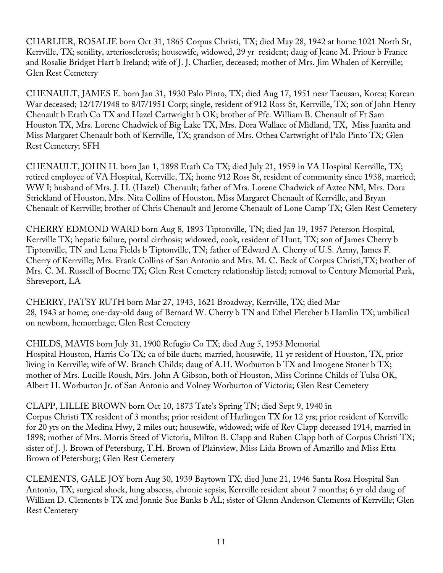CHARLIER, ROSALIE born Oct 31, 1865 Corpus Christi, TX; died May 28, 1942 at home 1021 North St, Kerrville, TX; senility, arteriosclerosis; housewife, widowed, 29 yr resident; daug of Jeane M. Priour b France and Rosalie Bridget Hart b Ireland; wife of J. J. Charlier, deceased; mother of Mrs. Jim Whalen of Kerrville; Glen Rest Cemetery

CHENAULT, JAMES E. born Jan 31, 1930 Palo Pinto, TX; died Aug 17, 1951 near Taeusan, Korea; Korean War deceased; 12/17/1948 to 8/l7/1951 Corp; single, resident of 912 Ross St, Kerrville, TX; son of John Henry Chenault b Erath Co TX and Hazel Cartwright b OK; brother of Pfc. William B. Chenault of Ft Sam Houston TX, Mrs. Lorene Chadwick of Big Lake TX, Mrs. Dora Wallace of Midland, TX, Miss Juanita and Miss Margaret Chenault both of Kerrville, TX; grandson of Mrs. Othea Cartwright of Palo Pinto TX; Glen Rest Cemetery; SFH

CHENAULT, JOHN H. born Jan 1, 1898 Erath Co TX; died July 21, 1959 in VA Hospital Kerrville, TX; retired employee of VA Hospital, Kerrville, TX; home 912 Ross St, resident of community since 1938, married; WW I; husband of Mrs. J. H. (Hazel) Chenault; father of Mrs. Lorene Chadwick of Aztec NM, Mrs. Dora Strickland of Houston, Mrs. Nita Collins of Houston, Miss Margaret Chenault of Kerrville, and Bryan Chenault of Kerrville; brother of Chris Chenault and Jerome Chenault of Lone Camp TX; Glen Rest Cemetery

CHERRY EDMOND WARD born Aug 8, 1893 Tiptonville, TN; died Jan 19, 1957 Peterson Hospital, Kerrville TX; hepatic failure, portal cirrhosis; widowed, cook, resident of Hunt, TX; son of James Cherry b Tiptonville, TN and Lena Fields b Tiptonville, TN; father of Edward A. Cherry of U.S. Army, James F. Cherry of Kerrville; Mrs. Frank Collins of San Antonio and Mrs. M. C. Beck of Corpus Christi,TX; brother of Mrs. C. M. Russell of Boerne TX; Glen Rest Cemetery relationship listed; removal to Century Memorial Park, Shreveport, LA

CHERRY, PATSY RUTH born Mar 27, 1943, 1621 Broadway, Kerrville, TX; died Mar 28, 1943 at home; one-day-old daug of Bernard W. Cherry b TN and Ethel Fletcher b Hamlin TX; umbilical on newborn, hemorrhage; Glen Rest Cemetery

CHILDS, MAVIS born July 31, 1900 Refugio Co TX; died Aug 5, 1953 Memorial Hospital Houston, Harris Co TX; ca of bile ducts; married, housewife, 11 yr resident of Houston, TX, prior living in Kerrville; wife of W. Branch Childs; daug of A.H. Worburton b TX and Imogene Stoner b TX; mother of Mrs. Lucille Roush, Mrs. John A Gibson, both of Houston, Miss Corinne Childs of Tulsa OK, Albert H. Worburton Jr. of San Antonio and Volney Worburton of Victoria; Glen Rest Cemetery

CLAPP, LILLIE BROWN born Oct 10, 1873 Tate's Spring TN; died Sept 9, 1940 in Corpus Christi TX resident of 3 months; prior resident of Harlingen TX for 12 yrs; prior resident of Kerrville for 20 yrs on the Medina Hwy, 2 miles out; housewife, widowed; wife of Rev Clapp deceased 1914, married in 1898; mother of Mrs. Morris Steed of Victoria, Milton B. Clapp and Ruben Clapp both of Corpus Christi TX; sister of J. J. Brown of Petersburg, T.H. Brown of Plainview, Miss Lida Brown of Amarillo and Miss Etta Brown of Petersburg; Glen Rest Cemetery

CLEMENTS, GALE JOY born Aug 30, 1939 Baytown TX; died June 21, 1946 Santa Rosa Hospital San Antonio, TX; surgical shock, lung abscess, chronic sepsis; Kerrville resident about 7 months; 6 yr old daug of William D. Clements b TX and Jonnie Sue Banks b AL; sister of Glenn Anderson Clements of Kerrville; Glen Rest Cemetery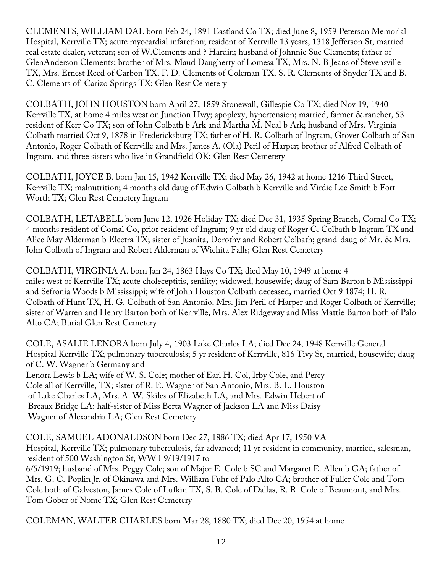CLEMENTS, WILLIAM DAL born Feb 24, 1891 Eastland Co TX; died June 8, 1959 Peterson Memorial Hospital, Kerrville TX; acute myocardial infarction; resident of Kerrville 13 years, 1318 Jefferson St, married real estate dealer, veteran; son of W.Clements and ? Hardin; husband of Johnnie Sue Clements; father of GlenAnderson Clements; brother of Mrs. Maud Daugherty of Lomesa TX, Mrs. N. B Jeans of Stevensville TX, Mrs. Ernest Reed of Carbon TX, F. D. Clements of Coleman TX, S. R. Clements of Snyder TX and B. C. Clements of Carizo Springs TX; Glen Rest Cemetery

COLBATH, JOHN HOUSTON born April 27, 1859 Stonewall, Gillespie Co TX; died Nov 19, 1940 Kerrville TX, at home 4 miles west on Junction Hwy; apoplexy, hypertension; married, farmer & rancher, 53 resident of Kerr Co TX; son of John Colbath b Ark and Martha M. Neal b Ark; husband of Mrs. Virginia Colbath married Oct 9, 1878 in Fredericksburg TX; father of H. R. Colbath of Ingram, Grover Colbath of San Antonio, Roger Colbath of Kerrville and Mrs. James A. (Ola) Peril of Harper; brother of Alfred Colbath of Ingram, and three sisters who live in Grandfield OK; Glen Rest Cemetery

COLBATH, JOYCE B. born Jan 15, 1942 Kerrville TX; died May 26, 1942 at home 1216 Third Street, Kerrville TX; malnutrition; 4 months old daug of Edwin Colbath b Kerrville and Virdie Lee Smith b Fort Worth TX; Glen Rest Cemetery Ingram

COLBATH, LETABELL born June 12, 1926 Holiday TX; died Dec 31, 1935 Spring Branch, Comal Co TX; 4 months resident of Comal Co, prior resident of Ingram; 9 yr old daug of Roger C. Colbath b Ingram TX and Alice May Alderman b Electra TX; sister of Juanita, Dorothy and Robert Colbath; grand-daug of Mr. & Mrs. John Colbath of Ingram and Robert Alderman of Wichita Falls; Glen Rest Cemetery

COLBATH, VIRGINIA A. born Jan 24, 1863 Hays Co TX; died May 10, 1949 at home 4 miles west of Kerrville TX; acute choleceptitis, senility; widowed, housewife; daug of Sam Barton b Mississippi and Sefronia Woods b Mississippi; wife of John Houston Colbath deceased, married Oct 9 1874; H. R. Colbath of Hunt TX, H. G. Colbath of San Antonio, Mrs. Jim Peril of Harper and Roger Colbath of Kerrville; sister of Warren and Henry Barton both of Kerrville, Mrs. Alex Ridgeway and Miss Mattie Barton both of Palo Alto CA; Burial Glen Rest Cemetery

COLE, ASALIE LENORA born July 4, 1903 Lake Charles LA; died Dec 24, 1948 Kerrville General Hospital Kerrville TX; pulmonary tuberculosis; 5 yr resident of Kerrville, 816 Tivy St, married, housewife; daug of C. W. Wagner b Germany and Lenora Lewis b LA; wife of W. S. Cole; mother of Earl H. Col, Irby Cole, and Percy Cole all of Kerrville, TX; sister of R. E. Wagner of San Antonio, Mrs. B. L. Houston of Lake Charles LA, Mrs. A. W. Skiles of Elizabeth LA, and Mrs. Edwin Hebert of Breaux Bridge LA; half-sister of Miss Berta Wagner of Jackson LA and Miss Daisy Wagner of Alexandria LA; Glen Rest Cemetery

COLE, SAMUEL ADONALDSON born Dec 27, 1886 TX; died Apr 17, 1950 VA Hospital, Kerrville TX; pulmonary tuberculosis, far advanced; 11 yr resident in community, married, salesman, resident of 500 Washington St, WW I 9/19/1917 to 6/5/1919; husband of Mrs. Peggy Cole; son of Major E. Cole b SC and Margaret E. Allen b GA; father of Mrs. G. C. Poplin Jr. of Okinawa and Mrs. William Fuhr of Palo Alto CA; brother of Fuller Cole and Tom Cole both of Galveston, James Cole of Lufkin TX, S. B. Cole of Dallas, R. R. Cole of Beaumont, and Mrs. Tom Gober of Nome TX; Glen Rest Cemetery

COLEMAN, WALTER CHARLES born Mar 28, 1880 TX; died Dec 20, 1954 at home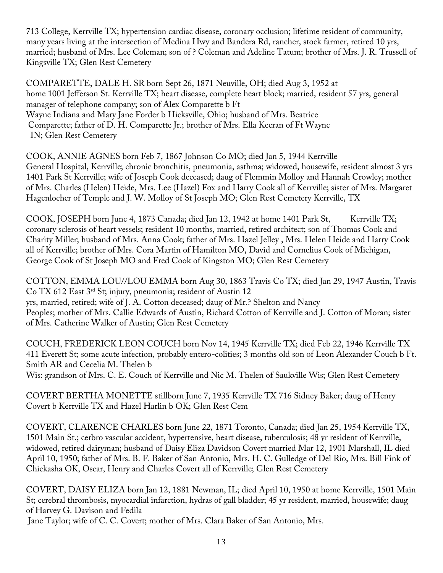713 College, Kerrville TX; hypertension cardiac disease, coronary occlusion; lifetime resident of community, many years living at the intersection of Medina Hwy and Bandera Rd, rancher, stock farmer, retired 10 yrs, married; husband of Mrs. Lee Coleman; son of ? Coleman and Adeline Tatum; brother of Mrs. J. R. Trussell of Kingsville TX; Glen Rest Cemetery

COMPARETTE, DALE H. SR born Sept 26, 1871 Neuville, OH; died Aug 3, 1952 at home 1001 Jefferson St. Kerrville TX; heart disease, complete heart block; married, resident 57 yrs, general manager of telephone company; son of Alex Comparette b Ft Wayne Indiana and Mary Jane Forder b Hicksville, Ohio; husband of Mrs. Beatrice Comparette; father of D. H. Comparette Jr.; brother of Mrs. Ella Keeran of Ft Wayne IN; Glen Rest Cemetery

COOK, ANNIE AGNES born Feb 7, 1867 Johnson Co MO; died Jan 5, 1944 Kerrville General Hospital, Kerrville; chronic bronchitis, pneumonia, asthma; widowed, housewife, resident almost 3 yrs 1401 Park St Kerrville; wife of Joseph Cook deceased; daug of Flemmin Molloy and Hannah Crowley; mother of Mrs. Charles (Helen) Heide, Mrs. Lee (Hazel) Fox and Harry Cook all of Kerrville; sister of Mrs. Margaret Hagenlocher of Temple and J. W. Molloy of St Joseph MO; Glen Rest Cemetery Kerrville, TX

COOK, JOSEPH born June 4, 1873 Canada; died Jan 12, 1942 at home 1401 Park St, Kerrville TX; coronary sclerosis of heart vessels; resident 10 months, married, retired architect; son of Thomas Cook and Charity Miller; husband of Mrs. Anna Cook; father of Mrs. Hazel Jelley , Mrs. Helen Heide and Harry Cook all of Kerrville; brother of Mrs. Cora Martin of Hamilton MO, David and Cornelius Cook of Michigan, George Cook of St Joseph MO and Fred Cook of Kingston MO; Glen Rest Cemetery

COTTON, EMMA LOU//LOU EMMA born Aug 30, 1863 Travis Co TX; died Jan 29, 1947 Austin, Travis Co TX 612 East 3rd St; injury, pneumonia; resident of Austin 12 yrs, married, retired; wife of J. A. Cotton deceased; daug of Mr.? Shelton and Nancy Peoples; mother of Mrs. Callie Edwards of Austin, Richard Cotton of Kerrville and J. Cotton of Moran; sister of Mrs. Catherine Walker of Austin; Glen Rest Cemetery

COUCH, FREDERICK LEON COUCH born Nov 14, 1945 Kerrville TX; died Feb 22, 1946 Kerrville TX 411 Everett St; some acute infection, probably entero-colities; 3 months old son of Leon Alexander Couch b Ft. Smith AR and Cecelia M. Thelen b

Wis: grandson of Mrs. C. E. Couch of Kerrville and Nic M. Thelen of Saukville Wis; Glen Rest Cemetery

COVERT BERTHA MONETTE stillborn June 7, 1935 Kerrville TX 716 Sidney Baker; daug of Henry Covert b Kerrville TX and Hazel Harlin b OK; Glen Rest Cem

COVERT, CLARENCE CHARLES born June 22, 1871 Toronto, Canada; died Jan 25, 1954 Kerrville TX, 1501 Main St.; cerbro vascular accident, hypertensive, heart disease, tuberculosis; 48 yr resident of Kerrville, widowed, retired dairyman; husband of Daisy Eliza Davidson Covert married Mar 12, 1901 Marshall, IL died April 10, 1950; father of Mrs. B. F. Baker of San Antonio, Mrs. H. C. Gulledge of Del Rio, Mrs. Bill Fink of Chickasha OK, Oscar, Henry and Charles Covert all of Kerrville; Glen Rest Cemetery

COVERT, DAISY ELIZA born Jan 12, 1881 Newman, IL; died April 10, 1950 at home Kerrville, 1501 Main St; cerebral thrombosis, myocardial infarction, hydras of gall bladder; 45 yr resident, married, housewife; daug of Harvey G. Davison and Fedila

Jane Taylor; wife of C. C. Covert; mother of Mrs. Clara Baker of San Antonio, Mrs.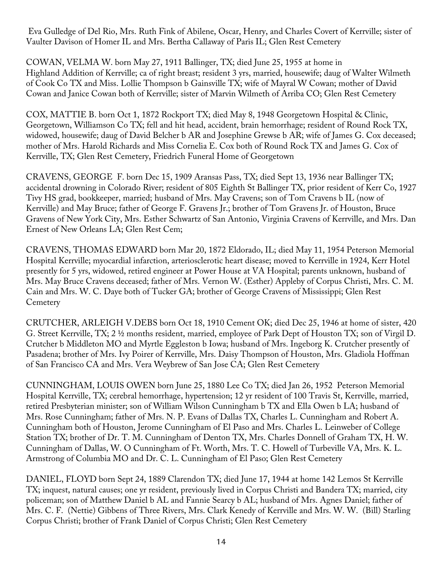Eva Gulledge of Del Rio, Mrs. Ruth Fink of Abilene, Oscar, Henry, and Charles Covert of Kerrville; sister of Vaulter Davison of Homer IL and Mrs. Bertha Callaway of Paris IL; Glen Rest Cemetery

COWAN, VELMA W. born May 27, 1911 Ballinger, TX; died June 25, 1955 at home in Highland Addition of Kerrville; ca of right breast; resident 3 yrs, married, housewife; daug of Walter Wilmeth of Cook Co TX and Miss. Lollie Thompson b Gainsville TX; wife of Mayral W Cowan; mother of David Cowan and Janice Cowan both of Kerrville; sister of Marvin Wilmeth of Arriba CO; Glen Rest Cemetery

COX, MATTIE B. born Oct 1, 1872 Rockport TX; died May 8, 1948 Georgetown Hospital & Clinic, Georgetown, Williamson Co TX; fell and hit head, accident, brain hemorrhage; resident of Round Rock TX, widowed, housewife; daug of David Belcher b AR and Josephine Grewse b AR; wife of James G. Cox deceased; mother of Mrs. Harold Richards and Miss Cornelia E. Cox both of Round Rock TX and James G. Cox of Kerrville, TX; Glen Rest Cemetery, Friedrich Funeral Home of Georgetown

CRAVENS, GEORGE F. born Dec 15, 1909 Aransas Pass, TX; died Sept 13, 1936 near Ballinger TX; accidental drowning in Colorado River; resident of 805 Eighth St Ballinger TX, prior resident of Kerr Co, 1927 Tivy HS grad, bookkeeper, married; husband of Mrs. May Cravens; son of Tom Cravens b IL (now of Kerrville) and May Bruce; father of George F. Gravens Jr.; brother of Tom Gravens Jr. of Houston, Bruce Gravens of New York City, Mrs. Esther Schwartz of San Antonio, Virginia Cravens of Kerrville, and Mrs. Dan Ernest of New Orleans LA; Glen Rest Cem;

CRAVENS, THOMAS EDWARD born Mar 20, 1872 Eldorado, IL; died May 11, 1954 Peterson Memorial Hospital Kerrville; myocardial infarction, arteriosclerotic heart disease; moved to Kerrville in 1924, Kerr Hotel presently for 5 yrs, widowed, retired engineer at Power House at VA Hospital; parents unknown, husband of Mrs. May Bruce Cravens deceased; father of Mrs. Vernon W. (Esther) Appleby of Corpus Christi, Mrs. C. M. Cain and Mrs. W. C. Daye both of Tucker GA; brother of George Cravens of Mississippi; Glen Rest **Cemetery** 

CRUTCHER, ARLEIGH V.DEBS born Oct 18, 1910 Cement OK; died Dec 25, 1946 at home of sister, 420 G. Street Kerrville, TX; 2 ½ months resident, married, employee of Park Dept of Houston TX; son of Virgil D. Crutcher b Middleton MO and Myrtle Eggleston b Iowa; husband of Mrs. Ingeborg K. Crutcher presently of Pasadena; brother of Mrs. Ivy Poirer of Kerrville, Mrs. Daisy Thompson of Houston, Mrs. Gladiola Hoffman of San Francisco CA and Mrs. Vera Weybrew of San Jose CA; Glen Rest Cemetery

CUNNINGHAM, LOUIS OWEN born June 25, 1880 Lee Co TX; died Jan 26, 1952 Peterson Memorial Hospital Kerrville, TX; cerebral hemorrhage, hypertension; 12 yr resident of 100 Travis St, Kerrville, married, retired Presbyterian minister; son of William Wilson Cunningham b TX and Ella Owen b LA; husband of Mrs. Rose Cunningham; father of Mrs. N. P. Evans of Dallas TX, Charles L. Cunningham and Robert A. Cunningham both of Houston, Jerome Cunningham of El Paso and Mrs. Charles L. Leinweber of College Station TX; brother of Dr. T. M. Cunningham of Denton TX, Mrs. Charles Donnell of Graham TX, H. W. Cunningham of Dallas, W. O Cunningham of Ft. Worth, Mrs. T. C. Howell of Turbeville VA, Mrs. K. L. Armstrong of Columbia MO and Dr. C. L. Cunningham of El Paso; Glen Rest Cemetery

DANIEL, FLOYD born Sept 24, 1889 Clarendon TX; died June 17, 1944 at home 142 Lemos St Kerrville TX; inquest, natural causes; one yr resident, previously lived in Corpus Christi and Bandera TX; married, city policeman; son of Matthew Daniel b AL and Fannie Searcy b AL; husband of Mrs. Agnes Daniel; father of Mrs. C. F. (Nettie) Gibbens of Three Rivers, Mrs. Clark Kenedy of Kerrville and Mrs. W. W. (Bill) Starling Corpus Christi; brother of Frank Daniel of Corpus Christi; Glen Rest Cemetery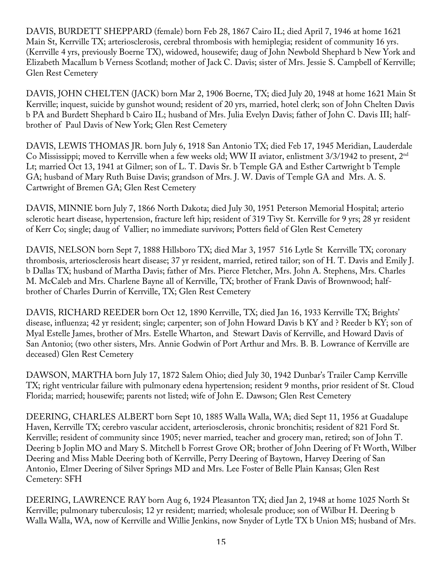DAVIS, BURDETT SHEPPARD (female) born Feb 28, 1867 Cairo IL; died April 7, 1946 at home 1621 Main St, Kerrville TX; arteriosclerosis, cerebral thrombosis with hemiplegia; resident of community 16 yrs. (Kerrville 4 yrs, previously Boerne TX), widowed, housewife; daug of John Newbold Shephard b New York and Elizabeth Macallum b Verness Scotland; mother of Jack C. Davis; sister of Mrs. Jessie S. Campbell of Kerrville; Glen Rest Cemetery

DAVIS, JOHN CHELTEN (JACK) born Mar 2, 1906 Boerne, TX; died July 20, 1948 at home 1621 Main St Kerrville; inquest, suicide by gunshot wound; resident of 20 yrs, married, hotel clerk; son of John Chelten Davis b PA and Burdett Shephard b Cairo IL; husband of Mrs. Julia Evelyn Davis; father of John C. Davis III; halfbrother of Paul Davis of New York; Glen Rest Cemetery

DAVIS, LEWIS THOMAS JR. born July 6, 1918 San Antonio TX; died Feb 17, 1945 Meridian, Lauderdale Co Mississippi; moved to Kerrville when a few weeks old; WW II aviator, enlistment 3/3/1942 to present, 2nd Lt; married Oct 13, 1941 at Gilmer; son of L. T. Davis Sr. b Temple GA and Esther Cartwright b Temple GA; husband of Mary Ruth Buise Davis; grandson of Mrs. J. W. Davis of Temple GA and Mrs. A. S. Cartwright of Bremen GA; Glen Rest Cemetery

DAVIS, MINNIE born July 7, 1866 North Dakota; died July 30, 1951 Peterson Memorial Hospital; arterio sclerotic heart disease, hypertension, fracture left hip; resident of 319 Tivy St. Kerrville for 9 yrs; 28 yr resident of Kerr Co; single; daug of Vallier; no immediate survivors; Potters field of Glen Rest Cemetery

DAVIS, NELSON born Sept 7, 1888 Hillsboro TX; died Mar 3, 1957 516 Lytle St Kerrville TX; coronary thrombosis, arteriosclerosis heart disease; 37 yr resident, married, retired tailor; son of H. T. Davis and Emily J. b Dallas TX; husband of Martha Davis; father of Mrs. Pierce Fletcher, Mrs. John A. Stephens, Mrs. Charles M. McCaleb and Mrs. Charlene Bayne all of Kerrville, TX; brother of Frank Davis of Brownwood; halfbrother of Charles Durrin of Kerrville, TX; Glen Rest Cemetery

DAVIS, RICHARD REEDER born Oct 12, 1890 Kerrville, TX; died Jan 16, 1933 Kerrville TX; Brights' disease, influenza; 42 yr resident; single; carpenter; son of John Howard Davis b KY and ? Reeder b KY; son of Myal Estelle James, brother of Mrs. Estelle Wharton, and Stewart Davis of Kerrville, and Howard Davis of San Antonio; (two other sisters, Mrs. Annie Godwin of Port Arthur and Mrs. B. B. Lowrance of Kerrville are deceased) Glen Rest Cemetery

DAWSON, MARTHA born July 17, 1872 Salem Ohio; died July 30, 1942 Dunbar's Trailer Camp Kerrville TX; right ventricular failure with pulmonary edena hypertension; resident 9 months, prior resident of St. Cloud Florida; married; housewife; parents not listed; wife of John E. Dawson; Glen Rest Cemetery

DEERING, CHARLES ALBERT born Sept 10, 1885 Walla Walla, WA; died Sept 11, 1956 at Guadalupe Haven, Kerrville TX; cerebro vascular accident, arteriosclerosis, chronic bronchitis; resident of 821 Ford St. Kerrville; resident of community since 1905; never married, teacher and grocery man, retired; son of John T. Deering b Joplin MO and Mary S. Mitchell b Forrest Grove OR; brother of John Deering of Ft Worth, Wilber Deering and Miss Mable Deering both of Kerrville, Perry Deering of Baytown, Harvey Deering of San Antonio, Elmer Deering of Silver Springs MD and Mrs. Lee Foster of Belle Plain Kansas; Glen Rest Cemetery: SFH

DEERING, LAWRENCE RAY born Aug 6, 1924 Pleasanton TX; died Jan 2, 1948 at home 1025 North St Kerrville; pulmonary tuberculosis; 12 yr resident; married; wholesale produce; son of Wilbur H. Deering b Walla Walla, WA, now of Kerrville and Willie Jenkins, now Snyder of Lytle TX b Union MS; husband of Mrs.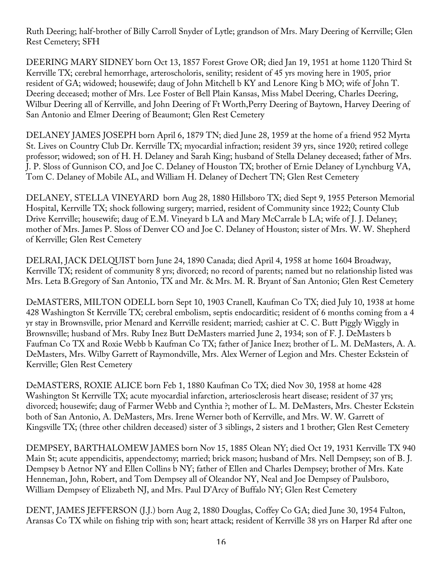Ruth Deering; half-brother of Billy Carroll Snyder of Lytle; grandson of Mrs. Mary Deering of Kerrville; Glen Rest Cemetery; SFH

DEERING MARY SIDNEY born Oct 13, 1857 Forest Grove OR; died Jan 19, 1951 at home 1120 Third St Kerrville TX; cerebral hemorrhage, arteroscholoris, senility; resident of 45 yrs moving here in 1905, prior resident of GA; widowed; housewife; daug of John Mitchell b KY and Lenore King b MO; wife of John T. Deering deceased; mother of Mrs. Lee Foster of Bell Plain Kansas, Miss Mabel Deering, Charles Deering, Wilbur Deering all of Kerrville, and John Deering of Ft Worth,Perry Deering of Baytown, Harvey Deering of San Antonio and Elmer Deering of Beaumont; Glen Rest Cemetery

DELANEY JAMES JOSEPH born April 6, 1879 TN; died June 28, 1959 at the home of a friend 952 Myrta St. Lives on Country Club Dr. Kerrville TX; myocardial infraction; resident 39 yrs, since 1920; retired college professor; widowed; son of H. H. Delaney and Sarah King; husband of Stella Delaney deceased; father of Mrs. J. P. Sloss of Gunnison CO, and Joe C. Delaney of Houston TX; brother of Ernie Delaney of Lynchburg VA, Tom C. Delaney of Mobile AL, and William H. Delaney of Dechert TN; Glen Rest Cemetery

DELANEY, STELLA VINEYARD born Aug 28, 1880 Hillsboro TX; died Sept 9, 1955 Peterson Memorial Hospital, Kerrville TX; shock following surgery; married, resident of Community since 1922; County Club Drive Kerrville; housewife; daug of E.M. Vineyard b LA and Mary McCarrale b LA; wife of J. J. Delaney; mother of Mrs. James P. Sloss of Denver CO and Joe C. Delaney of Houston; sister of Mrs. W. W. Shepherd of Kerrville; Glen Rest Cemetery

DELRAI, JACK DELQUIST born June 24, 1890 Canada; died April 4, 1958 at home 1604 Broadway, Kerrville TX; resident of community 8 yrs; divorced; no record of parents; named but no relationship listed was Mrs. Leta B.Gregory of San Antonio, TX and Mr. & Mrs. M. R. Bryant of San Antonio; Glen Rest Cemetery

DeMASTERS, MILTON ODELL born Sept 10, 1903 Cranell, Kaufman Co TX; died July 10, 1938 at home 428 Washington St Kerrville TX; cerebral embolism, septis endocarditic; resident of 6 months coming from a 4 yr stay in Brownsville, prior Menard and Kerrville resident; married; cashier at C. C. Butt Piggly Wiggly in Brownsville; husband of Mrs. Ruby Inez Butt DeMasters married June 2, 1934; son of F. J. DeMasters b Faufman Co TX and Roxie Webb b Kaufman Co TX; father of Janice Inez; brother of L. M. DeMasters, A. A. DeMasters, Mrs. Wilby Garrett of Raymondville, Mrs. Alex Werner of Legion and Mrs. Chester Eckstein of Kerrville; Glen Rest Cemetery

DeMASTERS, ROXIE ALICE born Feb 1, 1880 Kaufman Co TX; died Nov 30, 1958 at home 428 Washington St Kerrville TX; acute myocardial infarction, arteriosclerosis heart disease; resident of 37 yrs; divorced; housewife; daug of Farmer Webb and Cynthia ?; mother of L. M. DeMasters, Mrs. Chester Eckstein both of San Antonio, A. DeMasters, Mrs. Irene Werner both of Kerrville, and Mrs. W. W. Garrett of Kingsville TX; (three other children deceased) sister of 3 siblings, 2 sisters and 1 brother; Glen Rest Cemetery

DEMPSEY, BARTHALOMEW JAMES born Nov 15, 1885 Olean NY; died Oct 19, 1931 Kerrville TX 940 Main St; acute appendicitis, appendectomy; married; brick mason; husband of Mrs. Nell Dempsey; son of B. J. Dempsey b Aetnor NY and Ellen Collins b NY; father of Ellen and Charles Dempsey; brother of Mrs. Kate Henneman, John, Robert, and Tom Dempsey all of Oleandor NY, Neal and Joe Dempsey of Paulsboro, William Dempsey of Elizabeth NJ, and Mrs. Paul D'Arcy of Buffalo NY; Glen Rest Cemetery

DENT, JAMES JEFFERSON (J.J.) born Aug 2, 1880 Douglas, Coffey Co GA; died June 30, 1954 Fulton, Aransas Co TX while on fishing trip with son; heart attack; resident of Kerrville 38 yrs on Harper Rd after one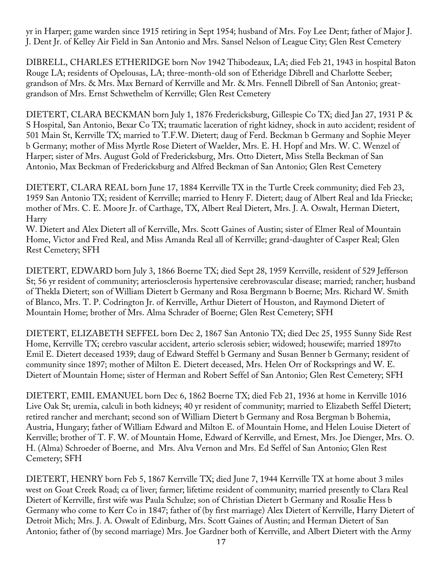yr in Harper; game warden since 1915 retiring in Sept 1954; husband of Mrs. Foy Lee Dent; father of Major J. J. Dent Jr. of Kelley Air Field in San Antonio and Mrs. Sansel Nelson of League City; Glen Rest Cemetery

DIBRELL, CHARLES ETHERIDGE born Nov 1942 Thibodeaux, LA; died Feb 21, 1943 in hospital Baton Rouge LA; residents of Opelousas, LA; three-month-old son of Etheridge Dibrell and Charlotte Seeber; grandson of Mrs. & Mrs. Max Bernard of Kerrville and Mr. & Mrs. Fennell Dibrell of San Antonio; greatgrandson of Mrs. Ernst Schwethelm of Kerrville; Glen Rest Cemetery

DIETERT, CLARA BECKMAN born July 1, 1876 Fredericksburg, Gillespie Co TX; died Jan 27, 1931 P & S Hospital, San Antonio, Bexar Co TX; traumatic laceration of right kidney, shock in auto accident; resident of 501 Main St, Kerrville TX; married to T.F.W. Dietert; daug of Ferd. Beckman b Germany and Sophie Meyer b Germany; mother of Miss Myrtle Rose Dietert of Waelder, Mrs. E. H. Hopf and Mrs. W. C. Wenzel of Harper; sister of Mrs. August Gold of Fredericksburg, Mrs. Otto Dietert, Miss Stella Beckman of San Antonio, Max Beckman of Fredericksburg and Alfred Beckman of San Antonio; Glen Rest Cemetery

DIETERT, CLARA REAL born June 17, 1884 Kerrville TX in the Turtle Creek community; died Feb 23, 1959 San Antonio TX; resident of Kerrville; married to Henry F. Dietert; daug of Albert Real and Ida Friecke; mother of Mrs. C. E. Moore Jr. of Carthage, TX, Albert Real Dietert, Mrs. J. A. Oswalt, Herman Dietert, Harry

W. Dietert and Alex Dietert all of Kerrville, Mrs. Scott Gaines of Austin; sister of Elmer Real of Mountain Home, Victor and Fred Real, and Miss Amanda Real all of Kerrville; grand-daughter of Casper Real; Glen Rest Cemetery; SFH

DIETERT, EDWARD born July 3, 1866 Boerne TX; died Sept 28, 1959 Kerrville, resident of 529 Jefferson St; 56 yr resident of community; arteriosclerosis hypertensive cerebrovascular disease; married; rancher; husband of Thekla Dietert; son of William Dietert b Germany and Rosa Bergmann b Boerne; Mrs. Richard W. Smith of Blanco, Mrs. T. P. Codrington Jr. of Kerrville, Arthur Dietert of Houston, and Raymond Dietert of Mountain Home; brother of Mrs. Alma Schrader of Boerne; Glen Rest Cemetery; SFH

DIETERT, ELIZABETH SEFFEL born Dec 2, 1867 San Antonio TX; died Dec 25, 1955 Sunny Side Rest Home, Kerrville TX; cerebro vascular accident, arterio sclerosis sebier; widowed; housewife; married 1897to Emil E. Dietert deceased 1939; daug of Edward Steffel b Germany and Susan Benner b Germany; resident of community since 1897; mother of Milton E. Dietert deceased, Mrs. Helen Orr of Rocksprings and W. E. Dietert of Mountain Home; sister of Herman and Robert Seffel of San Antonio; Glen Rest Cemetery; SFH

DIETERT, EMIL EMANUEL born Dec 6, 1862 Boerne TX; died Feb 21, 1936 at home in Kerrville 1016 Live Oak St; uremia, calculi in both kidneys; 40 yr resident of community; married to Elizabeth Seffel Dietert; retired rancher and merchant; second son of William Dietert b Germany and Rosa Bergman b Bohemia, Austria, Hungary; father of William Edward and Milton E. of Mountain Home, and Helen Louise Dietert of Kerrville; brother of T. F. W. of Mountain Home, Edward of Kerrville, and Ernest, Mrs. Joe Dienger, Mrs. O. H. (Alma) Schroeder of Boerne, and Mrs. Alva Vernon and Mrs. Ed Seffel of San Antonio; Glen Rest Cemetery; SFH

DIETERT, HENRY born Feb 5, 1867 Kerrville TX; died June 7, 1944 Kerrville TX at home about 3 miles west on Goat Creek Road; ca of liver; farmer; lifetime resident of community; married presently to Clara Real Dietert of Kerrville, first wife was Paula Schulze; son of Christian Dietert b Germany and Rosalie Hess b Germany who come to Kerr Co in 1847; father of (by first marriage) Alex Dietert of Kerrville, Harry Dietert of Detroit Mich; Mrs. J. A. Oswalt of Edinburg, Mrs. Scott Gaines of Austin; and Herman Dietert of San Antonio; father of (by second marriage) Mrs. Joe Gardner both of Kerrville, and Albert Dietert with the Army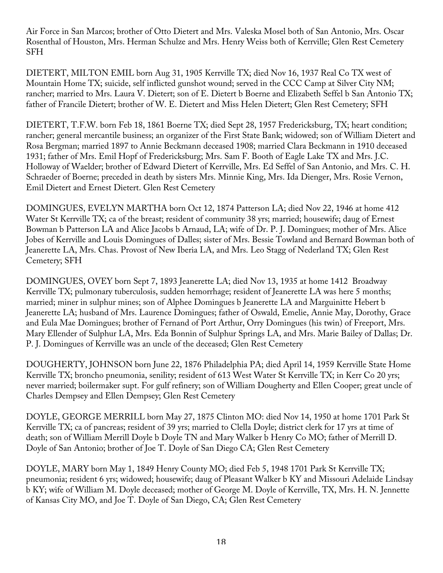Air Force in San Marcos; brother of Otto Dietert and Mrs. Valeska Mosel both of San Antonio, Mrs. Oscar Rosenthal of Houston, Mrs. Herman Schulze and Mrs. Henry Weiss both of Kerrville; Glen Rest Cemetery SFH

DIETERT, MILTON EMIL born Aug 31, 1905 Kerrville TX; died Nov 16, 1937 Real Co TX west of Mountain Home TX; suicide, self inflicted gunshot wound; served in the CCC Camp at Silver City NM; rancher; married to Mrs. Laura V. Dietert; son of E. Dietert b Boerne and Elizabeth Seffel b San Antonio TX; father of Francile Dietert; brother of W. E. Dietert and Miss Helen Dietert; Glen Rest Cemetery; SFH

DIETERT, T.F.W. born Feb 18, 1861 Boerne TX; died Sept 28, 1957 Fredericksburg, TX; heart condition; rancher; general mercantile business; an organizer of the First State Bank; widowed; son of William Dietert and Rosa Bergman; married 1897 to Annie Beckmann deceased 1908; married Clara Beckmann in 1910 deceased 1931; father of Mrs. Emil Hopf of Fredericksburg; Mrs. Sam F. Booth of Eagle Lake TX and Mrs. J.C. Holloway of Waelder; brother of Edward Dietert of Kerrville, Mrs. Ed Seffel of San Antonio, and Mrs. C. H. Schraeder of Boerne; preceded in death by sisters Mrs. Minnie King, Mrs. Ida Dienger, Mrs. Rosie Vernon, Emil Dietert and Ernest Dietert. Glen Rest Cemetery

DOMINGUES, EVELYN MARTHA born Oct 12, 1874 Patterson LA; died Nov 22, 1946 at home 412 Water St Kerrville TX; ca of the breast; resident of community 38 yrs; married; housewife; daug of Ernest Bowman b Patterson LA and Alice Jacobs b Arnaud, LA; wife of Dr. P. J. Domingues; mother of Mrs. Alice Jobes of Kerrville and Louis Domingues of Dalles; sister of Mrs. Bessie Towland and Bernard Bowman both of Jeanerette LA, Mrs. Chas. Provost of New Iberia LA, and Mrs. Leo Stagg of Nederland TX; Glen Rest Cemetery; SFH

DOMINGUES, OVEY born Sept 7, 1893 Jeanerette LA; died Nov 13, 1935 at home 1412 Broadway Kerrville TX; pulmonary tuberculosis, sudden hemorrhage; resident of Jeanerette LA was here 5 months; married; miner in sulphur mines; son of Alphee Domingues b Jeanerette LA and Marguinitte Hebert b Jeanerette LA; husband of Mrs. Laurence Domingues; father of Oswald, Emelie, Annie May, Dorothy, Grace and Eula Mae Domingues; brother of Fernand of Port Arthur, Orry Domingues (his twin) of Freeport, Mrs. Mary Ellender of Sulphur LA, Mrs. Eda Bonnin of Sulphur Springs LA, and Mrs. Marie Bailey of Dallas; Dr. P. J. Domingues of Kerrville was an uncle of the deceased; Glen Rest Cemetery

DOUGHERTY, JOHNSON born June 22, 1876 Philadelphia PA; died April 14, 1959 Kerrville State Home Kerrville TX; broncho pneumonia, senility; resident of 613 West Water St Kerrville TX; in Kerr Co 20 yrs; never married; boilermaker supt. For gulf refinery; son of William Dougherty and Ellen Cooper; great uncle of Charles Dempsey and Ellen Dempsey; Glen Rest Cemetery

DOYLE, GEORGE MERRILL born May 27, 1875 Clinton MO: died Nov 14, 1950 at home 1701 Park St Kerrville TX; ca of pancreas; resident of 39 yrs; married to Clella Doyle; district clerk for 17 yrs at time of death; son of William Merrill Doyle b Doyle TN and Mary Walker b Henry Co MO; father of Merrill D. Doyle of San Antonio; brother of Joe T. Doyle of San Diego CA; Glen Rest Cemetery

DOYLE, MARY born May 1, 1849 Henry County MO; died Feb 5, 1948 1701 Park St Kerrville TX; pneumonia; resident 6 yrs; widowed; housewife; daug of Pleasant Walker b KY and Missouri Adelaide Lindsay b KY; wife of William M. Doyle deceased; mother of George M. Doyle of Kerrville, TX, Mrs. H. N. Jennette of Kansas City MO, and Joe T. Doyle of San Diego, CA; Glen Rest Cemetery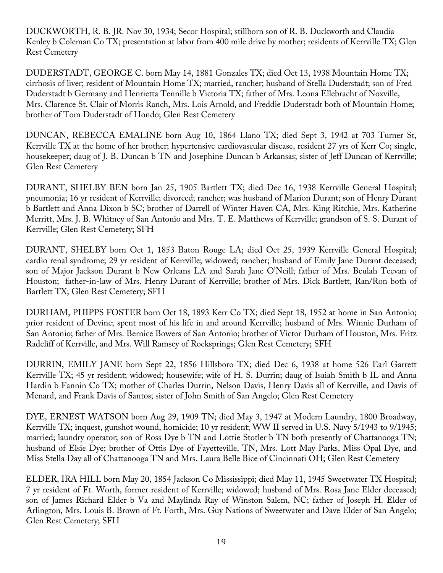DUCKWORTH, R. B. JR. Nov 30, 1934; Secor Hospital; stillborn son of R. B. Duckworth and Claudia Kenley b Coleman Co TX; presentation at labor from 400 mile drive by mother; residents of Kerrville TX; Glen Rest Cemetery

DUDERSTADT, GEORGE C. born May 14, 1881 Gonzales TX; died Oct 13, 1938 Mountain Home TX; cirrhosis of liver; resident of Mountain Home TX; married, rancher; husband of Stella Duderstadt; son of Fred Duderstadt b Germany and Henrietta Tennille b Victoria TX; father of Mrs. Leona Ellebracht of Noxville, Mrs. Clarence St. Clair of Morris Ranch, Mrs. Lois Arnold, and Freddie Duderstadt both of Mountain Home; brother of Tom Duderstadt of Hondo; Glen Rest Cemetery

DUNCAN, REBECCA EMALINE born Aug 10, 1864 Llano TX; died Sept 3, 1942 at 703 Turner St, Kerrville TX at the home of her brother; hypertensive cardiovascular disease, resident 27 yrs of Kerr Co; single, housekeeper; daug of J. B. Duncan b TN and Josephine Duncan b Arkansas; sister of Jeff Duncan of Kerrville; Glen Rest Cemetery

DURANT, SHELBY BEN born Jan 25, 1905 Bartlett TX; died Dec 16, 1938 Kerrville General Hospital; pneumonia; 16 yr resident of Kerrville; divorced; rancher; was husband of Marion Durant; son of Henry Durant b Bartlett and Anna Dixon b SC; brother of Darrell of Winter Haven CA, Mrs. King Ritchie, Mrs. Katherine Merritt, Mrs. J. B. Whitney of San Antonio and Mrs. T. E. Matthews of Kerrville; grandson of S. S. Durant of Kerrville; Glen Rest Cemetery; SFH

DURANT, SHELBY born Oct 1, 1853 Baton Rouge LA; died Oct 25, 1939 Kerrville General Hospital; cardio renal syndrome; 29 yr resident of Kerrville; widowed; rancher; husband of Emily Jane Durant deceased; son of Major Jackson Durant b New Orleans LA and Sarah Jane O'Neill; father of Mrs. Beulah Teevan of Houston; father-in-law of Mrs. Henry Durant of Kerrville; brother of Mrs. Dick Bartlett, Ran/Ron both of Bartlett TX; Glen Rest Cemetery; SFH

DURHAM, PHIPPS FOSTER born Oct 18, 1893 Kerr Co TX; died Sept 18, 1952 at home in San Antonio; prior resident of Devine; spent most of his life in and around Kerrville; husband of Mrs. Winnie Durham of San Antonio; father of Mrs. Bernice Bowers of San Antonio; brother of Victor Durham of Houston, Mrs. Fritz Radeliff of Kerrville, and Mrs. Will Ramsey of Rocksprings; Glen Rest Cemetery; SFH

DURRIN, EMILY JANE born Sept 22, 1856 Hillsboro TX; died Dec 6, 1938 at home 526 Earl Garrett Kerrville TX; 45 yr resident; widowed; housewife; wife of H. S. Durrin; daug of Isaiah Smith b IL and Anna Hardin b Fannin Co TX; mother of Charles Durrin, Nelson Davis, Henry Davis all of Kerrville, and Davis of Menard, and Frank Davis of Santos; sister of John Smith of San Angelo; Glen Rest Cemetery

DYE, ERNEST WATSON born Aug 29, 1909 TN; died May 3, 1947 at Modern Laundry, 1800 Broadway, Kerrville TX; inquest, gunshot wound, homicide; 10 yr resident; WW II served in U.S. Navy 5/1943 to 9/1945; married; laundry operator; son of Ross Dye b TN and Lottie Stotler b TN both presently of Chattanooga TN; husband of Elsie Dye; brother of Ottis Dye of Fayetteville, TN, Mrs. Lott May Parks, Miss Opal Dye, and Miss Stella Day all of Chattanooga TN and Mrs. Laura Belle Bice of Cincinnati OH; Glen Rest Cemetery

ELDER, IRA HILL born May 20, 1854 Jackson Co Mississippi; died May 11, 1945 Sweetwater TX Hospital; 7 yr resident of Ft. Worth, former resident of Kerrville; widowed; husband of Mrs. Rosa Jane Elder deceased; son of James Richard Elder b Va and Maylinda Ray of Winston Salem, NC; father of Joseph H. Elder of Arlington, Mrs. Louis B. Brown of Ft. Forth, Mrs. Guy Nations of Sweetwater and Dave Elder of San Angelo; Glen Rest Cemetery; SFH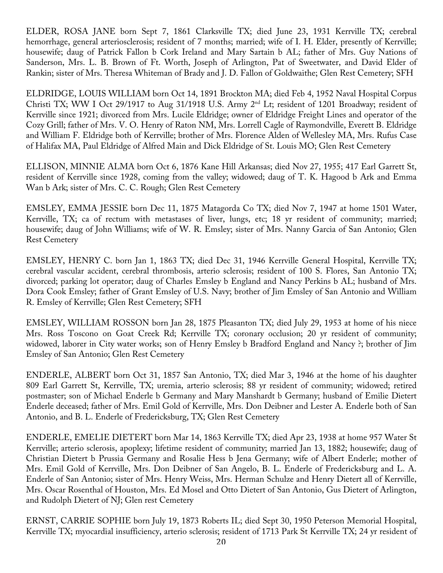ELDER, ROSA JANE born Sept 7, 1861 Clarksville TX; died June 23, 1931 Kerrville TX; cerebral hemorrhage, general arteriosclerosis; resident of 7 months; married; wife of I. H. Elder, presently of Kerrville; housewife; daug of Patrick Fallon b Cork Ireland and Mary Sartain b AL; father of Mrs. Guy Nations of Sanderson, Mrs. L. B. Brown of Ft. Worth, Joseph of Arlington, Pat of Sweetwater, and David Elder of Rankin; sister of Mrs. Theresa Whiteman of Brady and J. D. Fallon of Goldwaithe; Glen Rest Cemetery; SFH

ELDRIDGE, LOUIS WILLIAM born Oct 14, 1891 Brockton MA; died Feb 4, 1952 Naval Hospital Corpus Christi TX; WW I Oct 29/1917 to Aug 31/1918 U.S. Army 2nd Lt; resident of 1201 Broadway; resident of Kerrville since 1921; divorced from Mrs. Lucile Eldridge; owner of Eldridge Freight Lines and operator of the Cozy Grill; father of Mrs. V. O. Henry of Raton NM, Mrs. Lorrell Cagle of Raymondville, Everett B. Eldridge and William F. Eldridge both of Kerrville; brother of Mrs. Florence Alden of Wellesley MA, Mrs. Rufus Case of Halifax MA, Paul Eldridge of Alfred Main and Dick Eldridge of St. Louis MO; Glen Rest Cemetery

ELLISON, MINNIE ALMA born Oct 6, 1876 Kane Hill Arkansas; died Nov 27, 1955; 417 Earl Garrett St, resident of Kerrville since 1928, coming from the valley; widowed; daug of T. K. Hagood b Ark and Emma Wan b Ark; sister of Mrs. C. C. Rough; Glen Rest Cemetery

EMSLEY, EMMA JESSIE born Dec 11, 1875 Matagorda Co TX; died Nov 7, 1947 at home 1501 Water, Kerrville, TX; ca of rectum with metastases of liver, lungs, etc; 18 yr resident of community; married; housewife; daug of John Williams; wife of W. R. Emsley; sister of Mrs. Nanny Garcia of San Antonio; Glen Rest Cemetery

EMSLEY, HENRY C. born Jan 1, 1863 TX; died Dec 31, 1946 Kerrville General Hospital, Kerrville TX; cerebral vascular accident, cerebral thrombosis, arterio sclerosis; resident of 100 S. Flores, San Antonio TX; divorced; parking lot operator; daug of Charles Emsley b England and Nancy Perkins b AL; husband of Mrs. Dora Cook Emsley; father of Grant Emsley of U.S. Navy; brother of Jim Emsley of San Antonio and William R. Emsley of Kerrville; Glen Rest Cemetery; SFH

EMSLEY, WILLIAM ROSSON born Jan 28, 1875 Pleasanton TX; died July 29, 1953 at home of his niece Mrs. Ross Toscono on Goat Creek Rd; Kerrville TX; coronary occlusion; 20 yr resident of community; widowed, laborer in City water works; son of Henry Emsley b Bradford England and Nancy ?; brother of Jim Emsley of San Antonio; Glen Rest Cemetery

ENDERLE, ALBERT born Oct 31, 1857 San Antonio, TX; died Mar 3, 1946 at the home of his daughter 809 Earl Garrett St, Kerrville, TX; uremia, arterio sclerosis; 88 yr resident of community; widowed; retired postmaster; son of Michael Enderle b Germany and Mary Manshardt b Germany; husband of Emilie Dietert Enderle deceased; father of Mrs. Emil Gold of Kerrville, Mrs. Don Deibner and Lester A. Enderle both of San Antonio, and B. L. Enderle of Fredericksburg, TX; Glen Rest Cemetery

ENDERLE, EMELIE DIETERT born Mar 14, 1863 Kerrville TX; died Apr 23, 1938 at home 957 Water St Kerrville; arterio sclerosis, apoplexy; lifetime resident of community; married Jan 13, 1882; housewife; daug of Christian Dietert b Prussia Germany and Rosalie Hess b Jena Germany; wife of Albert Enderle; mother of Mrs. Emil Gold of Kerrville, Mrs. Don Deibner of San Angelo, B. L. Enderle of Fredericksburg and L. A. Enderle of San Antonio; sister of Mrs. Henry Weiss, Mrs. Herman Schulze and Henry Dietert all of Kerrville, Mrs. Oscar Rosenthal of Houston, Mrs. Ed Mosel and Otto Dietert of San Antonio, Gus Dietert of Arlington, and Rudolph Dietert of NJ; Glen rest Cemetery

ERNST, CARRIE SOPHIE born July 19, 1873 Roberts IL; died Sept 30, 1950 Peterson Memorial Hospital, Kerrville TX; myocardial insufficiency, arterio sclerosis; resident of 1713 Park St Kerrville TX; 24 yr resident of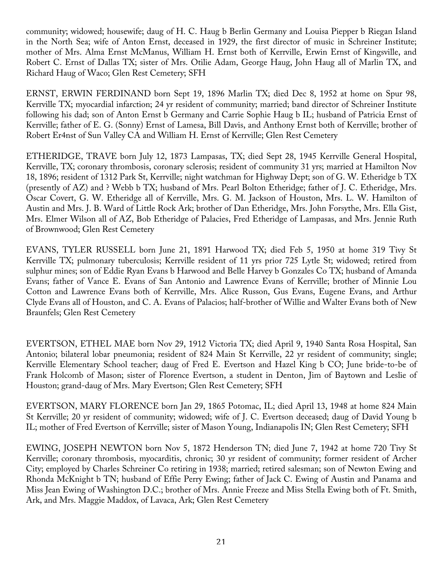community; widowed; housewife; daug of H. C. Haug b Berlin Germany and Louisa Piepper b Riegan Island in the North Sea; wife of Anton Ernst, deceased in 1929, the first director of music in Schreiner Institute; mother of Mrs. Alma Ernst McManus, William H. Ernst both of Kerrville, Erwin Ernst of Kingsville, and Robert C. Ernst of Dallas TX; sister of Mrs. Otilie Adam, George Haug, John Haug all of Marlin TX, and Richard Haug of Waco; Glen Rest Cemetery; SFH

ERNST, ERWIN FERDINAND born Sept 19, 1896 Marlin TX; died Dec 8, 1952 at home on Spur 98, Kerrville TX; myocardial infarction; 24 yr resident of community; married; band director of Schreiner Institute following his dad; son of Anton Ernst b Germany and Carrie Sophie Haug b IL; husband of Patricia Ernst of Kerrville; father of E. G. (Sonny) Ernst of Lamesa, Bill Davis, and Anthony Ernst both of Kerrville; brother of Robert Er4nst of Sun Valley CA and William H. Ernst of Kerrville; Glen Rest Cemetery

ETHERIDGE, TRAVE born July 12, 1873 Lampasas, TX; died Sept 28, 1945 Kerrville General Hospital, Kerrville, TX; coronary thrombosis, coronary sclerosis; resident of community 31 yrs; married at Hamilton Nov 18, 1896; resident of 1312 Park St, Kerrville; night watchman for Highway Dept; son of G. W. Etheridge b TX (presently of AZ) and ? Webb b TX; husband of Mrs. Pearl Bolton Etheridge; father of J. C. Etheridge, Mrs. Oscar Covert, G. W. Etheridge all of Kerrville, Mrs. G. M. Jackson of Houston, Mrs. L. W. Hamilton of Austin and Mrs. J. B. Ward of Little Rock Ark; brother of Dan Etheridge, Mrs. John Forsythe, Mrs. Ella Gist, Mrs. Elmer Wilson all of AZ, Bob Etheridge of Palacies, Fred Etheridge of Lampasas, and Mrs. Jennie Ruth of Brownwood; Glen Rest Cemetery

EVANS, TYLER RUSSELL born June 21, 1891 Harwood TX; died Feb 5, 1950 at home 319 Tivy St Kerrville TX; pulmonary tuberculosis; Kerrville resident of 11 yrs prior 725 Lytle St; widowed; retired from sulphur mines; son of Eddie Ryan Evans b Harwood and Belle Harvey b Gonzales Co TX; husband of Amanda Evans; father of Vance E. Evans of San Antonio and Lawrence Evans of Kerrville; brother of Minnie Lou Cotton and Lawrence Evans both of Kerrville, Mrs. Alice Russon, Gus Evans, Eugene Evans, and Arthur Clyde Evans all of Houston, and C. A. Evans of Palacios; half-brother of Willie and Walter Evans both of New Braunfels; Glen Rest Cemetery

EVERTSON, ETHEL MAE born Nov 29, 1912 Victoria TX; died April 9, 1940 Santa Rosa Hospital, San Antonio; bilateral lobar pneumonia; resident of 824 Main St Kerrville, 22 yr resident of community; single; Kerrville Elementary School teacher; daug of Fred E. Evertson and Hazel King b CO; June bride-to-be of Frank Holcomb of Mason; sister of Florence Evertson, a student in Denton, Jim of Baytown and Leslie of Houston; grand-daug of Mrs. Mary Evertson; Glen Rest Cemetery; SFH

EVERTSON, MARY FLORENCE born Jan 29, 1865 Potomac, IL; died April 13, 1948 at home 824 Main St Kerrville; 20 yr resident of community; widowed; wife of J. C. Evertson deceased; daug of David Young b IL; mother of Fred Evertson of Kerrville; sister of Mason Young, Indianapolis IN; Glen Rest Cemetery; SFH

EWING, JOSEPH NEWTON born Nov 5, 1872 Henderson TN; died June 7, 1942 at home 720 Tivy St Kerrville; coronary thrombosis, myocarditis, chronic; 30 yr resident of community; former resident of Archer City; employed by Charles Schreiner Co retiring in 1938; married; retired salesman; son of Newton Ewing and Rhonda McKnight b TN; husband of Effie Perry Ewing; father of Jack C. Ewing of Austin and Panama and Miss Jean Ewing of Washington D.C.; brother of Mrs. Annie Freeze and Miss Stella Ewing both of Ft. Smith, Ark, and Mrs. Maggie Maddox, of Lavaca, Ark; Glen Rest Cemetery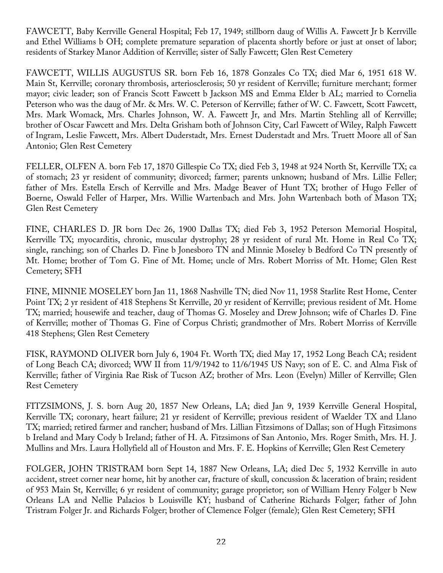FAWCETT, Baby Kerrville General Hospital; Feb 17, 1949; stillborn daug of Willis A. Fawcett Jr b Kerrville and Ethel Williams b OH; complete premature separation of placenta shortly before or just at onset of labor; residents of Starkey Manor Addition of Kerrville; sister of Sally Fawcett; Glen Rest Cemetery

FAWCETT, WILLIS AUGUSTUS SR. born Feb 16, 1878 Gonzales Co TX; died Mar 6, 1951 618 W. Main St, Kerrville; coronary thrombosis, arteriosclerosis; 50 yr resident of Kerrville; furniture merchant; former mayor; civic leader; son of Francis Scott Fawcett b Jackson MS and Emma Elder b AL; married to Cornelia Peterson who was the daug of Mr. & Mrs. W. C. Peterson of Kerrville; father of W. C. Fawcett, Scott Fawcett, Mrs. Mark Womack, Mrs. Charles Johnson, W. A. Fawcett Jr, and Mrs. Martin Stehling all of Kerrville; brother of Oscar Fawcett and Mrs. Delta Grisham both of Johnson City, Carl Fawcett of Wiley, Ralph Fawcett of Ingram, Leslie Fawcett, Mrs. Albert Duderstadt, Mrs. Ernest Duderstadt and Mrs. Truett Moore all of San Antonio; Glen Rest Cemetery

FELLER, OLFEN A. born Feb 17, 1870 Gillespie Co TX; died Feb 3, 1948 at 924 North St, Kerrville TX; ca of stomach; 23 yr resident of community; divorced; farmer; parents unknown; husband of Mrs. Lillie Feller; father of Mrs. Estella Ersch of Kerrville and Mrs. Madge Beaver of Hunt TX; brother of Hugo Feller of Boerne, Oswald Feller of Harper, Mrs. Willie Wartenbach and Mrs. John Wartenbach both of Mason TX; Glen Rest Cemetery

FINE, CHARLES D. JR born Dec 26, 1900 Dallas TX; died Feb 3, 1952 Peterson Memorial Hospital, Kerrville TX; myocarditis, chronic, muscular dystrophy; 28 yr resident of rural Mt. Home in Real Co TX; single, ranching; son of Charles D. Fine b Jonesboro TN and Minnie Moseley b Bedford Co TN presently of Mt. Home; brother of Tom G. Fine of Mt. Home; uncle of Mrs. Robert Morriss of Mt. Home; Glen Rest Cemetery; SFH

FINE, MINNIE MOSELEY born Jan 11, 1868 Nashville TN; died Nov 11, 1958 Starlite Rest Home, Center Point TX; 2 yr resident of 418 Stephens St Kerrville, 20 yr resident of Kerrville; previous resident of Mt. Home TX; married; housewife and teacher, daug of Thomas G. Moseley and Drew Johnson; wife of Charles D. Fine of Kerrville; mother of Thomas G. Fine of Corpus Christi; grandmother of Mrs. Robert Morriss of Kerrville 418 Stephens; Glen Rest Cemetery

FISK, RAYMOND OLIVER born July 6, 1904 Ft. Worth TX; died May 17, 1952 Long Beach CA; resident of Long Beach CA; divorced; WW II from 11/9/1942 to 11/6/1945 US Navy; son of E. C. and Alma Fisk of Kerrville; father of Virginia Rae Risk of Tucson AZ; brother of Mrs. Leon (Evelyn) Miller of Kerrville; Glen Rest Cemetery

FITZSIMONS, J. S. born Aug 20, 1857 New Orleans, LA; died Jan 9, 1939 Kerrville General Hospital, Kerrville TX; coronary, heart failure; 21 yr resident of Kerrville; previous resident of Waelder TX and Llano TX; married; retired farmer and rancher; husband of Mrs. Lillian Fitzsimons of Dallas; son of Hugh Fitzsimons b Ireland and Mary Cody b Ireland; father of H. A. Fitzsimons of San Antonio, Mrs. Roger Smith, Mrs. H. J. Mullins and Mrs. Laura Hollyfield all of Houston and Mrs. F. E. Hopkins of Kerrville; Glen Rest Cemetery

FOLGER, JOHN TRISTRAM born Sept 14, 1887 New Orleans, LA; died Dec 5, 1932 Kerrville in auto accident, street corner near home, hit by another car, fracture of skull, concussion & laceration of brain; resident of 953 Main St, Kerrville; 6 yr resident of community; garage proprietor; son of William Henry Folger b New Orleans LA and Nellie Palacios b Louisville KY; husband of Catherine Richards Folger; father of John Tristram Folger Jr. and Richards Folger; brother of Clemence Folger (female); Glen Rest Cemetery; SFH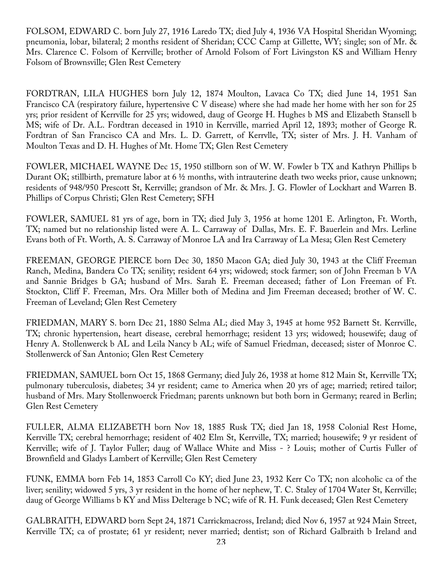FOLSOM, EDWARD C. born July 27, 1916 Laredo TX; died July 4, 1936 VA Hospital Sheridan Wyoming; pneumonia, lobar, bilateral; 2 months resident of Sheridan; CCC Camp at Gillette, WY; single; son of Mr. & Mrs. Clarence C. Folsom of Kerrville; brother of Arnold Folsom of Fort Livingston KS and William Henry Folsom of Brownsville; Glen Rest Cemetery

FORDTRAN, LILA HUGHES born July 12, 1874 Moulton, Lavaca Co TX; died June 14, 1951 San Francisco CA (respiratory failure, hypertensive C V disease) where she had made her home with her son for 25 yrs; prior resident of Kerrville for 25 yrs; widowed, daug of George H. Hughes b MS and Elizabeth Stansell b MS; wife of Dr. A.L. Fordtran deceased in 1910 in Kerrville, married April 12, 1893; mother of George R. Fordtran of San Francisco CA and Mrs. L. D. Garrett, of Kerrvlle, TX; sister of Mrs. J. H. Vanham of Moulton Texas and D. H. Hughes of Mt. Home TX; Glen Rest Cemetery

FOWLER, MICHAEL WAYNE Dec 15, 1950 stillborn son of W. W. Fowler b TX and Kathryn Phillips b Durant OK; stillbirth, premature labor at 6 ½ months, with intrauterine death two weeks prior, cause unknown; residents of 948/950 Prescott St, Kerrville; grandson of Mr. & Mrs. J. G. Flowler of Lockhart and Warren B. Phillips of Corpus Christi; Glen Rest Cemetery; SFH

FOWLER, SAMUEL 81 yrs of age, born in TX; died July 3, 1956 at home 1201 E. Arlington, Ft. Worth, TX; named but no relationship listed were A. L. Carraway of Dallas, Mrs. E. F. Bauerlein and Mrs. Lerline Evans both of Ft. Worth, A. S. Carraway of Monroe LA and Ira Carraway of La Mesa; Glen Rest Cemetery

FREEMAN, GEORGE PIERCE born Dec 30, 1850 Macon GA; died July 30, 1943 at the Cliff Freeman Ranch, Medina, Bandera Co TX; senility; resident 64 yrs; widowed; stock farmer; son of John Freeman b VA and Sannie Bridges b GA; husband of Mrs. Sarah E. Freeman deceased; father of Lon Freeman of Ft. Stockton, Cliff F. Freeman, Mrs. Ora Miller both of Medina and Jim Freeman deceased; brother of W. C. Freeman of Leveland; Glen Rest Cemetery

FRIEDMAN, MARY S. born Dec 21, 1880 Selma AL; died May 3, 1945 at home 952 Barnett St. Kerrville, TX; chronic hypertension, heart disease, cerebral hemorrhage; resident 13 yrs; widowed; housewife; daug of Henry A. Stollenwerck b AL and Leila Nancy b AL; wife of Samuel Friedman, deceased; sister of Monroe C. Stollenwerck of San Antonio; Glen Rest Cemetery

FRIEDMAN, SAMUEL born Oct 15, 1868 Germany; died July 26, 1938 at home 812 Main St, Kerrville TX; pulmonary tuberculosis, diabetes; 34 yr resident; came to America when 20 yrs of age; married; retired tailor; husband of Mrs. Mary Stollenwoerck Friedman; parents unknown but both born in Germany; reared in Berlin; Glen Rest Cemetery

FULLER, ALMA ELIZABETH born Nov 18, 1885 Rusk TX; died Jan 18, 1958 Colonial Rest Home, Kerrville TX; cerebral hemorrhage; resident of 402 Elm St, Kerrville, TX; married; housewife; 9 yr resident of Kerrville; wife of J. Taylor Fuller; daug of Wallace White and Miss - ? Louis; mother of Curtis Fuller of Brownfield and Gladys Lambert of Kerrville; Glen Rest Cemetery

FUNK, EMMA born Feb 14, 1853 Carroll Co KY; died June 23, 1932 Kerr Co TX; non alcoholic ca of the liver; senility; widowed 5 yrs, 3 yr resident in the home of her nephew, T. C. Staley of 1704 Water St, Kerrville; daug of George Williams b KY and Miss Delterage b NC; wife of R. H. Funk deceased; Glen Rest Cemetery

GALBRAITH, EDWARD born Sept 24, 1871 Carrickmacross, Ireland; died Nov 6, 1957 at 924 Main Street, Kerrville TX; ca of prostate; 61 yr resident; never married; dentist; son of Richard Galbraith b Ireland and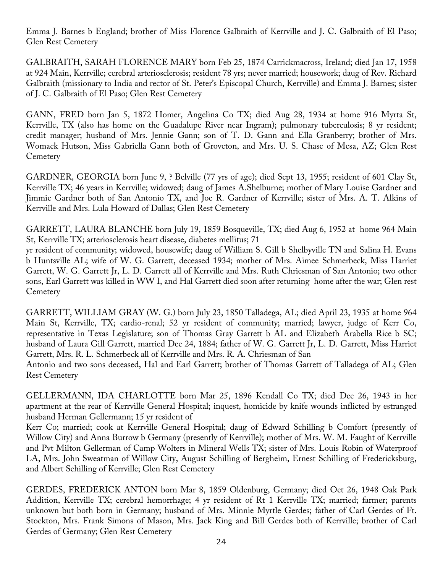Emma J. Barnes b England; brother of Miss Florence Galbraith of Kerrville and J. C. Galbraith of El Paso; Glen Rest Cemetery

GALBRAITH, SARAH FLORENCE MARY born Feb 25, 1874 Carrickmacross, Ireland; died Jan 17, 1958 at 924 Main, Kerrville; cerebral arteriosclerosis; resident 78 yrs; never married; housework; daug of Rev. Richard Galbraith (missionary to India and rector of St. Peter's Episcopal Church, Kerrville) and Emma J. Barnes; sister of J. C. Galbraith of El Paso; Glen Rest Cemetery

GANN, FRED born Jan 5, 1872 Homer, Angelina Co TX; died Aug 28, 1934 at home 916 Myrta St, Kerrville, TX (also has home on the Guadalupe River near Ingram); pulmonary tuberculosis; 8 yr resident; credit manager; husband of Mrs. Jennie Gann; son of T. D. Gann and Ella Granberry; brother of Mrs. Womack Hutson, Miss Gabriella Gann both of Groveton, and Mrs. U. S. Chase of Mesa, AZ; Glen Rest **Cemetery** 

GARDNER, GEORGIA born June 9, ? Belville (77 yrs of age); died Sept 13, 1955; resident of 601 Clay St, Kerrville TX; 46 years in Kerrville; widowed; daug of James A.Shelburne; mother of Mary Louise Gardner and Jimmie Gardner both of San Antonio TX, and Joe R. Gardner of Kerrville; sister of Mrs. A. T. Alkins of Kerrville and Mrs. Lula Howard of Dallas; Glen Rest Cemetery

GARRETT, LAURA BLANCHE born July 19, 1859 Bosqueville, TX; died Aug 6, 1952 at home 964 Main St, Kerrville TX; arteriosclerosis heart disease, diabetes mellitus; 71

yr resident of community; widowed, housewife; daug of William S. Gill b Shelbyville TN and Salina H. Evans b Huntsville AL; wife of W. G. Garrett, deceased 1934; mother of Mrs. Aimee Schmerbeck, Miss Harriet Garrett, W. G. Garrett Jr, L. D. Garrett all of Kerrville and Mrs. Ruth Chriesman of San Antonio; two other sons, Earl Garrett was killed in WW I, and Hal Garrett died soon after returning home after the war; Glen rest **Cemetery** 

GARRETT, WILLIAM GRAY (W. G.) born July 23, 1850 Talladega, AL; died April 23, 1935 at home 964 Main St, Kerrville, TX; cardio-renal; 52 yr resident of community; married; lawyer, judge of Kerr Co, representative in Texas Legislature; son of Thomas Gray Garrett b AL and Elizabeth Arabella Rice b SC; husband of Laura Gill Garrett, married Dec 24, 1884; father of W. G. Garrett Jr, L. D. Garrett, Miss Harriet Garrett, Mrs. R. L. Schmerbeck all of Kerrville and Mrs. R. A. Chriesman of San Antonio and two sons deceased, Hal and Earl Garrett; brother of Thomas Garrett of Talladega of AL; Glen

Rest Cemetery GELLERMANN, IDA CHARLOTTE born Mar 25, 1896 Kendall Co TX; died Dec 26, 1943 in her

apartment at the rear of Kerrville General Hospital; inquest, homicide by knife wounds inflicted by estranged husband Herman Gellermann; 15 yr resident of

Kerr Co; married; cook at Kerrville General Hospital; daug of Edward Schilling b Comfort (presently of Willow City) and Anna Burrow b Germany (presently of Kerrville); mother of Mrs. W. M. Faught of Kerrville and Pvt Milton Gellerman of Camp Wolters in Mineral Wells TX; sister of Mrs. Louis Robin of Waterproof LA, Mrs. John Sweatman of Willow City, August Schilling of Bergheim, Ernest Schilling of Fredericksburg, and Albert Schilling of Kerrville; Glen Rest Cemetery

GERDES, FREDERICK ANTON born Mar 8, 1859 Oldenburg, Germany; died Oct 26, 1948 Oak Park Addition, Kerrville TX; cerebral hemorrhage; 4 yr resident of Rt 1 Kerrville TX; married; farmer; parents unknown but both born in Germany; husband of Mrs. Minnie Myrtle Gerdes; father of Carl Gerdes of Ft. Stockton, Mrs. Frank Simons of Mason, Mrs. Jack King and Bill Gerdes both of Kerrville; brother of Carl Gerdes of Germany; Glen Rest Cemetery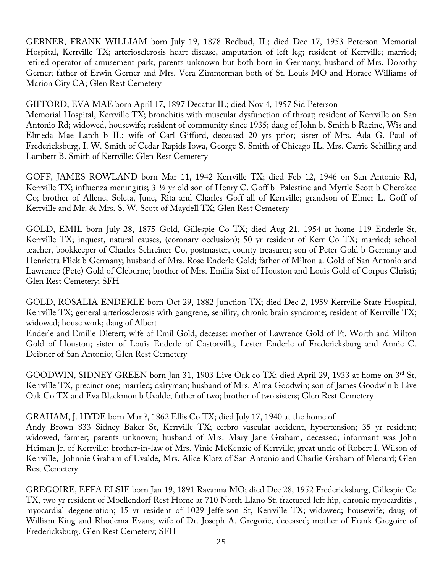GERNER, FRANK WILLIAM born July 19, 1878 Redbud, IL; died Dec 17, 1953 Peterson Memorial Hospital, Kerrville TX; arteriosclerosis heart disease, amputation of left leg; resident of Kerrville; married; retired operator of amusement park; parents unknown but both born in Germany; husband of Mrs. Dorothy Gerner; father of Erwin Gerner and Mrs. Vera Zimmerman both of St. Louis MO and Horace Williams of Marion City CA; Glen Rest Cemetery

## GIFFORD, EVA MAE born April 17, 1897 Decatur IL; died Nov 4, 1957 Sid Peterson

Memorial Hospital, Kerrville TX; bronchitis with muscular dysfunction of throat; resident of Kerrville on San Antonio Rd; widowed, housewife; resident of community since 1935; daug of John b. Smith b Racine, Wis and Elmeda Mae Latch b IL; wife of Carl Gifford, deceased 20 yrs prior; sister of Mrs. Ada G. Paul of Fredericksburg, I. W. Smith of Cedar Rapids Iowa, George S. Smith of Chicago IL, Mrs. Carrie Schilling and Lambert B. Smith of Kerrville; Glen Rest Cemetery

GOFF, JAMES ROWLAND born Mar 11, 1942 Kerrville TX; died Feb 12, 1946 on San Antonio Rd, Kerrville TX; influenza meningitis; 3-½ yr old son of Henry C. Goff b Palestine and Myrtle Scott b Cherokee Co; brother of Allene, Soleta, June, Rita and Charles Goff all of Kerrville; grandson of Elmer L. Goff of Kerrville and Mr. & Mrs. S. W. Scott of Maydell TX; Glen Rest Cemetery

GOLD, EMIL born July 28, 1875 Gold, Gillespie Co TX; died Aug 21, 1954 at home 119 Enderle St, Kerrville TX; inquest, natural causes, (coronary occlusion); 50 yr resident of Kerr Co TX; married; school teacher, bookkeeper of Charles Schreiner Co, postmaster, county treasurer; son of Peter Gold b Germany and Henrietta Flick b Germany; husband of Mrs. Rose Enderle Gold; father of Milton a. Gold of San Antonio and Lawrence (Pete) Gold of Cleburne; brother of Mrs. Emilia Sixt of Houston and Louis Gold of Corpus Christi; Glen Rest Cemetery; SFH

GOLD, ROSALIA ENDERLE born Oct 29, 1882 Junction TX; died Dec 2, 1959 Kerrville State Hospital, Kerrville TX; general arteriosclerosis with gangrene, senility, chronic brain syndrome; resident of Kerrville TX; widowed; house work; daug of Albert

Enderle and Emilie Dietert; wife of Emil Gold, decease: mother of Lawrence Gold of Ft. Worth and Milton Gold of Houston; sister of Louis Enderle of Castorville, Lester Enderle of Fredericksburg and Annie C. Deibner of San Antonio; Glen Rest Cemetery

GOODWIN, SIDNEY GREEN born Jan 31, 1903 Live Oak co TX; died April 29, 1933 at home on 3rd St, Kerrville TX, precinct one; married; dairyman; husband of Mrs. Alma Goodwin; son of James Goodwin b Live Oak Co TX and Eva Blackmon b Uvalde; father of two; brother of two sisters; Glen Rest Cemetery

## GRAHAM, J. HYDE born Mar ?, 1862 Ellis Co TX; died July 17, 1940 at the home of

Andy Brown 833 Sidney Baker St, Kerrville TX; cerbro vascular accident, hypertension; 35 yr resident; widowed, farmer; parents unknown; husband of Mrs. Mary Jane Graham, deceased; informant was John Heiman Jr. of Kerrville; brother-in-law of Mrs. Vinie McKenzie of Kerrville; great uncle of Robert I. Wilson of Kerrville, Johnnie Graham of Uvalde, Mrs. Alice Klotz of San Antonio and Charlie Graham of Menard; Glen Rest Cemetery

GREGOIRE, EFFA ELSIE born Jan 19, 1891 Ravanna MO; died Dec 28, 1952 Fredericksburg, Gillespie Co TX, two yr resident of Moellendorf Rest Home at 710 North Llano St; fractured left hip, chronic myocarditis , myocardial degeneration; 15 yr resident of 1029 Jefferson St, Kerrville TX; widowed; housewife; daug of William King and Rhodema Evans; wife of Dr. Joseph A. Gregorie, deceased; mother of Frank Gregoire of Fredericksburg. Glen Rest Cemetery; SFH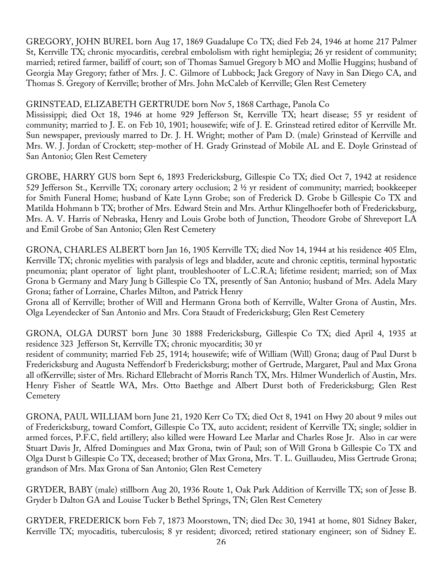GREGORY, JOHN BUREL born Aug 17, 1869 Guadalupe Co TX; died Feb 24, 1946 at home 217 Palmer St, Kerrville TX; chronic myocarditis, cerebral embololism with right hemiplegia; 26 yr resident of community; married; retired farmer, bailiff of court; son of Thomas Samuel Gregory b MO and Mollie Huggins; husband of Georgia May Gregory; father of Mrs. J. C. Gilmore of Lubbock; Jack Gregory of Navy in San Diego CA, and Thomas S. Gregory of Kerrville; brother of Mrs. John McCaleb of Kerrville; Glen Rest Cemetery

## GRINSTEAD, ELIZABETH GERTRUDE born Nov 5, 1868 Carthage, Panola Co

Mississippi; died Oct 18, 1946 at home 929 Jefferson St, Kerrville TX; heart disease; 55 yr resident of community; married to J. E. on Feb 10, 1901; housewife; wife of J. E. Grinstead retired editor of Kerrville Mt. Sun newspaper, previously marred to Dr. J. H. Wright; mother of Pam D. (male) Grinstead of Kerrville and Mrs. W. J. Jordan of Crockett; step-mother of H. Grady Grinstead of Mobile AL and E. Doyle Grinstead of San Antonio; Glen Rest Cemetery

GROBE, HARRY GUS born Sept 6, 1893 Fredericksburg, Gillespie Co TX; died Oct 7, 1942 at residence 529 Jefferson St., Kerrville TX; coronary artery occlusion; 2 ½ yr resident of community; married; bookkeeper for Smith Funeral Home; husband of Kate Lynn Grobe; son of Frederick D. Grobe b Gillespie Co TX and Matilda Hohmann b TX; brother of Mrs. Edward Stein and Mrs. Arthur Klingelhoefer both of Fredericksburg, Mrs. A. V. Harris of Nebraska, Henry and Louis Grobe both of Junction, Theodore Grobe of Shreveport LA and Emil Grobe of San Antonio; Glen Rest Cemetery

GRONA, CHARLES ALBERT born Jan 16, 1905 Kerrville TX; died Nov 14, 1944 at his residence 405 Elm, Kerrville TX; chronic myelities with paralysis of legs and bladder, acute and chronic ceptitis, terminal hypostatic pneumonia; plant operator of light plant, troubleshooter of L.C.R.A; lifetime resident; married; son of Max Grona b Germany and Mary Jung b Gillespie Co TX, presently of San Antonio; husband of Mrs. Adela Mary Grona; father of Lorraine, Charles Milton, and Patrick Henry

Grona all of Kerrville; brother of Will and Hermann Grona both of Kerrville, Walter Grona of Austin, Mrs. Olga Leyendecker of San Antonio and Mrs. Cora Staudt of Fredericksburg; Glen Rest Cemetery

GRONA, OLGA DURST born June 30 1888 Fredericksburg, Gillespie Co TX; died April 4, 1935 at residence 323 Jefferson St, Kerrville TX; chronic myocarditis; 30 yr

resident of community; married Feb 25, 1914; housewife; wife of William (Will) Grona; daug of Paul Durst b Fredericksburg and Augusta Neffendorf b Fredericksburg; mother of Gertrude, Margaret, Paul and Max Grona all ofKerrville; sister of Mrs. Richard Ellebracht of Morris Ranch TX, Mrs. Hilmer Wunderlich of Austin, Mrs. Henry Fisher of Seattle WA, Mrs. Otto Baethge and Albert Durst both of Fredericksburg; Glen Rest **Cemetery** 

GRONA, PAUL WILLIAM born June 21, 1920 Kerr Co TX; died Oct 8, 1941 on Hwy 20 about 9 miles out of Fredericksburg, toward Comfort, Gillespie Co TX, auto accident; resident of Kerrville TX; single; soldier in armed forces, P.F.C, field artillery; also killed were Howard Lee Marlar and Charles Rose Jr. Also in car were Stuart Davis Jr, Alfred Domingues and Max Grona, twin of Paul; son of Will Grona b Gillespie Co TX and Olga Durst b Gillespie Co TX, deceased; brother of Max Grona, Mrs. T. L. Guillaudeu, Miss Gertrude Grona; grandson of Mrs. Max Grona of San Antonio; Glen Rest Cemetery

GRYDER, BABY (male) stillborn Aug 20, 1936 Route 1, Oak Park Addition of Kerrville TX; son of Jesse B. Gryder b Dalton GA and Louise Tucker b Bethel Springs, TN; Glen Rest Cemetery

GRYDER, FREDERICK born Feb 7, 1873 Moorstown, TN; died Dec 30, 1941 at home, 801 Sidney Baker, Kerrville TX; myocaditis, tuberculosis; 8 yr resident; divorced; retired stationary engineer; son of Sidney E.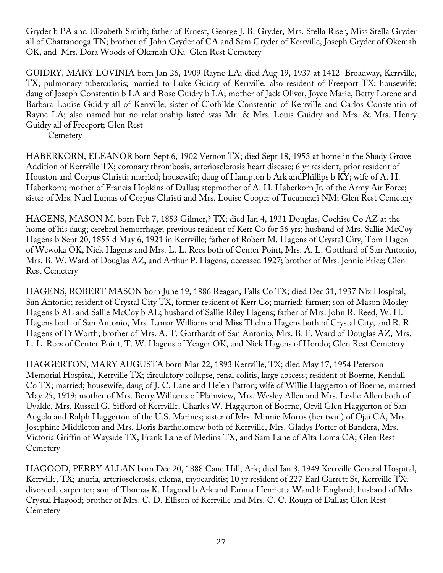Gryder b PA and Elizabeth Smith; father of Ernest, George J. B. Gryder, Mrs. Stella Riser, Miss Stella Gryder all of Chattanooga TN; brother of John Gryder of CA and Sam Gryder of Kerrville, Joseph Gryder of Okemah OK, and Mrs. Dora Woods of Okemah OK; Glen Rest Cemetery

GUIDRY, MARY LOVINIA born Jan 26, 1909 Rayne LA; died Aug 19, 1937 at 1412 Broadway, Kerrville, TX; pulmonary tuberculosis; married to Luke Guidry of Kerrville, also resident of Freeport TX; housewife; daug of Joseph Constentin b LA and Rose Guidry b LA; mother of Jack Oliver, Joyce Marie, Betty Lorene and Barbara Louise Guidry all of Kerrville; sister of Clothilde Constentin of Kerrville and Carlos Constentin of Rayne LA; also named but no relationship listed was Mr. & Mrs. Louis Guidry and Mrs. & Mrs. Henry Guidry all of Freeport; Glen Rest

**Cemetery** 

HABERKORN, ELEANOR born Sept 6, 1902 Vernon TX; died Sept 18, 1953 at home in the Shady Grove Addition of Kerrville TX; coronary thrombosis, arteriosclerosis heart disease; 6 yr resident, prior resident of Houston and Corpus Christi; married; housewife; daug of Hampton b Ark andPhillips b KY; wife of A. H. Haberkorn; mother of Francis Hopkins of Dallas; stepmother of A. H. Haberkorn Jr. of the Army Air Force; sister of Mrs. Nuel Lumas of Corpus Christi and Mrs. Louise Cooper of Tucumcari NM; Glen Rest Cemetery

HAGENS, MASON M. born Feb 7, 1853 Gilmer,? TX; died Jan 4, 1931 Douglas, Cochise Co AZ at the home of his daug; cerebral hemorrhage; previous resident of Kerr Co for 36 yrs; husband of Mrs. Sallie McCoy Hagens b Sept 20, 1855 d May 6, 1921 in Kerrville; father of Robert M. Hagens of Crystal City, Tom Hagen of Wewoka OK, Nick Hagens and Mrs. L. L. Rees both of Center Point, Mrs. A. L. Gotthard of San Antonio, Mrs. B. W. Ward of Douglas AZ, and Arthur P. Hagens, deceased 1927; brother of Mrs. Jennie Price; Glen Rest Cemetery

HAGENS, ROBERT MASON born June 19, 1886 Reagan, Falls Co TX; died Dec 31, 1937 Nix Hospital, San Antonio; resident of Crystal City TX, former resident of Kerr Co; married; farmer; son of Mason Mosley Hagens b AL and Sallie McCoy b AL; husband of Sallie Riley Hagens; father of Mrs. John R. Reed, W. H. Hagens both of San Antonio, Mrs. Lamar Williams and Miss Thelma Hagens both of Crystal City, and R. R. Hagens of Ft Worth; brother of Mrs. A. T. Gotthardt of San Antonio, Mrs. B. F. Ward of Douglas AZ, Mrs. L. L. Rees of Center Point, T. W. Hagens of Yeager OK, and Nick Hagens of Hondo; Glen Rest Cemetery

HAGGERTON, MARY AUGUSTA born Mar 22, 1893 Kerrville, TX; died May 17, 1954 Peterson Memorial Hospital, Kerrville TX; circulatory collapse, renal colitis, large abscess; resident of Boerne, Kendall Co TX; married; housewife; daug of J. C. Lane and Helen Patton; wife of Willie Haggerton of Boerne, married May 25, 1919; mother of Mrs. Berry Williams of Plainview, Mrs. Wesley Allen and Mrs. Leslie Allen both of Uvalde, Mrs. Russell G. Sifford of Kerrville, Charles W. Haggerton of Boerne, Orvil Glen Haggerton of San Angelo and Ralph Haggerton of the U.S. Marines; sister of Mrs. Minnie Morris (her twin) of Ojai CA, Mrs. Josephine Middleton and Mrs. Doris Bartholomew both of Kerrville, Mrs. Gladys Porter of Bandera, Mrs. Victoria Griffin of Wayside TX, Frank Lane of Medina TX, and Sam Lane of Alta Loma CA; Glen Rest **Cemetery** 

HAGOOD, PERRY ALLAN born Dec 20, 1888 Cane Hill, Ark; died Jan 8, 1949 Kerrville General Hospital, Kerrville, TX; anuria, arteriosclerosis, edema, myocarditis; 10 yr resident of 227 Earl Garrett St, Kerrville TX; divorced, carpenter; son of Thomas K. Hagood b Ark and Emma Henrietta Wand b England; husband of Mrs. Crystal Hagood; brother of Mrs. C. D. Ellison of Kerrville and Mrs. C. C. Rough of Dallas; Glen Rest **Cemetery**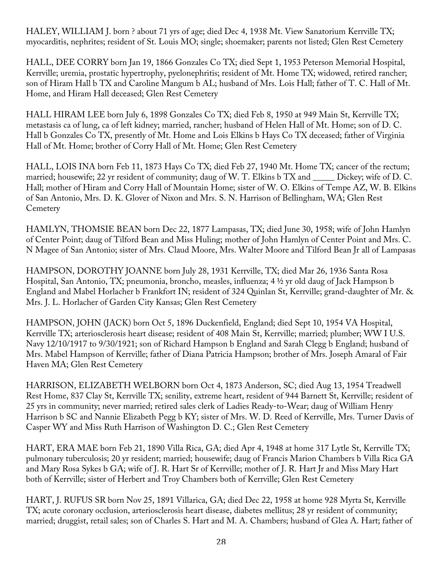HALEY, WILLIAM J. born ? about 71 yrs of age; died Dec 4, 1938 Mt. View Sanatorium Kerrville TX; myocarditis, nephrites; resident of St. Louis MO; single; shoemaker; parents not listed; Glen Rest Cemetery

HALL, DEE CORRY born Jan 19, 1866 Gonzales Co TX; died Sept 1, 1953 Peterson Memorial Hospital, Kerrville; uremia, prostatic hypertrophy, pyelonephritis; resident of Mt. Home TX; widowed, retired rancher; son of Hiram Hall b TX and Caroline Mangum b AL; husband of Mrs. Lois Hall; father of T. C. Hall of Mt. Home, and Hiram Hall deceased; Glen Rest Cemetery

HALL HIRAM LEE born July 6, 1898 Gonzales Co TX; died Feb 8, 1950 at 949 Main St, Kerrville TX; metastasis ca of lung, ca of left kidney; married, rancher; husband of Helen Hall of Mt. Home; son of D. C. Hall b Gonzales Co TX, presently of Mt. Home and Lois Elkins b Hays Co TX deceased; father of Virginia Hall of Mt. Home; brother of Corry Hall of Mt. Home; Glen Rest Cemetery

HALL, LOIS INA born Feb 11, 1873 Hays Co TX; died Feb 27, 1940 Mt. Home TX; cancer of the rectum; married; housewife; 22 yr resident of community; daug of W. T. Elkins b TX and \_\_\_\_\_\_ Dickey; wife of D. C. Hall; mother of Hiram and Corry Hall of Mountain Home; sister of W. O. Elkins of Tempe AZ, W. B. Elkins of San Antonio, Mrs. D. K. Glover of Nixon and Mrs. S. N. Harrison of Bellingham, WA; Glen Rest **Cemetery** 

HAMLYN, THOMSIE BEAN born Dec 22, 1877 Lampasas, TX; died June 30, 1958; wife of John Hamlyn of Center Point; daug of Tilford Bean and Miss Huling; mother of John Hamlyn of Center Point and Mrs. C. N Magee of San Antonio; sister of Mrs. Claud Moore, Mrs. Walter Moore and Tilford Bean Jr all of Lampasas

HAMPSON, DOROTHY JOANNE born July 28, 1931 Kerrville, TX; died Mar 26, 1936 Santa Rosa Hospital, San Antonio, TX; pneumonia, broncho, measles, influenza; 4 ½ yr old daug of Jack Hampson b England and Mabel Horlacher b Frankfort IN; resident of 324 Quinlan St, Kerrville; grand-daughter of Mr. & Mrs. J. L. Horlacher of Garden City Kansas; Glen Rest Cemetery

HAMPSON, JOHN (JACK) born Oct 5, 1896 Duckenfield, England; died Sept 10, 1954 VA Hospital, Kerrville TX; arteriosclerosis heart disease; resident of 408 Main St, Kerrville; married; plumber; WW I U.S. Navy 12/10/1917 to 9/30/1921; son of Richard Hampson b England and Sarah Clegg b England; husband of Mrs. Mabel Hampson of Kerrville; father of Diana Patricia Hampson; brother of Mrs. Joseph Amaral of Fair Haven MA; Glen Rest Cemetery

HARRISON, ELIZABETH WELBORN born Oct 4, 1873 Anderson, SC; died Aug 13, 1954 Treadwell Rest Home, 837 Clay St, Kerrville TX; senility, extreme heart, resident of 944 Barnett St, Kerrville; resident of 25 yrs in community; never married; retired sales clerk of Ladies Ready-to-Wear; daug of William Henry Harrison b SC and Nannie Elizabeth Pegg b KY; sister of Mrs. W. D. Reed of Kerrville, Mrs. Turner Davis of Casper WY and Miss Ruth Harrison of Washington D. C.; Glen Rest Cemetery

HART, ERA MAE born Feb 21, 1890 Villa Rica, GA; died Apr 4, 1948 at home 317 Lytle St, Kerrville TX; pulmonary tuberculosis; 20 yr resident; married; housewife; daug of Francis Marion Chambers b Villa Rica GA and Mary Rosa Sykes b GA; wife of J. R. Hart Sr of Kerrville; mother of J. R. Hart Jr and Miss Mary Hart both of Kerrville; sister of Herbert and Troy Chambers both of Kerrville; Glen Rest Cemetery

HART, J. RUFUS SR born Nov 25, 1891 Villarica, GA; died Dec 22, 1958 at home 928 Myrta St, Kerrville TX; acute coronary occlusion, arteriosclerosis heart disease, diabetes mellitus; 28 yr resident of community; married; druggist, retail sales; son of Charles S. Hart and M. A. Chambers; husband of Glea A. Hart; father of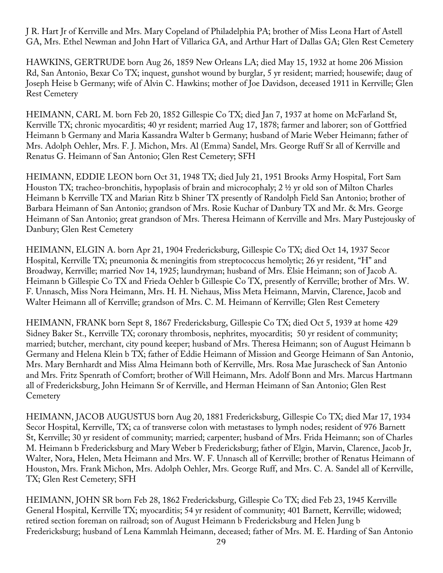J R. Hart Jr of Kerrville and Mrs. Mary Copeland of Philadelphia PA; brother of Miss Leona Hart of Astell GA, Mrs. Ethel Newman and John Hart of Villarica GA, and Arthur Hart of Dallas GA; Glen Rest Cemetery

HAWKINS, GERTRUDE born Aug 26, 1859 New Orleans LA; died May 15, 1932 at home 206 Mission Rd, San Antonio, Bexar Co TX; inquest, gunshot wound by burglar, 5 yr resident; married; housewife; daug of Joseph Heise b Germany; wife of Alvin C. Hawkins; mother of Joe Davidson, deceased 1911 in Kerrville; Glen Rest Cemetery

HEIMANN, CARL M. born Feb 20, 1852 Gillespie Co TX; died Jan 7, 1937 at home on McFarland St, Kerrville TX; chronic myocarditis; 40 yr resident; married Aug 17, 1878; farmer and laborer; son of Gottfried Heimann b Germany and Maria Kassandra Walter b Germany; husband of Marie Weber Heimann; father of Mrs. Adolph Oehler, Mrs. F. J. Michon, Mrs. Al (Emma) Sandel, Mrs. George Ruff Sr all of Kerrville and Renatus G. Heimann of San Antonio; Glen Rest Cemetery; SFH

HEIMANN, EDDIE LEON born Oct 31, 1948 TX; died July 21, 1951 Brooks Army Hospital, Fort Sam Houston TX; tracheo-bronchitis, hypoplasis of brain and microcophaly; 2 ½ yr old son of Milton Charles Heimann b Kerrville TX and Marian Ritz b Shiner TX presently of Randolph Field San Antonio; brother of Barbara Heimann of San Antonio; grandson of Mrs. Rosie Kuchar of Danbury TX and Mr. & Mrs. George Heimann of San Antonio; great grandson of Mrs. Theresa Heimann of Kerrville and Mrs. Mary Pustejousky of Danbury; Glen Rest Cemetery

HEIMANN, ELGIN A. born Apr 21, 1904 Fredericksburg, Gillespie Co TX; died Oct 14, 1937 Secor Hospital, Kerrville TX; pneumonia & meningitis from streptococcus hemolytic; 26 yr resident, "H" and Broadway, Kerrville; married Nov 14, 1925; laundryman; husband of Mrs. Elsie Heimann; son of Jacob A. Heimann b Gillespie Co TX and Frieda Oehler b Gillespie Co TX, presently of Kerrville; brother of Mrs. W. F. Unnasch, Miss Nora Heimann, Mrs. H. H. Niehaus, Miss Meta Heimann, Marvin, Clarence, Jacob and Walter Heimann all of Kerrville; grandson of Mrs. C. M. Heimann of Kerrville; Glen Rest Cemetery

HEIMANN, FRANK born Sept 8, 1867 Fredericksburg, Gillespie Co TX; died Oct 5, 1939 at home 429 Sidney Baker St., Kerrville TX; coronary thrombosis, nephrites, myocarditis; 50 yr resident of community; married; butcher, merchant, city pound keeper; husband of Mrs. Theresa Heimann; son of August Heimann b Germany and Helena Klein b TX; father of Eddie Heimann of Mission and George Heimann of San Antonio, Mrs. Mary Bernhardt and Miss Alma Heimann both of Kerrville, Mrs. Rosa Mae Jurascheck of San Antonio and Mrs. Fritz Spenrath of Comfort; brother of Will Heimann, Mrs. Adolf Bonn and Mrs. Marcus Hartmann all of Fredericksburg, John Heimann Sr of Kerrville, and Herman Heimann of San Antonio; Glen Rest **Cemetery** 

HEIMANN, JACOB AUGUSTUS born Aug 20, 1881 Fredericksburg, Gillespie Co TX; died Mar 17, 1934 Secor Hospital, Kerrville, TX; ca of transverse colon with metastases to lymph nodes; resident of 976 Barnett St, Kerrville; 30 yr resident of community; married; carpenter; husband of Mrs. Frida Heimann; son of Charles M. Heimann b Fredericksburg and Mary Weber b Fredericksburg; father of Elgin, Marvin, Clarence, Jacob Jr, Walter, Nora, Helen, Meta Heimann and Mrs. W. F. Unnasch all of Kerrville; brother of Renatus Heimann of Houston, Mrs. Frank Michon, Mrs. Adolph Oehler, Mrs. George Ruff, and Mrs. C. A. Sandel all of Kerrville, TX; Glen Rest Cemetery; SFH

HEIMANN, JOHN SR born Feb 28, 1862 Fredericksburg, Gillespie Co TX; died Feb 23, 1945 Kerrville General Hospital, Kerrville TX; myocarditis; 54 yr resident of community; 401 Barnett, Kerrville; widowed; retired section foreman on railroad; son of August Heimann b Fredericksburg and Helen Jung b Fredericksburg; husband of Lena Kammlah Heimann, deceased; father of Mrs. M. E. Harding of San Antonio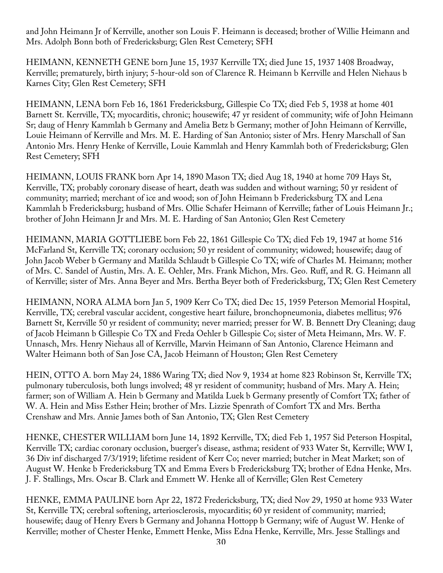and John Heimann Jr of Kerrville, another son Louis F. Heimann is deceased; brother of Willie Heimann and Mrs. Adolph Bonn both of Fredericksburg; Glen Rest Cemetery; SFH

HEIMANN, KENNETH GENE born June 15, 1937 Kerrville TX; died June 15, 1937 1408 Broadway, Kerrville; prematurely, birth injury; 5-hour-old son of Clarence R. Heimann b Kerrville and Helen Niehaus b Karnes City; Glen Rest Cemetery; SFH

HEIMANN, LENA born Feb 16, 1861 Fredericksburg, Gillespie Co TX; died Feb 5, 1938 at home 401 Barnett St. Kerrville, TX; myocarditis, chronic; housewife; 47 yr resident of community; wife of John Heimann Sr; daug of Henry Kammlah b Germany and Amelia Betz b Germany; mother of John Heimann of Kerrville, Louie Heimann of Kerrville and Mrs. M. E. Harding of San Antonio; sister of Mrs. Henry Marschall of San Antonio Mrs. Henry Henke of Kerrville, Louie Kammlah and Henry Kammlah both of Fredericksburg; Glen Rest Cemetery; SFH

HEIMANN, LOUIS FRANK born Apr 14, 1890 Mason TX; died Aug 18, 1940 at home 709 Hays St, Kerrville, TX; probably coronary disease of heart, death was sudden and without warning; 50 yr resident of community; married; merchant of ice and wood; son of John Heimann b Fredericksburg TX and Lena Kammlah b Fredericksburg; husband of Mrs. Ollie Schafer Heimann of Kerrville; father of Louis Heimann Jr.; brother of John Heimann Jr and Mrs. M. E. Harding of San Antonio; Glen Rest Cemetery

HEIMANN, MARIA GOTTLIEBE born Feb 22, 1861 Gillespie Co TX; died Feb 19, 1947 at home 516 McFarland St, Kerrville TX; coronary occlusion; 50 yr resident of community; widowed; housewife; daug of John Jacob Weber b Germany and Matilda Schlaudt b Gillespie Co TX; wife of Charles M. Heimann; mother of Mrs. C. Sandel of Austin, Mrs. A. E. Oehler, Mrs. Frank Michon, Mrs. Geo. Ruff, and R. G. Heimann all of Kerrville; sister of Mrs. Anna Beyer and Mrs. Bertha Beyer both of Fredericksburg, TX; Glen Rest Cemetery

HEIMANN, NORA ALMA born Jan 5, 1909 Kerr Co TX; died Dec 15, 1959 Peterson Memorial Hospital, Kerrville, TX; cerebral vascular accident, congestive heart failure, bronchopneumonia, diabetes mellitus; 976 Barnett St, Kerrville 50 yr resident of community; never married; presser for W. B. Bennett Dry Cleaning; daug of Jacob Heimann b Gillespie Co TX and Freda Oehler b Gillespie Co; sister of Meta Heimann, Mrs. W. F. Unnasch, Mrs. Henry Niehaus all of Kerrville, Marvin Heimann of San Antonio, Clarence Heimann and Walter Heimann both of San Jose CA, Jacob Heimann of Houston; Glen Rest Cemetery

HEIN, OTTO A. born May 24, 1886 Waring TX; died Nov 9, 1934 at home 823 Robinson St, Kerrville TX; pulmonary tuberculosis, both lungs involved; 48 yr resident of community; husband of Mrs. Mary A. Hein; farmer; son of William A. Hein b Germany and Matilda Luek b Germany presently of Comfort TX; father of W. A. Hein and Miss Esther Hein; brother of Mrs. Lizzie Spenrath of Comfort TX and Mrs. Bertha Crenshaw and Mrs. Annie James both of San Antonio, TX; Glen Rest Cemetery

HENKE, CHESTER WILLIAM born June 14, 1892 Kerrville, TX; died Feb 1, 1957 Sid Peterson Hospital, Kerrville TX; cardiac coronary occlusion, buerger's disease, asthma; resident of 933 Water St, Kerrville; WW I, 36 Div inf discharged 7/3/1919; lifetime resident of Kerr Co; never married; butcher in Meat Market; son of August W. Henke b Fredericksburg TX and Emma Evers b Fredericksburg TX; brother of Edna Henke, Mrs. J. F. Stallings, Mrs. Oscar B. Clark and Emmett W. Henke all of Kerrville; Glen Rest Cemetery

HENKE, EMMA PAULINE born Apr 22, 1872 Fredericksburg, TX; died Nov 29, 1950 at home 933 Water St, Kerrville TX; cerebral softening, arteriosclerosis, myocarditis; 60 yr resident of community; married; housewife; daug of Henry Evers b Germany and Johanna Hottopp b Germany; wife of August W. Henke of Kerrville; mother of Chester Henke, Emmett Henke, Miss Edna Henke, Kerrville, Mrs. Jesse Stallings and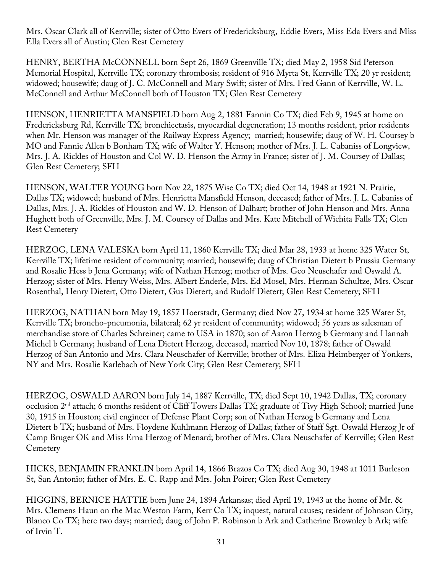Mrs. Oscar Clark all of Kerrville; sister of Otto Evers of Fredericksburg, Eddie Evers, Miss Eda Evers and Miss Ella Evers all of Austin; Glen Rest Cemetery

HENRY, BERTHA McCONNELL born Sept 26, 1869 Greenville TX; died May 2, 1958 Sid Peterson Memorial Hospital, Kerrville TX; coronary thrombosis; resident of 916 Myrta St, Kerrville TX; 20 yr resident; widowed; housewife; daug of J. C. McConnell and Mary Swift; sister of Mrs. Fred Gann of Kerrville, W. L. McConnell and Arthur McConnell both of Houston TX; Glen Rest Cemetery

HENSON, HENRIETTA MANSFIELD born Aug 2, 1881 Fannin Co TX; died Feb 9, 1945 at home on Fredericksburg Rd, Kerrville TX; bronchiectasis, myocardial degeneration; 13 months resident, prior residents when Mr. Henson was manager of the Railway Express Agency; married; housewife; daug of W. H. Coursey b MO and Fannie Allen b Bonham TX; wife of Walter Y. Henson; mother of Mrs. J. L. Cabaniss of Longview, Mrs. J. A. Rickles of Houston and Col W. D. Henson the Army in France; sister of J. M. Coursey of Dallas; Glen Rest Cemetery; SFH

HENSON, WALTER YOUNG born Nov 22, 1875 Wise Co TX; died Oct 14, 1948 at 1921 N. Prairie, Dallas TX; widowed; husband of Mrs. Henrietta Mansfield Henson, deceased; father of Mrs. J. L. Cabaniss of Dallas, Mrs. J. A. Rickles of Houston and W. D. Henson of Dalhart; brother of John Henson and Mrs. Anna Hughett both of Greenville, Mrs. J. M. Coursey of Dallas and Mrs. Kate Mitchell of Wichita Falls TX; Glen Rest Cemetery

HERZOG, LENA VALESKA born April 11, 1860 Kerrville TX; died Mar 28, 1933 at home 325 Water St, Kerrville TX; lifetime resident of community; married; housewife; daug of Christian Dietert b Prussia Germany and Rosalie Hess b Jena Germany; wife of Nathan Herzog; mother of Mrs. Geo Neuschafer and Oswald A. Herzog; sister of Mrs. Henry Weiss, Mrs. Albert Enderle, Mrs. Ed Mosel, Mrs. Herman Schultze, Mrs. Oscar Rosenthal, Henry Dietert, Otto Dietert, Gus Dietert, and Rudolf Dietert; Glen Rest Cemetery; SFH

HERZOG, NATHAN born May 19, 1857 Hoerstadt, Germany; died Nov 27, 1934 at home 325 Water St, Kerrville TX; broncho-pneumonia, bilateral; 62 yr resident of community; widowed; 56 years as salesman of merchandise store of Charles Schreiner; came to USA in 1870; son of Aaron Herzog b Germany and Hannah Michel b Germany; husband of Lena Dietert Herzog, deceased, married Nov 10, 1878; father of Oswald Herzog of San Antonio and Mrs. Clara Neuschafer of Kerrville; brother of Mrs. Eliza Heimberger of Yonkers, NY and Mrs. Rosalie Karlebach of New York City; Glen Rest Cemetery; SFH

HERZOG, OSWALD AARON born July 14, 1887 Kerrville, TX; died Sept 10, 1942 Dallas, TX; coronary occlusion 2nd attach; 6 months resident of Cliff Towers Dallas TX; graduate of Tivy High School; married June 30, 1915 in Houston; civil engineer of Defense Plant Corp; son of Nathan Herzog b Germany and Lena Dietert b TX; husband of Mrs. Floydene Kuhlmann Herzog of Dallas; father of Staff Sgt. Oswald Herzog Jr of Camp Bruger OK and Miss Erna Herzog of Menard; brother of Mrs. Clara Neuschafer of Kerrville; Glen Rest **Cemetery** 

HICKS, BENJAMIN FRANKLIN born April 14, 1866 Brazos Co TX; died Aug 30, 1948 at 1011 Burleson St, San Antonio; father of Mrs. E. C. Rapp and Mrs. John Poirer; Glen Rest Cemetery

HIGGINS, BERNICE HATTIE born June 24, 1894 Arkansas; died April 19, 1943 at the home of Mr. & Mrs. Clemens Haun on the Mac Weston Farm, Kerr Co TX; inquest, natural causes; resident of Johnson City, Blanco Co TX; here two days; married; daug of John P. Robinson b Ark and Catherine Brownley b Ark; wife of Irvin T.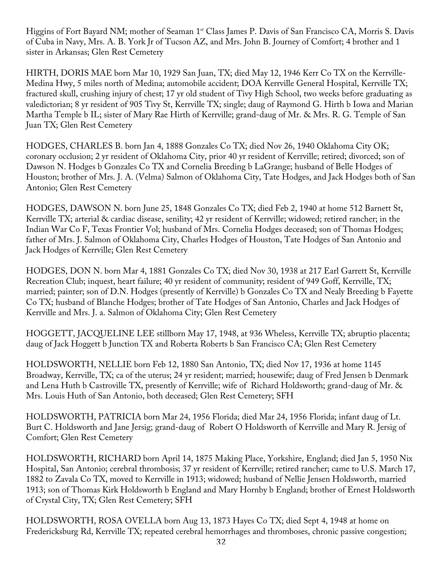Higgins of Fort Bayard NM; mother of Seaman 1<sup>st</sup> Class James P. Davis of San Francisco CA, Morris S. Davis of Cuba in Navy, Mrs. A. B. York Jr of Tucson AZ, and Mrs. John B. Journey of Comfort; 4 brother and 1 sister in Arkansas; Glen Rest Cemetery

HIRTH, DORIS MAE born Mar 10, 1929 San Juan, TX; died May 12, 1946 Kerr Co TX on the Kerrville-Medina Hwy, 5 miles north of Medina; automobile accident; DOA Kerrville General Hospital, Kerrville TX; fractured skull, crushing injury of chest; 17 yr old student of Tivy High School, two weeks before graduating as valedictorian; 8 yr resident of 905 Tivy St, Kerrville TX; single; daug of Raymond G. Hirth b Iowa and Marian Martha Temple b IL; sister of Mary Rae Hirth of Kerrville; grand-daug of Mr. & Mrs. R. G. Temple of San Juan TX; Glen Rest Cemetery

HODGES, CHARLES B. born Jan 4, 1888 Gonzales Co TX; died Nov 26, 1940 Oklahoma City OK; coronary occlusion; 2 yr resident of Oklahoma City, prior 40 yr resident of Kerrville; retired; divorced; son of Dawson N. Hodges b Gonzales Co TX and Cornelia Breeding b LaGrange; husband of Belle Hodges of Houston; brother of Mrs. J. A. (Velma) Salmon of Oklahoma City, Tate Hodges, and Jack Hodges both of San Antonio; Glen Rest Cemetery

HODGES, DAWSON N. born June 25, 1848 Gonzales Co TX; died Feb 2, 1940 at home 512 Barnett St, Kerrville TX; arterial & cardiac disease, senility; 42 yr resident of Kerrville; widowed; retired rancher; in the Indian War Co F, Texas Frontier Vol; husband of Mrs. Cornelia Hodges deceased; son of Thomas Hodges; father of Mrs. J. Salmon of Oklahoma City, Charles Hodges of Houston, Tate Hodges of San Antonio and Jack Hodges of Kerrville; Glen Rest Cemetery

HODGES, DON N. born Mar 4, 1881 Gonzales Co TX; died Nov 30, 1938 at 217 Earl Garrett St, Kerrville Recreation Club; inquest, heart failure; 40 yr resident of community; resident of 949 Goff, Kerrville, TX; married; painter; son of D.N. Hodges (presently of Kerrville) b Gonzales Co TX and Nealy Breeding b Fayette Co TX; husband of Blanche Hodges; brother of Tate Hodges of San Antonio, Charles and Jack Hodges of Kerrville and Mrs. J. a. Salmon of Oklahoma City; Glen Rest Cemetery

HOGGETT, JACQUELINE LEE stillborn May 17, 1948, at 936 Wheless, Kerrville TX; abruptio placenta; daug of Jack Hoggett b Junction TX and Roberta Roberts b San Francisco CA; Glen Rest Cemetery

HOLDSWORTH, NELLIE born Feb 12, 1880 San Antonio, TX; died Nov 17, 1936 at home 1145 Broadway, Kerrville, TX; ca of the uterus; 24 yr resident; married; housewife; daug of Fred Jensen b Denmark and Lena Huth b Castroville TX, presently of Kerrville; wife of Richard Holdsworth; grand-daug of Mr. & Mrs. Louis Huth of San Antonio, both deceased; Glen Rest Cemetery; SFH

HOLDSWORTH, PATRICIA born Mar 24, 1956 Florida; died Mar 24, 1956 Florida; infant daug of Lt. Burt C. Holdsworth and Jane Jersig; grand-daug of Robert O Holdsworth of Kerrville and Mary R. Jersig of Comfort; Glen Rest Cemetery

HOLDSWORTH, RICHARD born April 14, 1875 Making Place, Yorkshire, England; died Jan 5, 1950 Nix Hospital, San Antonio; cerebral thrombosis; 37 yr resident of Kerrville; retired rancher; came to U.S. March 17, 1882 to Zavala Co TX, moved to Kerrville in 1913; widowed; husband of Nellie Jensen Holdsworth, married 1913; son of Thomas Kirk Holdsworth b England and Mary Hornby b England; brother of Ernest Holdsworth of Crystal City, TX; Glen Rest Cemetery; SFH

HOLDSWORTH, ROSA OVELLA born Aug 13, 1873 Hayes Co TX; died Sept 4, 1948 at home on Fredericksburg Rd, Kerrville TX; repeated cerebral hemorrhages and thromboses, chronic passive congestion;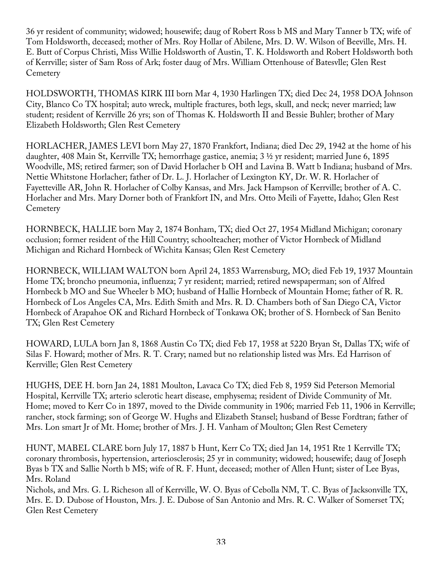36 yr resident of community; widowed; housewife; daug of Robert Ross b MS and Mary Tanner b TX; wife of Tom Holdsworth, deceased; mother of Mrs. Roy Hollar of Abilene, Mrs. D. W. Wilson of Beeville, Mrs. H. E. Butt of Corpus Christi, Miss Willie Holdsworth of Austin, T. K. Holdsworth and Robert Holdsworth both of Kerrville; sister of Sam Ross of Ark; foster daug of Mrs. William Ottenhouse of Batesvlle; Glen Rest **Cemetery** 

HOLDSWORTH, THOMAS KIRK III born Mar 4, 1930 Harlingen TX; died Dec 24, 1958 DOA Johnson City, Blanco Co TX hospital; auto wreck, multiple fractures, both legs, skull, and neck; never married; law student; resident of Kerrville 26 yrs; son of Thomas K. Holdsworth II and Bessie Buhler; brother of Mary Elizabeth Holdsworth; Glen Rest Cemetery

HORLACHER, JAMES LEVI born May 27, 1870 Frankfort, Indiana; died Dec 29, 1942 at the home of his daughter, 408 Main St, Kerrville TX; hemorrhage gastice, anemia; 3 ½ yr resident; married June 6, 1895 Woodville, MS; retired farmer; son of David Horlacher b OH and Lavina B. Watt b Indiana; husband of Mrs. Nettie Whitstone Horlacher; father of Dr. L. J. Horlacher of Lexington KY, Dr. W. R. Horlacher of Fayetteville AR, John R. Horlacher of Colby Kansas, and Mrs. Jack Hampson of Kerrville; brother of A. C. Horlacher and Mrs. Mary Dorner both of Frankfort IN, and Mrs. Otto Meili of Fayette, Idaho; Glen Rest **Cemetery** 

HORNBECK, HALLIE born May 2, 1874 Bonham, TX; died Oct 27, 1954 Midland Michigan; coronary occlusion; former resident of the Hill Country; schoolteacher; mother of Victor Hornbeck of Midland Michigan and Richard Hornbeck of Wichita Kansas; Glen Rest Cemetery

HORNBECK, WILLIAM WALTON born April 24, 1853 Warrensburg, MO; died Feb 19, 1937 Mountain Home TX; broncho pneumonia, influenza; 7 yr resident; married; retired newspaperman; son of Alfred Hornbeck b MO and Sue Wheeler b MO; husband of Hallie Hornbeck of Mountain Home; father of R. R. Hornbeck of Los Angeles CA, Mrs. Edith Smith and Mrs. R. D. Chambers both of San Diego CA, Victor Hornbeck of Arapahoe OK and Richard Hornbeck of Tonkawa OK; brother of S. Hornbeck of San Benito TX; Glen Rest Cemetery

HOWARD, LULA born Jan 8, 1868 Austin Co TX; died Feb 17, 1958 at 5220 Bryan St, Dallas TX; wife of Silas F. Howard; mother of Mrs. R. T. Crary; named but no relationship listed was Mrs. Ed Harrison of Kerrville; Glen Rest Cemetery

HUGHS, DEE H. born Jan 24, 1881 Moulton, Lavaca Co TX; died Feb 8, 1959 Sid Peterson Memorial Hospital, Kerrville TX; arterio sclerotic heart disease, emphysema; resident of Divide Community of Mt. Home; moved to Kerr Co in 1897, moved to the Divide community in 1906; married Feb 11, 1906 in Kerrville; rancher, stock farming; son of George W. Hughs and Elizabeth Stansel; husband of Besse Fordtran; father of Mrs. Lon smart Jr of Mt. Home; brother of Mrs. J. H. Vanham of Moulton; Glen Rest Cemetery

HUNT, MABEL CLARE born July 17, 1887 b Hunt, Kerr Co TX; died Jan 14, 1951 Rte 1 Kerrville TX; coronary thrombosis, hypertension, arteriosclerosis; 25 yr in community; widowed; housewife; daug of Joseph Byas b TX and Sallie North b MS; wife of R. F. Hunt, deceased; mother of Allen Hunt; sister of Lee Byas, Mrs. Roland

Nichols, and Mrs. G. L Richeson all of Kerrville, W. O. Byas of Cebolla NM, T. C. Byas of Jacksonville TX, Mrs. E. D. Dubose of Houston, Mrs. J. E. Dubose of San Antonio and Mrs. R. C. Walker of Somerset TX; Glen Rest Cemetery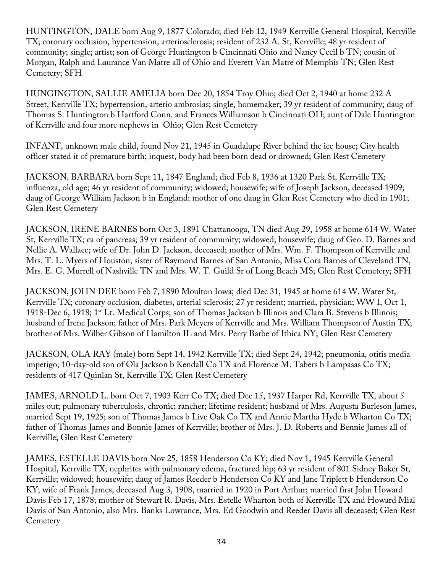HUNTINGTON, DALE born Aug 9, 1877 Colorado; died Feb 12, 1949 Kerrville General Hospital, Kerrville TX; coronary occlusion, hypertension, arteriosclerosis; resident of 232 A. St, Kerrville; 48 yr resident of community; single; artist; son of George Huntington b Cincinnati Ohio and Nancy Cecil b TN; cousin of Morgan, Ralph and Laurance Van Matre all of Ohio and Everett Van Matre of Memphis TN; Glen Rest Cemetery; SFH

HUNGINGTON, SALLIE AMELIA born Dec 20, 1854 Troy Ohio; died Oct 2, 1940 at home 232 A Street, Kerrville TX; hypertension, arterio ambrosias; single, homemaker; 39 yr resident of community; daug of Thomas S. Huntington b Hartford Conn. and Frances Williamson b Cincinnati OH; aunt of Dale Huntington of Kerrville and four more nephews in Ohio; Glen Rest Cemetery

INFANT, unknown male child, found Nov 21, 1945 in Guadalupe River behind the ice house; City health officer stated it of premature birth; inquest, body had been born dead or drowned; Glen Rest Cemetery

JACKSON, BARBARA born Sept 11, 1847 England; died Feb 8, 1936 at 1320 Park St, Kerrville TX; influenza, old age; 46 yr resident of community; widowed; housewife; wife of Joseph Jackson, deceased 1909; daug of George William Jackson b in England; mother of one daug in Glen Rest Cemetery who died in 1901; Glen Rest Cemetery

JACKSON, IRENE BARNES born Oct 3, 1891 Chattanooga, TN died Aug 29, 1958 at home 614 W. Water St, Kerrville TX; ca of pancreas; 39 yr resident of community; widowed; housewife; daug of Geo. D. Barnes and Nellie A. Wallace; wife of Dr. John D. Jackson, deceased; mother of Mrs. Wm. F. Thompson of Kerrville and Mrs. T. L. Myers of Houston; sister of Raymond Barnes of San Antonio, Miss Cora Barnes of Cleveland TN, Mrs. E. G. Murrell of Nashville TN and Mrs. W. T. Guild Sr of Long Beach MS; Glen Rest Cemetery; SFH

JACKSON, JOHN DEE born Feb 7, 1890 Moulton Iowa; died Dec 31, 1945 at home 614 W. Water St, Kerrville TX; coronary occlusion, diabetes, arterial sclerosis; 27 yr resident; married, physician; WW I, Oct 1, 1918-Dec 6, 1918; 1st Lt. Medical Corps; son of Thomas Jackson b Illinois and Clara B. Stevens b Illinois; husband of Irene Jackson; father of Mrs. Park Meyers of Kerrville and Mrs. William Thompson of Austin TX; brother of Mrs. Wilber Gibson of Hamilton IL and Mrs. Perry Barbe of Ithica NY; Glen Rest Cemetery

JACKSON, OLA RAY (male) born Sept 14, 1942 Kerrville TX; died Sept 24, 1942; pneumonia, otitis media impetigo; 10-day-old son of Ola Jackson b Kendall Co TX and Florence M. Tabers b Lampasas Co TX; residents of 417 Quinlan St, Kerrville TX; Glen Rest Cemetery

JAMES, ARNOLD L. born Oct 7, 1903 Kerr Co TX; died Dec 15, 1937 Harper Rd, Kerrville TX, about 5 miles out; pulmonary tuberculosis, chronic; rancher; lifetime resident; husband of Mrs. Augusta Burleson James, married Sept 19, 1925; son of Thomas James b Live Oak Co TX and Annie Martha Hyde b Wharton Co TX; father of Thomas James and Bonnie James of Kerrville; brother of Mrs. J. D. Roberts and Bennie James all of Kerrville; Glen Rest Cemetery

JAMES, ESTELLE DAVIS born Nov 25, 1858 Henderson Co KY; died Nov 1, 1945 Kerrville General Hospital, Kerrville TX; nephrites with pulmonary edema, fractured hip; 63 yr resident of 801 Sidney Baker St, Kerrville; widowed; housewife; daug of James Reeder b Henderson Co KY and Jane Triplett b Henderson Co KY; wife of Frank James, deceased Aug 3, 1908, married in 1920 in Port Arthur; married first John Howard Davis Feb 17, 1878; mother of Stewart R. Davis, Mrs. Estelle Wharton both of Kerrville TX and Howard Mial Davis of San Antonio, also Mrs. Banks Lowrance, Mrs. Ed Goodwin and Reeder Davis all deceased; Glen Rest **Cemetery**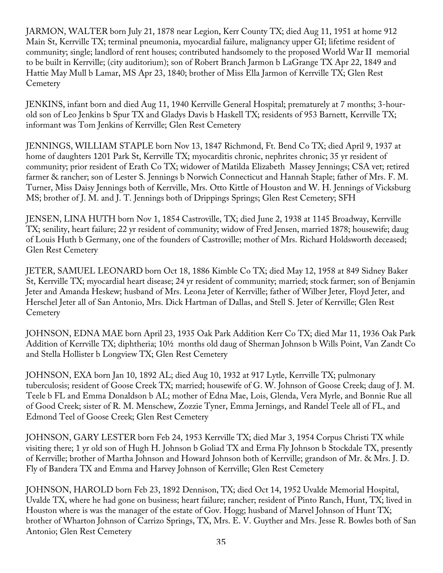JARMON, WALTER born July 21, 1878 near Legion, Kerr County TX; died Aug 11, 1951 at home 912 Main St, Kerrville TX; terminal pneumonia, myocardial failure, malignancy upper GI; lifetime resident of community; single; landlord of rent houses; contributed handsomely to the proposed World War II memorial to be built in Kerrville; (city auditorium); son of Robert Branch Jarmon b LaGrange TX Apr 22, 1849 and Hattie May Mull b Lamar, MS Apr 23, 1840; brother of Miss Ella Jarmon of Kerrville TX; Glen Rest **Cemetery** 

JENKINS, infant born and died Aug 11, 1940 Kerrville General Hospital; prematurely at 7 months; 3-hourold son of Leo Jenkins b Spur TX and Gladys Davis b Haskell TX; residents of 953 Barnett, Kerrville TX; informant was Tom Jenkins of Kerrville; Glen Rest Cemetery

JENNINGS, WILLIAM STAPLE born Nov 13, 1847 Richmond, Ft. Bend Co TX; died April 9, 1937 at home of daughters 1201 Park St, Kerrville TX; myocarditis chronic, nephrites chronic; 35 yr resident of community; prior resident of Erath Co TX; widower of Matilda Elizabeth Massey Jennings; CSA vet; retired farmer & rancher; son of Lester S. Jennings b Norwich Connecticut and Hannah Staple; father of Mrs. F. M. Turner, Miss Daisy Jennings both of Kerrville, Mrs. Otto Kittle of Houston and W. H. Jennings of Vicksburg MS; brother of J. M. and J. T. Jennings both of Drippings Springs; Glen Rest Cemetery; SFH

JENSEN, LINA HUTH born Nov 1, 1854 Castroville, TX; died June 2, 1938 at 1145 Broadway, Kerrville TX; senility, heart failure; 22 yr resident of community; widow of Fred Jensen, married 1878; housewife; daug of Louis Huth b Germany, one of the founders of Castroville; mother of Mrs. Richard Holdsworth deceased; Glen Rest Cemetery

JETER, SAMUEL LEONARD born Oct 18, 1886 Kimble Co TX; died May 12, 1958 at 849 Sidney Baker St, Kerrville TX; myocardial heart disease; 24 yr resident of community; married; stock farmer; son of Benjamin Jeter and Amanda Heskew; husband of Mrs. Leona Jeter of Kerrville; father of Wilber Jeter, Floyd Jeter, and Herschel Jeter all of San Antonio, Mrs. Dick Hartman of Dallas, and Stell S. Jeter of Kerrville; Glen Rest **Cemetery** 

JOHNSON, EDNA MAE born April 23, 1935 Oak Park Addition Kerr Co TX; died Mar 11, 1936 Oak Park Addition of Kerrville TX; diphtheria; 10½ months old daug of Sherman Johnson b Wills Point, Van Zandt Co and Stella Hollister b Longview TX; Glen Rest Cemetery

JOHNSON, EXA born Jan 10, 1892 AL; died Aug 10, 1932 at 917 Lytle, Kerrville TX; pulmonary tuberculosis; resident of Goose Creek TX; married; housewife of G. W. Johnson of Goose Creek; daug of J. M. Teele b FL and Emma Donaldson b AL; mother of Edna Mae, Lois, Glenda, Vera Myrle, and Bonnie Rue all of Good Creek; sister of R. M. Menschew, Zozzie Tyner, Emma Jernings, and Randel Teele all of FL, and Edmond Teel of Goose Creek; Glen Rest Cemetery

JOHNSON, GARY LESTER born Feb 24, 1953 Kerrville TX; died Mar 3, 1954 Corpus Christi TX while visiting there; 1 yr old son of Hugh H. Johnson b Goliad TX and Erma Fly Johnson b Stockdale TX, presently of Kerrville; brother of Martha Johnson and Howard Johnson both of Kerrville; grandson of Mr. & Mrs. J. D. Fly of Bandera TX and Emma and Harvey Johnson of Kerrville; Glen Rest Cemetery

JOHNSON, HAROLD born Feb 23, 1892 Dennison, TX; died Oct 14, 1952 Uvalde Memorial Hospital, Uvalde TX, where he had gone on business; heart failure; rancher; resident of Pinto Ranch, Hunt, TX; lived in Houston where is was the manager of the estate of Gov. Hogg; husband of Marvel Johnson of Hunt TX; brother of Wharton Johnson of Carrizo Springs, TX, Mrs. E. V. Guyther and Mrs. Jesse R. Bowles both of San Antonio; Glen Rest Cemetery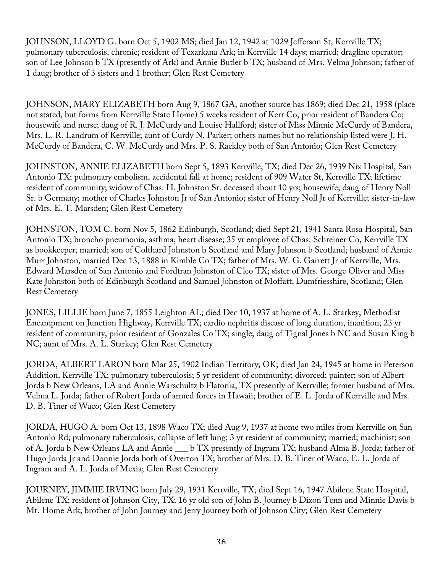JOHNSON, LLOYD G. born Oct 5, 1902 MS; died Jan 12, 1942 at 1029 Jefferson St, Kerrville TX; pulmonary tuberculosis, chronic; resident of Texarkana Ark; in Kerrville 14 days; married; dragline operator; son of Lee Johnson b TX (presently of Ark) and Annie Butler b TX; husband of Mrs. Velma Johnson; father of 1 daug; brother of 3 sisters and 1 brother; Glen Rest Cemetery

JOHNSON, MARY ELIZABETH born Aug 9, 1867 GA, another source has 1869; died Dec 21, 1958 (place not stated, but forms from Kerrville State Home) 5 weeks resident of Kerr Co, prior resident of Bandera Co; housewife and nurse; daug of R. J. McCurdy and Louise Hallford; sister of Miss Minnie McCurdy of Bandera, Mrs. L. R. Landrum of Kerrville; aunt of Curdy N. Parker; others names but no relationship listed were J. H. McCurdy of Bandera, C. W. McCurdy and Mrs. P. S. Rackley both of San Antonio; Glen Rest Cemetery

JOHNSTON, ANNIE ELIZABETH born Sept 5, 1893 Kerrville, TX; died Dec 26, 1939 Nix Hospital, San Antonio TX; pulmonary embolism, accidental fall at home; resident of 909 Water St, Kerrville TX; lifetime resident of community; widow of Chas. H. Johnston Sr. deceased about 10 yrs; housewife; daug of Henry Noll Sr. b Germany; mother of Charles Johnston Jr of San Antonio; sister of Henry Noll Jr of Kerrville; sister-in-law of Mrs. E. T. Marsden; Glen Rest Cemetery

JOHNSTON, TOM C. born Nov 5, 1862 Edinburgh, Scotland; died Sept 21, 1941 Santa Rosa Hospital, San Antonio TX; broncho pneumonia, asthma, heart disease; 35 yr employee of Chas. Schreiner Co, Kerrville TX as bookkeeper; married; son of Colthard Johnston b Scotland and Mary Johnson b Scotland; husband of Annie Murr Johnston, married Dec 13, 1888 in Kimble Co TX; father of Mrs. W. G. Garrett Jr of Kerrville, Mrs. Edward Marsden of San Antonio and Fordtran Johnston of Cleo TX; sister of Mrs. George Oliver and Miss Kate Johnston both of Edinburgh Scotland and Samuel Johnston of Moffatt, Dumfriesshire, Scotland; Glen Rest Cemetery

JONES, LILLIE born June 7, 1855 Leighton AL; died Dec 10, 1937 at home of A. L. Starkey, Methodist Encampment on Junction Highway, Kerrville TX; cardio nephritis disease of long duration, inanition; 23 yr resident of community, prior resident of Gonzales Co TX; single; daug of Tignal Jones b NC and Susan King b NC; aunt of Mrs. A. L. Starkey; Glen Rest Cemetery

JORDA, ALBERT LARON born Mar 25, 1902 Indian Territory, OK; died Jan 24, 1945 at home in Peterson Addition, Kerrville TX; pulmonary tuberculosis; 5 yr resident of community; divorced; painter; son of Albert Jorda b New Orleans, LA and Annie Warschultz b Flatonia, TX presently of Kerrville; former husband of Mrs. Velma L. Jorda; father of Robert Jorda of armed forces in Hawaii; brother of E. L. Jorda of Kerrville and Mrs. D. B. Tiner of Waco; Glen Rest Cemetery

JORDA, HUGO A. born Oct 13, 1898 Waco TX; died Aug 9, 1937 at home two miles from Kerrville on San Antonio Rd; pulmonary tuberculosis, collapse of left lung; 3 yr resident of community; married; machinist; son of A. Jorda b New Orleans LA and Annie \_\_\_ b TX presently of Ingram TX; husband Alma B. Jorda; father of Hugo Jorda Jr and Donnie Jorda both of Overton TX; brother of Mrs. D. B. Tiner of Waco, E. L. Jorda of Ingram and A. L. Jorda of Mexia; Glen Rest Cemetery

JOURNEY, JIMMIE IRVING born July 29, 1931 Kerrville, TX; died Sept 16, 1947 Abilene State Hospital, Abilene TX; resident of Johnson City, TX; 16 yr old son of John B. Journey b Dixon Tenn and Minnie Davis b Mt. Home Ark; brother of John Journey and Jerry Journey both of Johnson City; Glen Rest Cemetery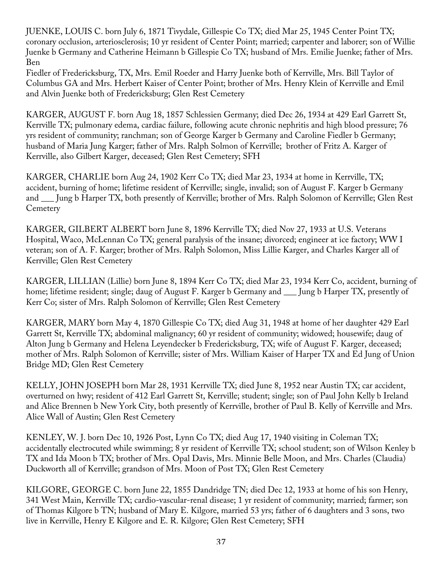JUENKE, LOUIS C. born July 6, 1871 Tivydale, Gillespie Co TX; died Mar 25, 1945 Center Point TX; coronary occlusion, arteriosclerosis; 10 yr resident of Center Point; married; carpenter and laborer; son of Willie Juenke b Germany and Catherine Heimann b Gillespie Co TX; husband of Mrs. Emilie Juenke; father of Mrs. Ben

Fiedler of Fredericksburg, TX, Mrs. Emil Roeder and Harry Juenke both of Kerrville, Mrs. Bill Taylor of Columbus GA and Mrs. Herbert Kaiser of Center Point; brother of Mrs. Henry Klein of Kerrville and Emil and Alvin Juenke both of Fredericksburg; Glen Rest Cemetery

KARGER, AUGUST F. born Aug 18, 1857 Schlessien Germany; died Dec 26, 1934 at 429 Earl Garrett St, Kerrville TX; pulmonary edema, cardiac failure, following acute chronic nephritis and high blood pressure; 76 yrs resident of community; ranchman; son of George Karger b Germany and Caroline Fiedler b Germany; husband of Maria Jung Karger; father of Mrs. Ralph Solmon of Kerrville; brother of Fritz A. Karger of Kerrville, also Gilbert Karger, deceased; Glen Rest Cemetery; SFH

KARGER, CHARLIE born Aug 24, 1902 Kerr Co TX; died Mar 23, 1934 at home in Kerrville, TX; accident, burning of home; lifetime resident of Kerrville; single, invalid; son of August F. Karger b Germany and \_\_\_ Jung b Harper TX, both presently of Kerrville; brother of Mrs. Ralph Solomon of Kerrville; Glen Rest **Cemetery** 

KARGER, GILBERT ALBERT born June 8, 1896 Kerrville TX; died Nov 27, 1933 at U.S. Veterans Hospital, Waco, McLennan Co TX; general paralysis of the insane; divorced; engineer at ice factory; WW I veteran; son of A. F. Karger; brother of Mrs. Ralph Solomon, Miss Lillie Karger, and Charles Karger all of Kerrville; Glen Rest Cemetery

KARGER, LILLIAN (Lillie) born June 8, 1894 Kerr Co TX; died Mar 23, 1934 Kerr Co, accident, burning of home; lifetime resident; single; daug of August F. Karger b Germany and \_\_\_ Jung b Harper TX, presently of Kerr Co; sister of Mrs. Ralph Solomon of Kerrville; Glen Rest Cemetery

KARGER, MARY born May 4, 1870 Gillespie Co TX; died Aug 31, 1948 at home of her daughter 429 Earl Garrett St, Kerrville TX; abdominal malignancy; 60 yr resident of community; widowed; housewife; daug of Alton Jung b Germany and Helena Leyendecker b Fredericksburg, TX; wife of August F. Karger, deceased; mother of Mrs. Ralph Solomon of Kerrville; sister of Mrs. William Kaiser of Harper TX and Ed Jung of Union Bridge MD; Glen Rest Cemetery

KELLY, JOHN JOSEPH born Mar 28, 1931 Kerrville TX; died June 8, 1952 near Austin TX; car accident, overturned on hwy; resident of 412 Earl Garrett St, Kerrville; student; single; son of Paul John Kelly b Ireland and Alice Brennen b New York City, both presently of Kerrville, brother of Paul B. Kelly of Kerrville and Mrs. Alice Wall of Austin; Glen Rest Cemetery

KENLEY, W. J. born Dec 10, 1926 Post, Lynn Co TX; died Aug 17, 1940 visiting in Coleman TX; accidentally electrocuted while swimming; 8 yr resident of Kerrville TX; school student; son of Wilson Kenley b TX and Ida Moon b TX; brother of Mrs. Opal Davis, Mrs. Minnie Belle Moon, and Mrs. Charles (Claudia) Duckworth all of Kerrville; grandson of Mrs. Moon of Post TX; Glen Rest Cemetery

KILGORE, GEORGE C. born June 22, 1855 Dandridge TN; died Dec 12, 1933 at home of his son Henry, 341 West Main, Kerrville TX; cardio-vascular-renal disease; 1 yr resident of community; married; farmer; son of Thomas Kilgore b TN; husband of Mary E. Kilgore, married 53 yrs; father of 6 daughters and 3 sons, two live in Kerrville, Henry E Kilgore and E. R. Kilgore; Glen Rest Cemetery; SFH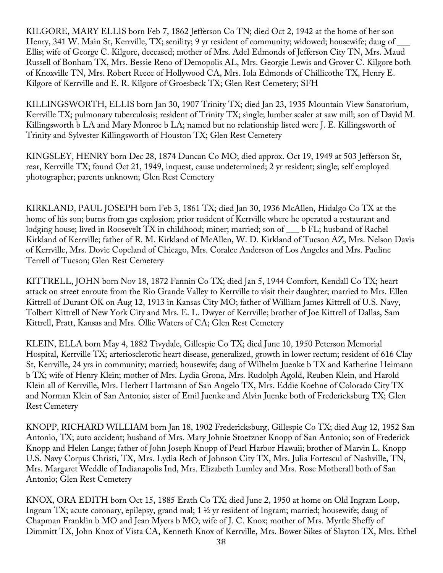KILGORE, MARY ELLIS born Feb 7, 1862 Jefferson Co TN; died Oct 2, 1942 at the home of her son Henry, 341 W. Main St, Kerrville, TX; senility; 9 yr resident of community; widowed; housewife; daug of \_\_\_\_\_ Ellis; wife of George C. Kilgore, deceased; mother of Mrs. Adel Edmonds of Jefferson City TN, Mrs. Maud Russell of Bonham TX, Mrs. Bessie Reno of Demopolis AL, Mrs. Georgie Lewis and Grover C. Kilgore both of Knoxville TN, Mrs. Robert Reece of Hollywood CA, Mrs. Iola Edmonds of Chillicothe TX, Henry E. Kilgore of Kerrville and E. R. Kilgore of Groesbeck TX; Glen Rest Cemetery; SFH

KILLINGSWORTH, ELLIS born Jan 30, 1907 Trinity TX; died Jan 23, 1935 Mountain View Sanatorium, Kerrville TX; pulmonary tuberculosis; resident of Trinity TX; single; lumber scaler at saw mill; son of David M. Killingsworth b LA and Mary Monroe b LA; named but no relationship listed were J. E. Killingsworth of Trinity and Sylvester Killingsworth of Houston TX; Glen Rest Cemetery

KINGSLEY, HENRY born Dec 28, 1874 Duncan Co MO; died approx. Oct 19, 1949 at 503 Jefferson St, rear, Kerrville TX; found Oct 21, 1949, inquest, cause undetermined; 2 yr resident; single; self employed photographer; parents unknown; Glen Rest Cemetery

KIRKLAND, PAUL JOSEPH born Feb 3, 1861 TX; died Jan 30, 1936 McAllen, Hidalgo Co TX at the home of his son; burns from gas explosion; prior resident of Kerrville where he operated a restaurant and lodging house; lived in Roosevelt TX in childhood; miner; married; son of \_\_\_ b FL; husband of Rachel Kirkland of Kerrville; father of R. M. Kirkland of McAllen, W. D. Kirkland of Tucson AZ, Mrs. Nelson Davis of Kerrville, Mrs. Dovie Copeland of Chicago, Mrs. Coralee Anderson of Los Angeles and Mrs. Pauline Terrell of Tucson; Glen Rest Cemetery

KITTRELL, JOHN born Nov 18, 1872 Fannin Co TX; died Jan 5, 1944 Comfort, Kendall Co TX; heart attack on street enroute from the Rio Grande Valley to Kerrville to visit their daughter; married to Mrs. Ellen Kittrell of Durant OK on Aug 12, 1913 in Kansas City MO; father of William James Kittrell of U.S. Navy, Tolbert Kittrell of New York City and Mrs. E. L. Dwyer of Kerrville; brother of Joe Kittrell of Dallas, Sam Kittrell, Pratt, Kansas and Mrs. Ollie Waters of CA; Glen Rest Cemetery

KLEIN, ELLA born May 4, 1882 Tivydale, Gillespie Co TX; died June 10, 1950 Peterson Memorial Hospital, Kerrville TX; arteriosclerotic heart disease, generalized, growth in lower rectum; resident of 616 Clay St, Kerrville, 24 yrs in community; married; housewife; daug of Wilhelm Juenke b TX and Katherine Heimann b TX; wife of Henry Klein; mother of Mrs. Lydia Grona, Mrs. Rudolph Agold, Reuben Klein, and Harold Klein all of Kerrville, Mrs. Herbert Hartmann of San Angelo TX, Mrs. Eddie Koehne of Colorado City TX and Norman Klein of San Antonio; sister of Emil Juenke and Alvin Juenke both of Fredericksburg TX; Glen Rest Cemetery

KNOPP, RICHARD WILLIAM born Jan 18, 1902 Fredericksburg, Gillespie Co TX; died Aug 12, 1952 San Antonio, TX; auto accident; husband of Mrs. Mary Johnie Stoetzner Knopp of San Antonio; son of Frederick Knopp and Helen Lange; father of John Joseph Knopp of Pearl Harbor Hawaii; brother of Marvin L. Knopp U.S. Navy Corpus Christi, TX, Mrs. Lydia Rech of Johnson City TX, Mrs. Julia Fortescul of Nashville, TN, Mrs. Margaret Weddle of Indianapolis Ind, Mrs. Elizabeth Lumley and Mrs. Rose Motherall both of San Antonio; Glen Rest Cemetery

KNOX, ORA EDITH born Oct 15, 1885 Erath Co TX; died June 2, 1950 at home on Old Ingram Loop, Ingram TX; acute coronary, epilepsy, grand mal; 1 ½ yr resident of Ingram; married; housewife; daug of Chapman Franklin b MO and Jean Myers b MO; wife of J. C. Knox; mother of Mrs. Myrtle Sheffy of Dimmitt TX, John Knox of Vista CA, Kenneth Knox of Kerrville, Mrs. Bower Sikes of Slayton TX, Mrs. Ethel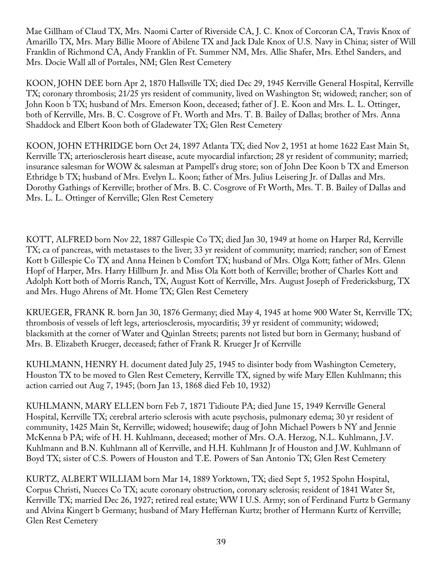Mae Gillham of Claud TX, Mrs. Naomi Carter of Riverside CA, J. C. Knox of Corcoran CA, Travis Knox of Amarillo TX, Mrs. Mary Billie Moore of Abilene TX and Jack Dale Knox of U.S. Navy in China; sister of Will Franklin of Richmond CA, Andy Franklin of Ft. Summer NM, Mrs. Allie Shafer, Mrs. Ethel Sanders, and Mrs. Docie Wall all of Portales, NM; Glen Rest Cemetery

KOON, JOHN DEE born Apr 2, 1870 Hallsville TX; died Dec 29, 1945 Kerrville General Hospital, Kerrville TX; coronary thrombosis; 21/25 yrs resident of community, lived on Washington St; widowed; rancher; son of John Koon b TX; husband of Mrs. Emerson Koon, deceased; father of J. E. Koon and Mrs. L. L. Ottinger, both of Kerrville, Mrs. B. C. Cosgrove of Ft. Worth and Mrs. T. B. Bailey of Dallas; brother of Mrs. Anna Shaddock and Elbert Koon both of Gladewater TX; Glen Rest Cemetery

KOON, JOHN ETHRIDGE born Oct 24, 1897 Atlanta TX; died Nov 2, 1951 at home 1622 East Main St, Kerrville TX; arteriosclerosis heart disease, acute myocardial infarction; 28 yr resident of community; married; insurance salesman for WOW & salesman at Pampell's drug store; son of John Dee Koon b TX and Emerson Ethridge b TX; husband of Mrs. Evelyn L. Koon; father of Mrs. Julius Leisering Jr. of Dallas and Mrs. Dorothy Gathings of Kerrville; brother of Mrs. B. C. Cosgrove of Ft Worth, Mrs. T. B. Bailey of Dallas and Mrs. L. L. Ottinger of Kerrville; Glen Rest Cemetery

KOTT, ALFRED born Nov 22, 1887 Gillespie Co TX; died Jan 30, 1949 at home on Harper Rd, Kerrville TX; ca of pancreas, with metastases to the liver; 33 yr resident of community; married; rancher; son of Ernest Kott b Gillespie Co TX and Anna Heinen b Comfort TX; husband of Mrs. Olga Kott; father of Mrs. Glenn Hopf of Harper, Mrs. Harry Hillburn Jr. and Miss Ola Kott both of Kerrville; brother of Charles Kott and Adolph Kott both of Morris Ranch, TX, August Kott of Kerrville, Mrs. August Joseph of Fredericksburg, TX and Mrs. Hugo Ahrens of Mt. Home TX; Glen Rest Cemetery

KRUEGER, FRANK R. born Jan 30, 1876 Germany; died May 4, 1945 at home 900 Water St, Kerrville TX; thrombosis of vessels of left legs, arteriosclerosis, myocarditis; 39 yr resident of community; widowed; blacksmith at the corner of Water and Quinlan Streets; parents not listed but born in Germany; husband of Mrs. B. Elizabeth Krueger, deceased; father of Frank R. Krueger Jr of Kerrville

KUHLMANN, HENRY H. document dated July 25, 1945 to disinter body from Washington Cemetery, Houston TX to be moved to Glen Rest Cemetery, Kerrville TX, signed by wife Mary Ellen Kuhlmann; this action carried out Aug 7, 1945; (born Jan 13, 1868 died Feb 10, 1932)

KUHLMANN, MARY ELLEN born Feb 7, 1871 Tidioute PA; died June 15, 1949 Kerrville General Hospital, Kerrville TX; cerebral arterio sclerosis with acute psychosis, pulmonary edema; 30 yr resident of community, 1425 Main St, Kerrville; widowed; housewife; daug of John Michael Powers b NY and Jennie McKenna b PA; wife of H. H. Kuhlmann, deceased; mother of Mrs. O.A. Herzog, N.L. Kuhlmann, J.V. Kuhlmann and B.N. Kuhlmann all of Kerrville, and H.H. Kuhlmann Jr of Houston and J.W. Kuhlmann of Boyd TX; sister of C.S. Powers of Houston and T.E. Powers of San Antonio TX; Glen Rest Cemetery

KURTZ, ALBERT WILLIAM born Mar 14, 1889 Yorktown, TX; died Sept 5, 1952 Spohn Hospital, Corpus Christi, Nueces Co TX; acute coronary obstruction, coronary sclerosis; resident of 1841 Water St, Kerrville TX; married Dec 26, 1927; retired real estate; WW I U.S. Army; son of Ferdinand Furtz b Germany and Alvina Kingert b Germany; husband of Mary Heffernan Kurtz; brother of Hermann Kurtz of Kerrville; Glen Rest Cemetery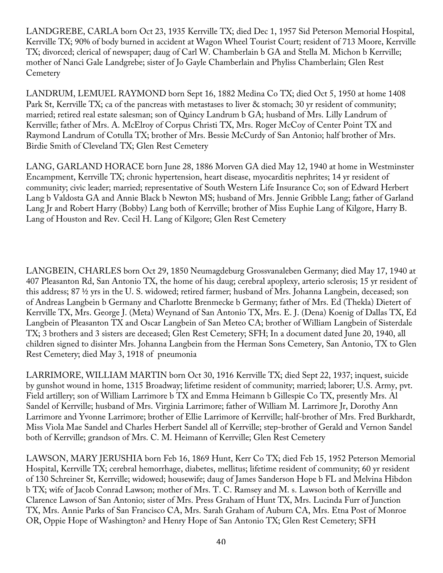LANDGREBE, CARLA born Oct 23, 1935 Kerrville TX; died Dec 1, 1957 Sid Peterson Memorial Hospital, Kerrville TX; 90% of body burned in accident at Wagon Wheel Tourist Court; resident of 713 Moore, Kerrville TX; divorced; clerical of newspaper; daug of Carl W. Chamberlain b GA and Stella M. Michon b Kerrville; mother of Nanci Gale Landgrebe; sister of Jo Gayle Chamberlain and Phyliss Chamberlain; Glen Rest **Cemetery** 

LANDRUM, LEMUEL RAYMOND born Sept 16, 1882 Medina Co TX; died Oct 5, 1950 at home 1408 Park St, Kerrville TX; ca of the pancreas with metastases to liver & stomach; 30 yr resident of community; married; retired real estate salesman; son of Quincy Landrum b GA; husband of Mrs. Lilly Landrum of Kerrville; father of Mrs. A. McElroy of Corpus Christi TX, Mrs. Roger McCoy of Center Point TX and Raymond Landrum of Cotulla TX; brother of Mrs. Bessie McCurdy of San Antonio; half brother of Mrs. Birdie Smith of Cleveland TX; Glen Rest Cemetery

LANG, GARLAND HORACE born June 28, 1886 Morven GA died May 12, 1940 at home in Westminster Encampment, Kerrville TX; chronic hypertension, heart disease, myocarditis nephrites; 14 yr resident of community; civic leader; married; representative of South Western Life Insurance Co; son of Edward Herbert Lang b Valdosta GA and Annie Black b Newton MS; husband of Mrs. Jennie Gribble Lang; father of Garland Lang Jr and Robert Harry (Bobby) Lang both of Kerrville; brother of Miss Euphie Lang of Kilgore, Harry B. Lang of Houston and Rev. Cecil H. Lang of Kilgore; Glen Rest Cemetery

LANGBEIN, CHARLES born Oct 29, 1850 Neumagdeburg Grossvanaleben Germany; died May 17, 1940 at 407 Pleasanton Rd, San Antonio TX, the home of his daug; cerebral apoplexy, arterio sclerosis; 15 yr resident of this address; 87 ½ yrs in the U. S. widowed; retired farmer; husband of Mrs. Johanna Langbein, deceased; son of Andreas Langbein b Germany and Charlotte Brenmecke b Germany; father of Mrs. Ed (Thekla) Dietert of Kerrville TX, Mrs. George J. (Meta) Weynand of San Antonio TX, Mrs. E. J. (Dena) Koenig of Dallas TX, Ed Langbein of Pleasanton TX and Oscar Langbein of San Meteo CA; brother of William Langbein of Sisterdale TX; 3 brothers and 3 sisters are deceased; Glen Rest Cemetery; SFH; In a document dated June 20, 1940, all children signed to disinter Mrs. Johanna Langbein from the Herman Sons Cemetery, San Antonio, TX to Glen Rest Cemetery; died May 3, 1918 of pneumonia

LARRIMORE, WILLIAM MARTIN born Oct 30, 1916 Kerrville TX; died Sept 22, 1937; inquest, suicide by gunshot wound in home, 1315 Broadway; lifetime resident of community; married; laborer; U.S. Army, pvt. Field artillery; son of William Larrimore b TX and Emma Heimann b Gillespie Co TX, presently Mrs. Al Sandel of Kerrville; husband of Mrs. Virginia Larrimore; father of William M. Larrimore Jr, Dorothy Ann Larrimore and Yvonne Larrimore; brother of Ellie Larrimore of Kerrville; half-brother of Mrs. Fred Burkhardt, Miss Viola Mae Sandel and Charles Herbert Sandel all of Kerrville; step-brother of Gerald and Vernon Sandel both of Kerrville; grandson of Mrs. C. M. Heimann of Kerrville; Glen Rest Cemetery

LAWSON, MARY JERUSHIA born Feb 16, 1869 Hunt, Kerr Co TX; died Feb 15, 1952 Peterson Memorial Hospital, Kerrville TX; cerebral hemorrhage, diabetes, mellitus; lifetime resident of community; 60 yr resident of 130 Schreiner St, Kerrville; widowed; housewife; daug of James Sanderson Hope b FL and Melvina Hibdon b TX; wife of Jacob Conrad Lawson; mother of Mrs. T. C. Ramsey and M. s. Lawson both of Kerrville and Clarence Lawson of San Antonio; sister of Mrs. Press Graham of Hunt TX, Mrs. Lucinda Furr of Junction TX, Mrs. Annie Parks of San Francisco CA, Mrs. Sarah Graham of Auburn CA, Mrs. Etna Post of Monroe OR, Oppie Hope of Washington? and Henry Hope of San Antonio TX; Glen Rest Cemetery; SFH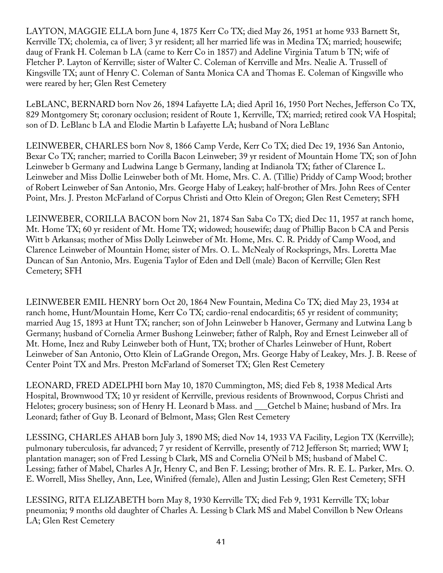LAYTON, MAGGIE ELLA born June 4, 1875 Kerr Co TX; died May 26, 1951 at home 933 Barnett St, Kerrville TX; cholemia, ca of liver; 3 yr resident; all her married life was in Medina TX; married; housewife; daug of Frank H. Coleman b LA (came to Kerr Co in 1857) and Adeline Virginia Tatum b TN; wife of Fletcher P. Layton of Kerrville; sister of Walter C. Coleman of Kerrville and Mrs. Nealie A. Trussell of Kingsville TX; aunt of Henry C. Coleman of Santa Monica CA and Thomas E. Coleman of Kingsville who were reared by her; Glen Rest Cemetery

LeBLANC, BERNARD born Nov 26, 1894 Lafayette LA; died April 16, 1950 Port Neches, Jefferson Co TX, 829 Montgomery St; coronary occlusion; resident of Route 1, Kerrville, TX; married; retired cook VA Hospital; son of D. LeBlanc b LA and Elodie Martin b Lafayette LA; husband of Nora LeBlanc

LEINWEBER, CHARLES born Nov 8, 1866 Camp Verde, Kerr Co TX; died Dec 19, 1936 San Antonio, Bexar Co TX; rancher; married to Corilla Bacon Leinweber; 39 yr resident of Mountain Home TX; son of John Leinweber b Germany and Ludwina Lange b Germany, landing at Indianola TX; father of Clarence L. Leinweber and Miss Dollie Leinweber both of Mt. Home, Mrs. C. A. (Tillie) Priddy of Camp Wood; brother of Robert Leinweber of San Antonio, Mrs. George Haby of Leakey; half-brother of Mrs. John Rees of Center Point, Mrs. J. Preston McFarland of Corpus Christi and Otto Klein of Oregon; Glen Rest Cemetery; SFH

LEINWEBER, CORILLA BACON born Nov 21, 1874 San Saba Co TX; died Dec 11, 1957 at ranch home, Mt. Home TX; 60 yr resident of Mt. Home TX; widowed; housewife; daug of Phillip Bacon b CA and Persis Witt b Arkansas; mother of Miss Dolly Leinweber of Mt. Home, Mrs. C. R. Priddy of Camp Wood, and Clarence Leinweber of Mountain Home; sister of Mrs. O. L. McNealy of Rocksprings, Mrs. Loretta Mae Duncan of San Antonio, Mrs. Eugenia Taylor of Eden and Dell (male) Bacon of Kerrville; Glen Rest Cemetery; SFH

LEINWEBER EMIL HENRY born Oct 20, 1864 New Fountain, Medina Co TX; died May 23, 1934 at ranch home, Hunt/Mountain Home, Kerr Co TX; cardio-renal endocarditis; 65 yr resident of community; married Aug 15, 1893 at Hunt TX; rancher; son of John Leinweber b Hanover, Germany and Lutwina Lang b Germany; husband of Cornelia Armer Bushong Leinweber; father of Ralph, Roy and Ernest Leinweber all of Mt. Home, Inez and Ruby Leinweber both of Hunt, TX; brother of Charles Leinweber of Hunt, Robert Leinweber of San Antonio, Otto Klein of LaGrande Oregon, Mrs. George Haby of Leakey, Mrs. J. B. Reese of Center Point TX and Mrs. Preston McFarland of Somerset TX; Glen Rest Cemetery

LEONARD, FRED ADELPHI born May 10, 1870 Cummington, MS; died Feb 8, 1938 Medical Arts Hospital, Brownwood TX; 10 yr resident of Kerrville, previous residents of Brownwood, Corpus Christi and Helotes; grocery business; son of Henry H. Leonard b Mass. and Getchel b Maine; husband of Mrs. Ira Leonard; father of Guy B. Leonard of Belmont, Mass; Glen Rest Cemetery

LESSING, CHARLES AHAB born July 3, 1890 MS; died Nov 14, 1933 VA Facility, Legion TX (Kerrville); pulmonary tuberculosis, far advanced; 7 yr resident of Kerrville, presently of 712 Jefferson St; married; WW I; plantation manager; son of Fred Lessing b Clark, MS and Cornelia O'Neil b MS; husband of Mabel C. Lessing; father of Mabel, Charles A Jr, Henry C, and Ben F. Lessing; brother of Mrs. R. E. L. Parker, Mrs. O. E. Worrell, Miss Shelley, Ann, Lee, Winifred (female), Allen and Justin Lessing; Glen Rest Cemetery; SFH

LESSING, RITA ELIZABETH born May 8, 1930 Kerrville TX; died Feb 9, 1931 Kerrville TX; lobar pneumonia; 9 months old daughter of Charles A. Lessing b Clark MS and Mabel Convillon b New Orleans LA; Glen Rest Cemetery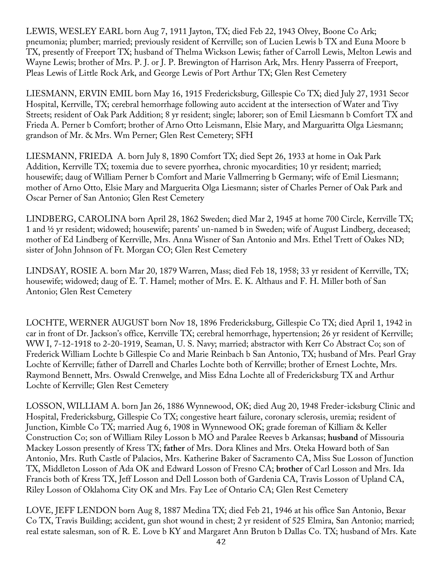LEWIS, WESLEY EARL born Aug 7, 1911 Jayton, TX; died Feb 22, 1943 Olvey, Boone Co Ark; pneumonia; plumber; married; previously resident of Kerrville; son of Lucien Lewis b TX and Euna Moore b TX, presently of Freeport TX; husband of Thelma Wickson Lewis; father of Carroll Lewis, Melton Lewis and Wayne Lewis; brother of Mrs. P. J. or J. P. Brewington of Harrison Ark, Mrs. Henry Passerra of Freeport, Pleas Lewis of Little Rock Ark, and George Lewis of Port Arthur TX; Glen Rest Cemetery

LIESMANN, ERVIN EMIL born May 16, 1915 Fredericksburg, Gillespie Co TX; died July 27, 1931 Secor Hospital, Kerrville, TX; cerebral hemorrhage following auto accident at the intersection of Water and Tivy Streets; resident of Oak Park Addition; 8 yr resident; single; laborer; son of Emil Liesmann b Comfort TX and Frieda A. Perner b Comfort; brother of Arno Otto Leismann, Elsie Mary, and Marguaritta Olga Liesmann; grandson of Mr. & Mrs. Wm Perner; Glen Rest Cemetery; SFH

LIESMANN, FRIEDA A. born July 8, 1890 Comfort TX; died Sept 26, 1933 at home in Oak Park Addition, Kerrville TX; toxemia due to severe pyorrhea, chronic myocardities; 10 yr resident; married; housewife; daug of William Perner b Comfort and Marie Vallmerring b Germany; wife of Emil Liesmann; mother of Arno Otto, Elsie Mary and Marguerita Olga Liesmann; sister of Charles Perner of Oak Park and Oscar Perner of San Antonio; Glen Rest Cemetery

LINDBERG, CAROLINA born April 28, 1862 Sweden; died Mar 2, 1945 at home 700 Circle, Kerrville TX; 1 and ½ yr resident; widowed; housewife; parents' un-named b in Sweden; wife of August Lindberg, deceased; mother of Ed Lindberg of Kerrville, Mrs. Anna Wisner of San Antonio and Mrs. Ethel Trett of Oakes ND; sister of John Johnson of Ft. Morgan CO; Glen Rest Cemetery

LINDSAY, ROSIE A. born Mar 20, 1879 Warren, Mass; died Feb 18, 1958; 33 yr resident of Kerrville, TX; housewife; widowed; daug of E. T. Hamel; mother of Mrs. E. K. Althaus and F. H. Miller both of San Antonio; Glen Rest Cemetery

LOCHTE, WERNER AUGUST born Nov 18, 1896 Fredericksburg, Gillespie Co TX; died April 1, 1942 in car in front of Dr. Jackson's office, Kerrville TX; cerebral hemorrhage, hypertension; 26 yr resident of Kerrville; WW I, 7-12-1918 to 2-20-1919, Seaman, U. S. Navy; married; abstractor with Kerr Co Abstract Co; son of Frederick William Lochte b Gillespie Co and Marie Reinbach b San Antonio, TX; husband of Mrs. Pearl Gray Lochte of Kerrville; father of Darrell and Charles Lochte both of Kerrville; brother of Ernest Lochte, Mrs. Raymond Bennett, Mrs. Oswald Crenwelge, and Miss Edna Lochte all of Fredericksburg TX and Arthur Lochte of Kerrville; Glen Rest Cemetery

LOSSON, WILLIAM A. born Jan 26, 1886 Wynnewood, OK; died Aug 20, 1948 Freder-icksburg Clinic and Hospital, Fredericksburg, Gillespie Co TX; congestive heart failure, coronary sclerosis, uremia; resident of Junction, Kimble Co TX; married Aug 6, 1908 in Wynnewood OK; grade foreman of Killiam & Keller Construction Co; son of William Riley Losson b MO and Paralee Reeves b Arkansas; **husband** of Missouria Mackey Losson presently of Kress TX; **father** of Mrs. Dora Klines and Mrs. Oteka Howard both of San Antonio, Mrs. Ruth Castle of Palacios, Mrs. Katherine Baker of Sacramento CA, Miss Sue Losson of Junction TX, Middleton Losson of Ada OK and Edward Losson of Fresno CA; **brother** of Carl Losson and Mrs. Ida Francis both of Kress TX, Jeff Losson and Dell Losson both of Gardenia CA, Travis Losson of Upland CA, Riley Losson of Oklahoma City OK and Mrs. Fay Lee of Ontario CA; Glen Rest Cemetery

LOVE, JEFF LENDON born Aug 8, 1887 Medina TX; died Feb 21, 1946 at his office San Antonio, Bexar Co TX, Travis Building; accident, gun shot wound in chest; 2 yr resident of 525 Elmira, San Antonio; married; real estate salesman, son of R. E. Love b KY and Margaret Ann Bruton b Dallas Co. TX; husband of Mrs. Kate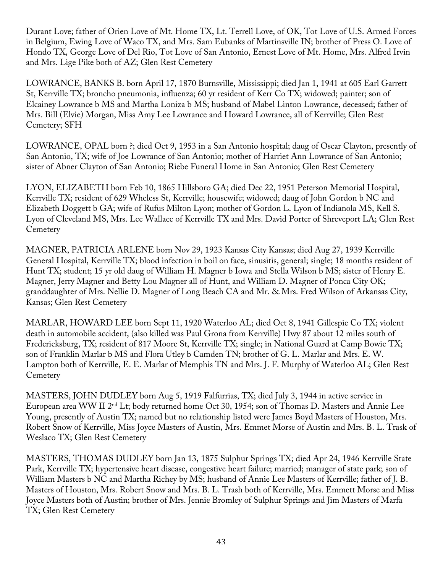Durant Love; father of Orien Love of Mt. Home TX, Lt. Terrell Love, of OK, Tot Love of U.S. Armed Forces in Belgium, Ewing Love of Waco TX, and Mrs. Sam Eubanks of Martinsville IN; brother of Press O. Love of Hondo TX, George Love of Del Rio, Tot Love of San Antonio, Ernest Love of Mt. Home, Mrs. Alfred Irvin and Mrs. Lige Pike both of AZ; Glen Rest Cemetery

LOWRANCE, BANKS B. born April 17, 1870 Burnsville, Mississippi; died Jan 1, 1941 at 605 Earl Garrett St, Kerrville TX; broncho pneumonia, influenza; 60 yr resident of Kerr Co TX; widowed; painter; son of Elcainey Lowrance b MS and Martha Loniza b MS; husband of Mabel Linton Lowrance, deceased; father of Mrs. Bill (Elvie) Morgan, Miss Amy Lee Lowrance and Howard Lowrance, all of Kerrville; Glen Rest Cemetery; SFH

LOWRANCE, OPAL born ?; died Oct 9, 1953 in a San Antonio hospital; daug of Oscar Clayton, presently of San Antonio, TX; wife of Joe Lowrance of San Antonio; mother of Harriet Ann Lowrance of San Antonio; sister of Abner Clayton of San Antonio; Riebe Funeral Home in San Antonio; Glen Rest Cemetery

LYON, ELIZABETH born Feb 10, 1865 Hillsboro GA; died Dec 22, 1951 Peterson Memorial Hospital, Kerrville TX; resident of 629 Wheless St, Kerrville; housewife; widowed; daug of John Gordon b NC and Elizabeth Doggett b GA; wife of Rufus Milton Lyon; mother of Gordon L. Lyon of Indianola MS, Kell S. Lyon of Cleveland MS, Mrs. Lee Wallace of Kerrville TX and Mrs. David Porter of Shreveport LA; Glen Rest **Cemetery** 

MAGNER, PATRICIA ARLENE born Nov 29, 1923 Kansas City Kansas; died Aug 27, 1939 Kerrville General Hospital, Kerrville TX; blood infection in boil on face, sinusitis, general; single; 18 months resident of Hunt TX; student; 15 yr old daug of William H. Magner b Iowa and Stella Wilson b MS; sister of Henry E. Magner, Jerry Magner and Betty Lou Magner all of Hunt, and William D. Magner of Ponca City OK; granddaughter of Mrs. Nellie D. Magner of Long Beach CA and Mr. & Mrs. Fred Wilson of Arkansas City, Kansas; Glen Rest Cemetery

MARLAR, HOWARD LEE born Sept 11, 1920 Waterloo AL; died Oct 8, 1941 Gillespie Co TX; violent death in automobile accident, (also killed was Paul Grona from Kerrville) Hwy 87 about 12 miles south of Fredericksburg, TX; resident of 817 Moore St, Kerrville TX; single; in National Guard at Camp Bowie TX; son of Franklin Marlar b MS and Flora Utley b Camden TN; brother of G. L. Marlar and Mrs. E. W. Lampton both of Kerrville, E. E. Marlar of Memphis TN and Mrs. J. F. Murphy of Waterloo AL; Glen Rest **Cemetery** 

MASTERS, JOHN DUDLEY born Aug 5, 1919 Falfurrias, TX; died July 3, 1944 in active service in European area WW II 2nd Lt; body returned home Oct 30, 1954; son of Thomas D. Masters and Annie Lee Young, presently of Austin TX; named but no relationship listed were James Boyd Masters of Houston, Mrs. Robert Snow of Kerrville, Miss Joyce Masters of Austin, Mrs. Emmet Morse of Austin and Mrs. B. L. Trask of Weslaco TX; Glen Rest Cemetery

MASTERS, THOMAS DUDLEY born Jan 13, 1875 Sulphur Springs TX; died Apr 24, 1946 Kerrville State Park, Kerrville TX; hypertensive heart disease, congestive heart failure; married; manager of state park; son of William Masters b NC and Martha Richey by MS; husband of Annie Lee Masters of Kerrville; father of J. B. Masters of Houston, Mrs. Robert Snow and Mrs. B. L. Trash both of Kerrville, Mrs. Emmett Morse and Miss Joyce Masters both of Austin; brother of Mrs. Jennie Bromley of Sulphur Springs and Jim Masters of Marfa TX; Glen Rest Cemetery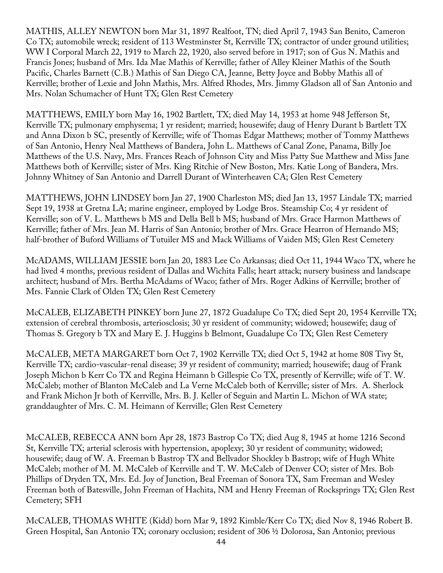MATHIS, ALLEY NEWTON born Mar 31, 1897 Realfoot, TN; died April 7, 1943 San Benito, Cameron Co TX; automobile wreck; resident of 113 Westminster St, Kerrville TX; contractor of under ground utilities; WW I Corporal March 22, 1919 to March 22, 1920, also served before in 1917; son of Gus N. Mathis and Francis Jones; husband of Mrs. Ida Mae Mathis of Kerrville; father of Alley Kleiner Mathis of the South Pacific, Charles Barnett (C.B.) Mathis of San Diego CA, Jeanne, Betty Joyce and Bobby Mathis all of Kerrville; brother of Lexie and John Mathis, Mrs. Alfred Rhodes, Mrs. Jimmy Gladson all of San Antonio and Mrs. Nolan Schumacher of Hunt TX; Glen Rest Cemetery

MATTHEWS, EMILY born May 16, 1902 Bartlett, TX; died May 14, 1953 at home 948 Jefferson St, Kerrville TX; pulmonary emphysema; 1 yr resident; married; housewife; daug of Henry Durant b Bartlett TX and Anna Dixon b SC, presently of Kerrville; wife of Thomas Edgar Matthews; mother of Tommy Matthews of San Antonio, Henry Neal Matthews of Bandera, John L. Matthews of Canal Zone, Panama, Billy Joe Matthews of the U.S. Navy, Mrs. Frances Reach of Johnson City and Miss Patty Sue Matthew and Miss Jane Matthews both of Kerrville; sister of Mrs. King Ritchie of New Boston, Mrs. Katie Long of Bandera, Mrs. Johnny Whitney of San Antonio and Darrell Durant of Winterheaven CA; Glen Rest Cemetery

MATTHEWS, JOHN LINDSEY born Jan 27, 1900 Charleston MS; died Jan 13, 1957 Lindale TX; married Sept 19, 1938 at Gretna LA; marine engineer, employed by Lodge Bros. Steamship Co; 4 yr resident of Kerrville; son of V. L. Matthews b MS and Della Bell b MS; husband of Mrs. Grace Harmon Matthews of Kerrville; father of Mrs. Jean M. Harris of San Antonio; brother of Mrs. Grace Hearron of Hernando MS; half-brother of Buford Williams of Tutuiler MS and Mack Williams of Vaiden MS; Glen Rest Cemetery

McADAMS, WILLIAM JESSIE born Jan 20, 1883 Lee Co Arkansas; died Oct 11, 1944 Waco TX, where he had lived 4 months, previous resident of Dallas and Wichita Falls; heart attack; nursery business and landscape architect; husband of Mrs. Bertha McAdams of Waco; father of Mrs. Roger Adkins of Kerrville; brother of Mrs. Fannie Clark of Olden TX; Glen Rest Cemetery

McCALEB, ELIZABETH PINKEY born June 27, 1872 Guadalupe Co TX; died Sept 20, 1954 Kerrville TX; extension of cerebral thrombosis, arteriosclosis; 30 yr resident of community; widowed; housewife; daug of Thomas S. Gregory b TX and Mary E. J. Huggins b Belmont, Guadalupe Co TX; Glen Rest Cemetery

McCALEB, META MARGARET born Oct 7, 1902 Kerrville TX; died Oct 5, 1942 at home 808 Tivy St, Kerrville TX; cardio-vascular-renal disease; 39 yr resident of community; married; housewife; daug of Frank Joseph Michon b Kerr Co TX and Regina Heimann b Gillespie Co TX, presently of Kerrville; wife of T. W. McCaleb; mother of Blanton McCaleb and La Verne McCaleb both of Kerrville; sister of Mrs. A. Sherlock and Frank Michon Jr both of Kerrville, Mrs. B. J. Keller of Seguin and Martin L. Michon of WA state; granddaughter of Mrs. C. M. Heimann of Kerrville; Glen Rest Cemetery

McCALEB, REBECCA ANN born Apr 28, 1873 Bastrop Co TX; died Aug 8, 1945 at home 1216 Second St, Kerrville TX; arterial sclerosis with hypertension, apoplexy; 30 yr resident of community; widowed; housewife; daug of W. A. Freeman b Bastrop TX and Bellvador Shockley b Bastrop; wife of Hugh White McCaleb; mother of M. M. McCaleb of Kerrville and T. W. McCaleb of Denver CO; sister of Mrs. Bob Phillips of Dryden TX, Mrs. Ed. Joy of Junction, Beal Freeman of Sonora TX, Sam Freeman and Wesley Freeman both of Batesville, John Freeman of Hachita, NM and Henry Freeman of Rocksprings TX; Glen Rest Cemetery; SFH

McCALEB, THOMAS WHITE (Kidd) born Mar 9, 1892 Kimble/Kerr Co TX; died Nov 8, 1946 Robert B. Green Hospital, San Antonio TX; coronary occlusion; resident of 306 ½ Dolorosa, San Antonio; previous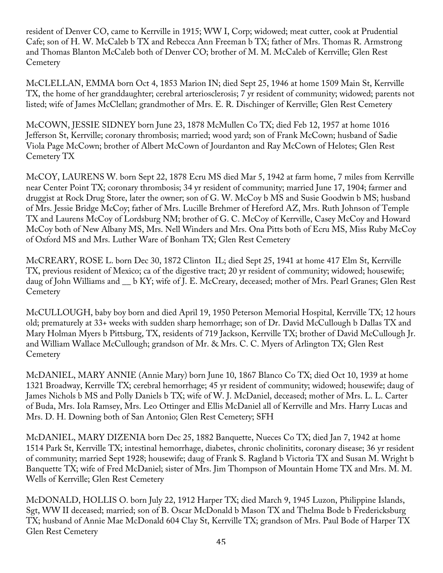resident of Denver CO, came to Kerrville in 1915; WW I, Corp; widowed; meat cutter, cook at Prudential Cafe; son of H. W. McCaleb b TX and Rebecca Ann Freeman b TX; father of Mrs. Thomas R. Armstrong and Thomas Blanton McCaleb both of Denver CO; brother of M. M. McCaleb of Kerrville; Glen Rest **Cemetery** 

McCLELLAN, EMMA born Oct 4, 1853 Marion IN; died Sept 25, 1946 at home 1509 Main St, Kerrville TX, the home of her granddaughter; cerebral arteriosclerosis; 7 yr resident of community; widowed; parents not listed; wife of James McClellan; grandmother of Mrs. E. R. Dischinger of Kerrville; Glen Rest Cemetery

McCOWN, JESSIE SIDNEY born June 23, 1878 McMullen Co TX; died Feb 12, 1957 at home 1016 Jefferson St, Kerrville; coronary thrombosis; married; wood yard; son of Frank McCown; husband of Sadie Viola Page McCown; brother of Albert McCown of Jourdanton and Ray McCown of Helotes; Glen Rest Cemetery TX

McCOY, LAURENS W. born Sept 22, 1878 Ecru MS died Mar 5, 1942 at farm home, 7 miles from Kerrville near Center Point TX; coronary thrombosis; 34 yr resident of community; married June 17, 1904; farmer and druggist at Rock Drug Store, later the owner; son of G. W. McCoy b MS and Susie Goodwin b MS; husband of Mrs. Jessie Bridge McCoy; father of Mrs. Lucille Brehmer of Hereford AZ, Mrs. Ruth Johnson of Temple TX and Laurens McCoy of Lordsburg NM; brother of G. C. McCoy of Kerrville, Casey McCoy and Howard McCoy both of New Albany MS, Mrs. Nell Winders and Mrs. Ona Pitts both of Ecru MS, Miss Ruby McCoy of Oxford MS and Mrs. Luther Ware of Bonham TX; Glen Rest Cemetery

McCREARY, ROSE L. born Dec 30, 1872 Clinton IL; died Sept 25, 1941 at home 417 Elm St, Kerrville TX, previous resident of Mexico; ca of the digestive tract; 20 yr resident of community; widowed; housewife; daug of John Williams and \_\_ b KY; wife of J. E. McCreary, deceased; mother of Mrs. Pearl Granes; Glen Rest **Cemetery** 

McCULLOUGH, baby boy born and died April 19, 1950 Peterson Memorial Hospital, Kerrville TX; 12 hours old; prematurely at 33+ weeks with sudden sharp hemorrhage; son of Dr. David McCullough b Dallas TX and Mary Holman Myers b Pittsburg, TX, residents of 719 Jackson, Kerrville TX; brother of David McCullough Jr. and William Wallace McCullough; grandson of Mr. & Mrs. C. C. Myers of Arlington TX; Glen Rest **Cemetery** 

McDANIEL, MARY ANNIE (Annie Mary) born June 10, 1867 Blanco Co TX; died Oct 10, 1939 at home 1321 Broadway, Kerrville TX; cerebral hemorrhage; 45 yr resident of community; widowed; housewife; daug of James Nichols b MS and Polly Daniels b TX; wife of W. J. McDaniel, deceased; mother of Mrs. L. L. Carter of Buda, Mrs. Iola Ramsey, Mrs. Leo Ottinger and Ellis McDaniel all of Kerrville and Mrs. Harry Lucas and Mrs. D. H. Downing both of San Antonio; Glen Rest Cemetery; SFH

McDANIEL, MARY DIZENIA born Dec 25, 1882 Banquette, Nueces Co TX; died Jan 7, 1942 at home 1514 Park St, Kerrville TX; intestinal hemorrhage, diabetes, chronic cholinitits, coronary disease; 36 yr resident of community; married Sept 1928; housewife; daug of Frank S. Ragland b Victoria TX and Susan M. Wright b Banquette TX; wife of Fred McDaniel; sister of Mrs. Jim Thompson of Mountain Home TX and Mrs. M. M. Wells of Kerrville; Glen Rest Cemetery

McDONALD, HOLLIS O. born July 22, 1912 Harper TX; died March 9, 1945 Luzon, Philippine Islands, Sgt, WW II deceased; married; son of B. Oscar McDonald b Mason TX and Thelma Bode b Fredericksburg TX; husband of Annie Mae McDonald 604 Clay St, Kerrville TX; grandson of Mrs. Paul Bode of Harper TX Glen Rest Cemetery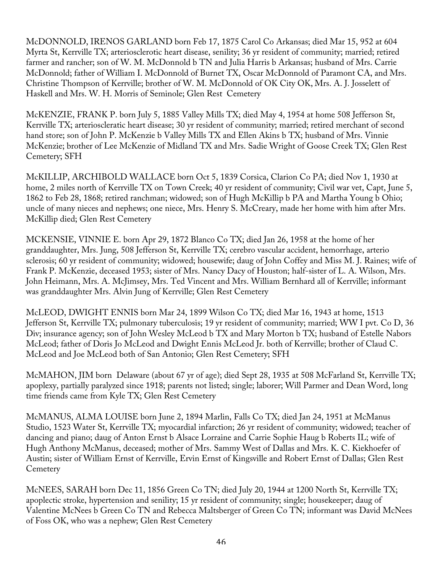McDONNOLD, IRENOS GARLAND born Feb 17, 1875 Carol Co Arkansas; died Mar 15, 952 at 604 Myrta St, Kerrville TX; arteriosclerotic heart disease, senility; 36 yr resident of community; married; retired farmer and rancher; son of W. M. McDonnold b TN and Julia Harris b Arkansas; husband of Mrs. Carrie McDonnold; father of William I. McDonnold of Burnet TX, Oscar McDonnold of Paramont CA, and Mrs. Christine Thompson of Kerrville; brother of W. M. McDonnold of OK City OK, Mrs. A. J. Josselett of Haskell and Mrs. W. H. Morris of Seminole; Glen Rest Cemetery

McKENZIE, FRANK P. born July 5, 1885 Valley Mills TX; died May 4, 1954 at home 508 Jefferson St, Kerrville TX; arterioscleratic heart disease; 30 yr resident of community; married; retired merchant of second hand store; son of John P. McKenzie b Valley Mills TX and Ellen Akins b TX; husband of Mrs. Vinnie McKenzie; brother of Lee McKenzie of Midland TX and Mrs. Sadie Wright of Goose Creek TX; Glen Rest Cemetery; SFH

McKILLIP, ARCHIBOLD WALLACE born Oct 5, 1839 Corsica, Clarion Co PA; died Nov 1, 1930 at home, 2 miles north of Kerrville TX on Town Creek; 40 yr resident of community; Civil war vet, Capt, June 5, 1862 to Feb 28, 1868; retired ranchman; widowed; son of Hugh McKillip b PA and Martha Young b Ohio; uncle of many nieces and nephews; one niece, Mrs. Henry S. McCreary, made her home with him after Mrs. McKillip died; Glen Rest Cemetery

MCKENSIE, VINNIE E. born Apr 29, 1872 Blanco Co TX; died Jan 26, 1958 at the home of her granddaughter, Mrs. Jung, 508 Jefferson St, Kerrville TX; cerebro vascular accident, hemorrhage, arterio sclerosis; 60 yr resident of community; widowed; housewife; daug of John Coffey and Miss M. J. Raines; wife of Frank P. McKenzie, deceased 1953; sister of Mrs. Nancy Dacy of Houston; half-sister of L. A. Wilson, Mrs. John Heimann, Mrs. A. McJimsey, Mrs. Ted Vincent and Mrs. William Bernhard all of Kerrville; informant was granddaughter Mrs. Alvin Jung of Kerrville; Glen Rest Cemetery

McLEOD, DWIGHT ENNIS born Mar 24, 1899 Wilson Co TX; died Mar 16, 1943 at home, 1513 Jefferson St, Kerrville TX; pulmonary tuberculosis; 19 yr resident of community; married; WW I pvt. Co D, 36 Div; insurance agency; son of John Wesley McLeod b TX and Mary Morton b TX; husband of Estelle Nabors McLeod; father of Doris Jo McLeod and Dwight Ennis McLeod Jr. both of Kerrville; brother of Claud C. McLeod and Joe McLeod both of San Antonio; Glen Rest Cemetery; SFH

McMAHON, JIM born Delaware (about 67 yr of age); died Sept 28, 1935 at 508 McFarland St, Kerrville TX; apoplexy, partially paralyzed since 1918; parents not listed; single; laborer; Will Parmer and Dean Word, long time friends came from Kyle TX; Glen Rest Cemetery

McMANUS, ALMA LOUISE born June 2, 1894 Marlin, Falls Co TX; died Jan 24, 1951 at McManus Studio, 1523 Water St, Kerrville TX; myocardial infarction; 26 yr resident of community; widowed; teacher of dancing and piano; daug of Anton Ernst b Alsace Lorraine and Carrie Sophie Haug b Roberts IL; wife of Hugh Anthony McManus, deceased; mother of Mrs. Sammy West of Dallas and Mrs. K. C. Kiekhoefer of Austin; sister of William Ernst of Kerrville, Ervin Ernst of Kingsville and Robert Ernst of Dallas; Glen Rest **Cemetery** 

McNEES, SARAH born Dec 11, 1856 Green Co TN; died July 20, 1944 at 1200 North St, Kerrville TX; apoplectic stroke, hypertension and senility; 15 yr resident of community; single; housekeeper; daug of Valentine McNees b Green Co TN and Rebecca Maltsberger of Green Co TN; informant was David McNees of Foss OK, who was a nephew; Glen Rest Cemetery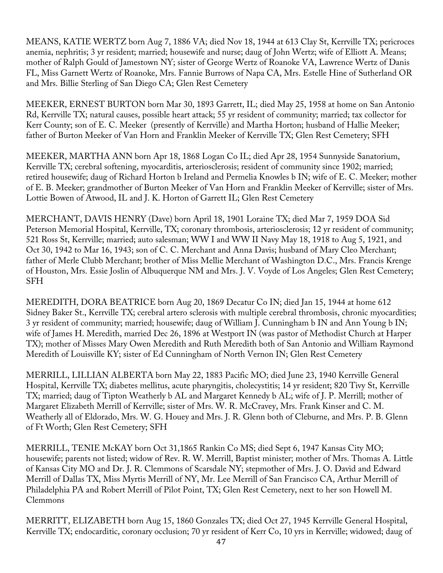MEANS, KATIE WERTZ born Aug 7, 1886 VA; died Nov 18, 1944 at 613 Clay St, Kerrville TX; pericroces anemia, nephritis; 3 yr resident; married; housewife and nurse; daug of John Wertz; wife of Elliott A. Means; mother of Ralph Gould of Jamestown NY; sister of George Wertz of Roanoke VA, Lawrence Wertz of Danis FL, Miss Garnett Wertz of Roanoke, Mrs. Fannie Burrows of Napa CA, Mrs. Estelle Hine of Sutherland OR and Mrs. Billie Sterling of San Diego CA; Glen Rest Cemetery

MEEKER, ERNEST BURTON born Mar 30, 1893 Garrett, IL; died May 25, 1958 at home on San Antonio Rd, Kerrville TX; natural causes, possible heart attack; 55 yr resident of community; married; tax collector for Kerr County; son of E. C. Meeker (presently of Kerrville) and Martha Horton; husband of Hallie Meeker; father of Burton Meeker of Van Horn and Franklin Meeker of Kerrville TX; Glen Rest Cemetery; SFH

MEEKER, MARTHA ANN born Apr 18, 1868 Logan Co IL; died Apr 28, 1954 Sunnyside Sanatorium, Kerrville TX; cerebral softening, myocarditis, arteriosclerosis; resident of community since 1902; married; retired housewife; daug of Richard Horton b Ireland and Permelia Knowles b IN; wife of E. C. Meeker; mother of E. B. Meeker; grandmother of Burton Meeker of Van Horn and Franklin Meeker of Kerrville; sister of Mrs. Lottie Bowen of Atwood, IL and J. K. Horton of Garrett IL; Glen Rest Cemetery

MERCHANT, DAVIS HENRY (Dave) born April 18, 1901 Loraine TX; died Mar 7, 1959 DOA Sid Peterson Memorial Hospital, Kerrville, TX; coronary thrombosis, arteriosclerosis; 12 yr resident of community; 521 Ross St, Kerrville; married; auto salesman; WW I and WW II Navy May 18, 1918 to Aug 5, 1921, and Oct 30, 1942 to Mar 16, 1943; son of C. C. Merchant and Anna Davis; husband of Mary Cleo Merchant; father of Merle Clubb Merchant; brother of Miss Mellie Merchant of Washington D.C., Mrs. Francis Krenge of Houston, Mrs. Essie Joslin of Albuquerque NM and Mrs. J. V. Voyde of Los Angeles; Glen Rest Cemetery; SFH

MEREDITH, DORA BEATRICE born Aug 20, 1869 Decatur Co IN; died Jan 15, 1944 at home 612 Sidney Baker St., Kerrville TX; cerebral artero sclerosis with multiple cerebral thrombosis, chronic myocardities; 3 yr resident of community; married; housewife; daug of William J. Cunningham b IN and Ann Young b IN; wife of James H. Meredith, married Dec 26, 1896 at Westport IN (was pastor of Methodist Church at Harper TX); mother of Misses Mary Owen Meredith and Ruth Meredith both of San Antonio and William Raymond Meredith of Louisville KY; sister of Ed Cunningham of North Vernon IN; Glen Rest Cemetery

MERRILL, LILLIAN ALBERTA born May 22, 1883 Pacific MO; died June 23, 1940 Kerrville General Hospital, Kerrville TX; diabetes mellitus, acute pharyngitis, cholecystitis; 14 yr resident; 820 Tivy St, Kerrville TX; married; daug of Tipton Weatherly b AL and Margaret Kennedy b AL; wife of J. P. Merrill; mother of Margaret Elizabeth Merrill of Kerrville; sister of Mrs. W. R. McCravey, Mrs. Frank Kinser and C. M. Weatherly all of Eldorado, Mrs. W. G. Houey and Mrs. J. R. Glenn both of Cleburne, and Mrs. P. B. Glenn of Ft Worth; Glen Rest Cemetery; SFH

MERRILL, TENIE McKAY born Oct 31,1865 Rankin Co MS; died Sept 6, 1947 Kansas City MO; housewife; parents not listed; widow of Rev. R. W. Merrill, Baptist minister; mother of Mrs. Thomas A. Little of Kansas City MO and Dr. J. R. Clemmons of Scarsdale NY; stepmother of Mrs. J. O. David and Edward Merrill of Dallas TX, Miss Myrtis Merrill of NY, Mr. Lee Merrill of San Francisco CA, Arthur Merrill of Philadelphia PA and Robert Merrill of Pilot Point, TX; Glen Rest Cemetery, next to her son Howell M. Clemmons

MERRITT, ELIZABETH born Aug 15, 1860 Gonzales TX; died Oct 27, 1945 Kerrville General Hospital, Kerrville TX; endocarditic, coronary occlusion; 70 yr resident of Kerr Co, 10 yrs in Kerrville; widowed; daug of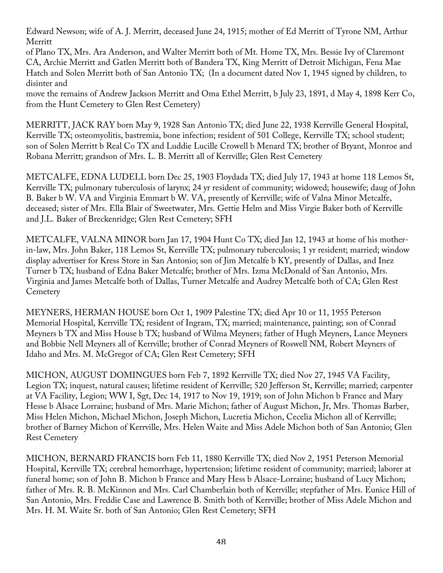Edward Newson; wife of A. J. Merritt, deceased June 24, 1915; mother of Ed Merritt of Tyrone NM, Arthur Merritt

of Plano TX, Mrs. Ara Anderson, and Walter Merritt both of Mt. Home TX, Mrs. Bessie Ivy of Claremont CA, Archie Merritt and Gatlen Merritt both of Bandera TX, King Merritt of Detroit Michigan, Fena Mae Hatch and Solen Merritt both of San Antonio TX; (In a document dated Nov 1, 1945 signed by children, to disinter and

move the remains of Andrew Jackson Merritt and Oma Ethel Merritt, b July 23, 1891, d May 4, 1898 Kerr Co, from the Hunt Cemetery to Glen Rest Cemetery)

MERRITT, JACK RAY born May 9, 1928 San Antonio TX; died June 22, 1938 Kerrville General Hospital, Kerrville TX; osteomyolitis, bastremia, bone infection; resident of 501 College, Kerrville TX; school student; son of Solen Merritt b Real Co TX and Luddie Lucille Crowell b Menard TX; brother of Bryant, Monroe and Robana Merritt; grandson of Mrs. L. B. Merritt all of Kerrville; Glen Rest Cemetery

METCALFE, EDNA LUDELL born Dec 25, 1903 Floydada TX; died July 17, 1943 at home 118 Lemos St, Kerrville TX; pulmonary tuberculosis of larynx; 24 yr resident of community; widowed; housewife; daug of John B. Baker b W. VA and Virginia Emmart b W. VA, presently of Kerrville; wife of Valna Minor Metcalfe, deceased; sister of Mrs. Ella Blair of Sweetwater, Mrs. Gettie Helm and Miss Virgie Baker both of Kerrville and J.L. Baker of Breckenridge; Glen Rest Cemetery; SFH

METCALFE, VALNA MINOR born Jan 17, 1904 Hunt Co TX; died Jan 12, 1943 at home of his motherin-law, Mrs. John Baker, 118 Lemos St, Kerrville TX; pulmonary tuberculosis; 1 yr resident; married; window display advertiser for Kress Store in San Antonio; son of Jim Metcalfe b KY, presently of Dallas, and Inez Turner b TX; husband of Edna Baker Metcalfe; brother of Mrs. Izma McDonald of San Antonio, Mrs. Virginia and James Metcalfe both of Dallas, Turner Metcalfe and Audrey Metcalfe both of CA; Glen Rest **Cemetery** 

MEYNERS, HERMAN HOUSE born Oct 1, 1909 Palestine TX; died Apr 10 or 11, 1955 Peterson Memorial Hospital, Kerrville TX; resident of Ingram, TX; married; maintenance, painting; son of Conrad Meyners b TX and Miss House b TX; husband of Wilma Meyners; father of Hugh Meyners, Lance Meyners and Bobbie Nell Meyners all of Kerrville; brother of Conrad Meyners of Roswell NM, Robert Meyners of Idaho and Mrs. M. McGregor of CA; Glen Rest Cemetery; SFH

MICHON, AUGUST DOMINGUES born Feb 7, 1892 Kerrville TX; died Nov 27, 1945 VA Facility, Legion TX; inquest, natural causes; lifetime resident of Kerrville; 520 Jefferson St, Kerrville; married; carpenter at VA Facility, Legion; WW I, Sgt, Dec 14, 1917 to Nov 19, 1919; son of John Michon b France and Mary Hesse b Alsace Lorraine; husband of Mrs. Marie Michon; father of August Michon, Jr, Mrs. Thomas Barber, Miss Helen Michon, Michael Michon, Joseph Michon, Lucretia Michon, Cecelia Michon all of Kerrville; brother of Barney Michon of Kerrville, Mrs. Helen Waite and Miss Adele Michon both of San Antonio; Glen Rest Cemetery

MICHON, BERNARD FRANCIS born Feb 11, 1880 Kerrville TX; died Nov 2, 1951 Peterson Memorial Hospital, Kerrville TX; cerebral hemorrhage, hypertension; lifetime resident of community; married; laborer at funeral home; son of John B. Michon b France and Mary Hess b Alsace-Lorraine; husband of Lucy Michon; father of Mrs. R. B. McKinnon and Mrs. Carl Chamberlain both of Kerrville; stepfather of Mrs. Eunice Hill of San Antonio, Mrs. Freddie Case and Lawrence B. Smith both of Kerrville; brother of Miss Adele Michon and Mrs. H. M. Waite Sr. both of San Antonio; Glen Rest Cemetery; SFH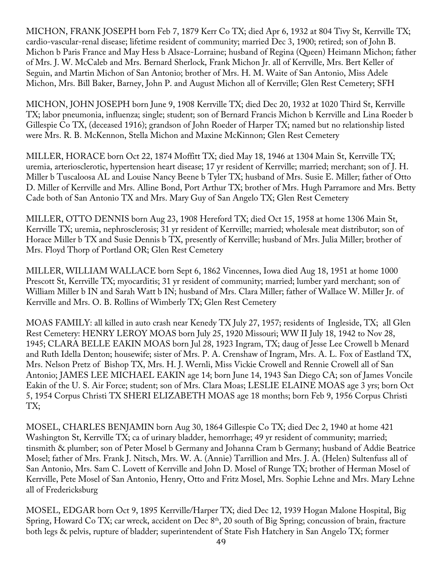MICHON, FRANK JOSEPH born Feb 7, 1879 Kerr Co TX; died Apr 6, 1932 at 804 Tivy St, Kerrville TX; cardio-vascular-renal disease; lifetime resident of community; married Dec 3, 1900; retired; son of John B. Michon b Paris France and May Hess b Alsace-Lorraine; husband of Regina (Queen) Heimann Michon; father of Mrs. J. W. McCaleb and Mrs. Bernard Sherlock, Frank Michon Jr. all of Kerrville, Mrs. Bert Keller of Seguin, and Martin Michon of San Antonio; brother of Mrs. H. M. Waite of San Antonio, Miss Adele Michon, Mrs. Bill Baker, Barney, John P. and August Michon all of Kerrville; Glen Rest Cemetery; SFH

MICHON, JOHN JOSEPH born June 9, 1908 Kerrville TX; died Dec 20, 1932 at 1020 Third St, Kerrville TX; labor pneumonia, influenza; single; student; son of Bernard Francis Michon b Kerrville and Lina Roeder b Gillespie Co TX, (deceased 1916); grandson of John Roeder of Harper TX; named but no relationship listed were Mrs. R. B. McKennon, Stella Michon and Maxine McKinnon; Glen Rest Cemetery

MILLER, HORACE born Oct 22, 1874 Moffitt TX; died May 18, 1946 at 1304 Main St, Kerrville TX; uremia, arteriosclerotic, hypertension heart disease; 17 yr resident of Kerrville; married; merchant; son of J. H. Miller b Tuscaloosa AL and Louise Nancy Beene b Tyler TX; husband of Mrs. Susie E. Miller; father of Otto D. Miller of Kerrville and Mrs. Alline Bond, Port Arthur TX; brother of Mrs. Hugh Parramore and Mrs. Betty Cade both of San Antonio TX and Mrs. Mary Guy of San Angelo TX; Glen Rest Cemetery

MILLER, OTTO DENNIS born Aug 23, 1908 Hereford TX; died Oct 15, 1958 at home 1306 Main St, Kerrville TX; uremia, nephrosclerosis; 31 yr resident of Kerrville; married; wholesale meat distributor; son of Horace Miller b TX and Susie Dennis b TX, presently of Kerrville; husband of Mrs. Julia Miller; brother of Mrs. Floyd Thorp of Portland OR; Glen Rest Cemetery

MILLER, WILLIAM WALLACE born Sept 6, 1862 Vincennes, Iowa died Aug 18, 1951 at home 1000 Prescott St, Kerrville TX; myocarditis; 31 yr resident of community; married; lumber yard merchant; son of William Miller b IN and Sarah Watt b IN; husband of Mrs. Clara Miller; father of Wallace W. Miller Jr. of Kerrville and Mrs. O. B. Rollins of Wimberly TX; Glen Rest Cemetery

MOAS FAMILY: all killed in auto crash near Kenedy TX July 27, 1957; residents of Ingleside, TX; all Glen Rest Cemetery: HENRY LEROY MOAS born July 25, 1920 Missouri; WW II July 18, 1942 to Nov 28, 1945; CLARA BELLE EAKIN MOAS born Jul 28, 1923 Ingram, TX; daug of Jesse Lee Crowell b Menard and Ruth Idella Denton; housewife; sister of Mrs. P. A. Crenshaw of Ingram, Mrs. A. L. Fox of Eastland TX, Mrs. Nelson Pretz of Bishop TX, Mrs. H. J. Wernli, Miss Vickie Crowell and Rennie Crowell all of San Antonio; JAMES LEE MICHAEL EAKIN age 14; born June 14, 1943 San Diego CA; son of James Voncile Eakin of the U. S. Air Force; student; son of Mrs. Clara Moas; LESLIE ELAINE MOAS age 3 yrs; born Oct 5, 1954 Corpus Christi TX SHERI ELIZABETH MOAS age 18 months; born Feb 9, 1956 Corpus Christi TX;

MOSEL, CHARLES BENJAMIN born Aug 30, 1864 Gillespie Co TX; died Dec 2, 1940 at home 421 Washington St, Kerrville TX; ca of urinary bladder, hemorrhage; 49 yr resident of community; married; tinsmith & plumber; son of Peter Mosel b Germany and Johanna Cram b Germany; husband of Addie Beatrice Mosel; father of Mrs. Frank J. Nitsch, Mrs. W. A. (Annie) Tarrillion and Mrs. J. A. (Helen) Sultenfuss all of San Antonio, Mrs. Sam C. Lovett of Kerrville and John D. Mosel of Runge TX; brother of Herman Mosel of Kerrville, Pete Mosel of San Antonio, Henry, Otto and Fritz Mosel, Mrs. Sophie Lehne and Mrs. Mary Lehne all of Fredericksburg

MOSEL, EDGAR born Oct 9, 1895 Kerrville/Harper TX; died Dec 12, 1939 Hogan Malone Hospital, Big Spring, Howard Co TX; car wreck, accident on Dec  $8<sup>th</sup>$ , 20 south of Big Spring; concussion of brain, fracture both legs & pelvis, rupture of bladder; superintendent of State Fish Hatchery in San Angelo TX; former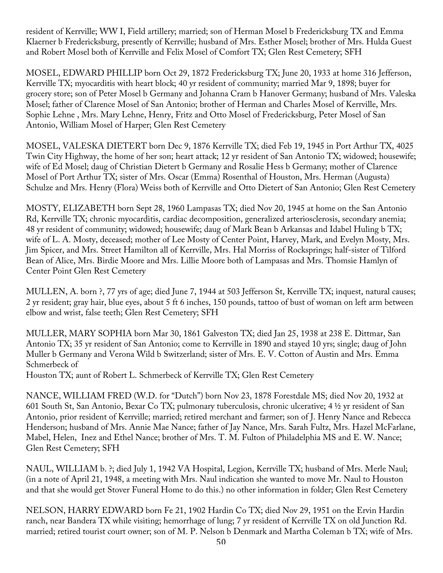resident of Kerrville; WW I, Field artillery; married; son of Herman Mosel b Fredericksburg TX and Emma Klaerner b Fredericksburg, presently of Kerrville; husband of Mrs. Esther Mosel; brother of Mrs. Hulda Guest and Robert Mosel both of Kerrville and Felix Mosel of Comfort TX; Glen Rest Cemetery; SFH

MOSEL, EDWARD PHILLIP born Oct 29, 1872 Fredericksburg TX; June 20, 1933 at home 316 Jefferson, Kerrville TX; myocarditis with heart block; 40 yr resident of community; married Mar 9, 1898; buyer for grocery store; son of Peter Mosel b Germany and Johanna Cram b Hanover Germany; husband of Mrs. Valeska Mosel; father of Clarence Mosel of San Antonio; brother of Herman and Charles Mosel of Kerrville, Mrs. Sophie Lehne , Mrs. Mary Lehne, Henry, Fritz and Otto Mosel of Fredericksburg, Peter Mosel of San Antonio, William Mosel of Harper; Glen Rest Cemetery

MOSEL, VALESKA DIETERT born Dec 9, 1876 Kerrville TX; died Feb 19, 1945 in Port Arthur TX, 4025 Twin City Highway, the home of her son; heart attack; 12 yr resident of San Antonio TX; widowed; housewife; wife of Ed Mosel; daug of Christian Dietert b Germany and Rosalie Hess b Germany; mother of Clarence Mosel of Port Arthur TX; sister of Mrs. Oscar (Emma) Rosenthal of Houston, Mrs. Herman (Augusta) Schulze and Mrs. Henry (Flora) Weiss both of Kerrville and Otto Dietert of San Antonio; Glen Rest Cemetery

MOSTY, ELIZABETH born Sept 28, 1960 Lampasas TX; died Nov 20, 1945 at home on the San Antonio Rd, Kerrville TX; chronic myocarditis, cardiac decomposition, generalized arteriosclerosis, secondary anemia; 48 yr resident of community; widowed; housewife; daug of Mark Bean b Arkansas and Idabel Huling b TX; wife of L. A. Mosty, deceased; mother of Lee Mosty of Center Point, Harvey, Mark, and Evelyn Mosty, Mrs. Jim Spicer, and Mrs. Street Hamilton all of Kerrville, Mrs. Hal Morriss of Rocksprings; half-sister of Tilford Bean of Alice, Mrs. Birdie Moore and Mrs. Lillie Moore both of Lampasas and Mrs. Thomsie Hamlyn of Center Point Glen Rest Cemetery

MULLEN, A. born ?, 77 yrs of age; died June 7, 1944 at 503 Jefferson St, Kerrville TX; inquest, natural causes; 2 yr resident; gray hair, blue eyes, about 5 ft 6 inches, 150 pounds, tattoo of bust of woman on left arm between elbow and wrist, false teeth; Glen Rest Cemetery; SFH

MULLER, MARY SOPHIA born Mar 30, 1861 Galveston TX; died Jan 25, 1938 at 238 E. Dittmar, San Antonio TX; 35 yr resident of San Antonio; come to Kerrville in 1890 and stayed 10 yrs; single; daug of John Muller b Germany and Verona Wild b Switzerland; sister of Mrs. E. V. Cotton of Austin and Mrs. Emma Schmerbeck of

Houston TX; aunt of Robert L. Schmerbeck of Kerrville TX; Glen Rest Cemetery

NANCE, WILLIAM FRED (W.D. for "Dutch") born Nov 23, 1878 Forestdale MS; died Nov 20, 1932 at 601 South St, San Antonio, Bexar Co TX; pulmonary tuberculosis, chronic ulcerative; 4 ½ yr resident of San Antonio, prior resident of Kerrville; married; retired merchant and farmer; son of J. Henry Nance and Rebecca Henderson; husband of Mrs. Annie Mae Nance; father of Jay Nance, Mrs. Sarah Fultz, Mrs. Hazel McFarlane, Mabel, Helen, Inez and Ethel Nance; brother of Mrs. T. M. Fulton of Philadelphia MS and E. W. Nance; Glen Rest Cemetery; SFH

NAUL, WILLIAM b. ?; died July 1, 1942 VA Hospital, Legion, Kerrville TX; husband of Mrs. Merle Naul; (in a note of April 21, 1948, a meeting with Mrs. Naul indication she wanted to move Mr. Naul to Houston and that she would get Stover Funeral Home to do this.) no other information in folder; Glen Rest Cemetery

NELSON, HARRY EDWARD born Fe 21, 1902 Hardin Co TX; died Nov 29, 1951 on the Ervin Hardin ranch, near Bandera TX while visiting; hemorrhage of lung; 7 yr resident of Kerrville TX on old Junction Rd. married; retired tourist court owner; son of M. P. Nelson b Denmark and Martha Coleman b TX; wife of Mrs.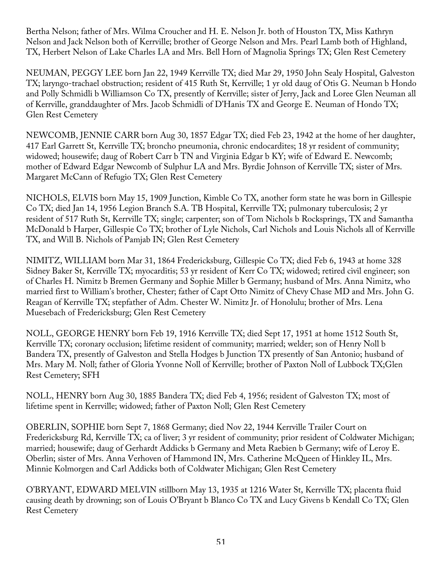Bertha Nelson; father of Mrs. Wilma Croucher and H. E. Nelson Jr. both of Houston TX, Miss Kathryn Nelson and Jack Nelson both of Kerrville; brother of George Nelson and Mrs. Pearl Lamb both of Highland, TX, Herbert Nelson of Lake Charles LA and Mrs. Bell Horn of Magnolia Springs TX; Glen Rest Cemetery

NEUMAN, PEGGY LEE born Jan 22, 1949 Kerrville TX; died Mar 29, 1950 John Sealy Hospital, Galveston TX; laryngo-trachael obstruction; resident of 415 Ruth St, Kerrville; 1 yr old daug of Otis G. Neuman b Hondo and Polly Schmidli b Williamson Co TX, presently of Kerrville; sister of Jerry, Jack and Loree Glen Neuman all of Kerrville, granddaughter of Mrs. Jacob Schmidli of D'Hanis TX and George E. Neuman of Hondo TX; Glen Rest Cemetery

NEWCOMB, JENNIE CARR born Aug 30, 1857 Edgar TX; died Feb 23, 1942 at the home of her daughter, 417 Earl Garrett St, Kerrville TX; broncho pneumonia, chronic endocardites; 18 yr resident of community; widowed; housewife; daug of Robert Carr b TN and Virginia Edgar b KY; wife of Edward E. Newcomb; mother of Edward Edgar Newcomb of Sulphur LA and Mrs. Byrdie Johnson of Kerrville TX; sister of Mrs. Margaret McCann of Refugio TX; Glen Rest Cemetery

NICHOLS, ELVIS born May 15, 1909 Junction, Kimble Co TX, another form state he was born in Gillespie Co TX; died Jan 14, 1956 Legion Branch S.A. TB Hospital, Kerrville TX; pulmonary tuberculosis; 2 yr resident of 517 Ruth St, Kerrville TX; single; carpenter; son of Tom Nichols b Rocksprings, TX and Samantha McDonald b Harper, Gillespie Co TX; brother of Lyle Nichols, Carl Nichols and Louis Nichols all of Kerrville TX, and Will B. Nichols of Pamjab IN; Glen Rest Cemetery

NIMITZ, WILLIAM born Mar 31, 1864 Fredericksburg, Gillespie Co TX; died Feb 6, 1943 at home 328 Sidney Baker St, Kerrville TX; myocarditis; 53 yr resident of Kerr Co TX; widowed; retired civil engineer; son of Charles H. Nimitz b Bremen Germany and Sophie Miller b Germany; husband of Mrs. Anna Nimitz, who married first to William's brother, Chester; father of Capt Otto Nimitz of Chevy Chase MD and Mrs. John G. Reagan of Kerrville TX; stepfather of Adm. Chester W. Nimitz Jr. of Honolulu; brother of Mrs. Lena Muesebach of Fredericksburg; Glen Rest Cemetery

NOLL, GEORGE HENRY born Feb 19, 1916 Kerrville TX; died Sept 17, 1951 at home 1512 South St, Kerrville TX; coronary occlusion; lifetime resident of community; married; welder; son of Henry Noll b Bandera TX, presently of Galveston and Stella Hodges b Junction TX presently of San Antonio; husband of Mrs. Mary M. Noll; father of Gloria Yvonne Noll of Kerrville; brother of Paxton Noll of Lubbock TX;Glen Rest Cemetery; SFH

NOLL, HENRY born Aug 30, 1885 Bandera TX; died Feb 4, 1956; resident of Galveston TX; most of lifetime spent in Kerrville; widowed; father of Paxton Noll; Glen Rest Cemetery

OBERLIN, SOPHIE born Sept 7, 1868 Germany; died Nov 22, 1944 Kerrville Trailer Court on Fredericksburg Rd, Kerrville TX; ca of liver; 3 yr resident of community; prior resident of Coldwater Michigan; married; housewife; daug of Gerhardt Addicks b Germany and Meta Raebien b Germany; wife of Leroy E. Oberlin; sister of Mrs. Anna Verhoven of Hammond IN, Mrs. Catherine McQueen of Hinkley IL, Mrs. Minnie Kolmorgen and Carl Addicks both of Coldwater Michigan; Glen Rest Cemetery

O'BRYANT, EDWARD MELVIN stillborn May 13, 1935 at 1216 Water St, Kerrville TX; placenta fluid causing death by drowning; son of Louis O'Bryant b Blanco Co TX and Lucy Givens b Kendall Co TX; Glen Rest Cemetery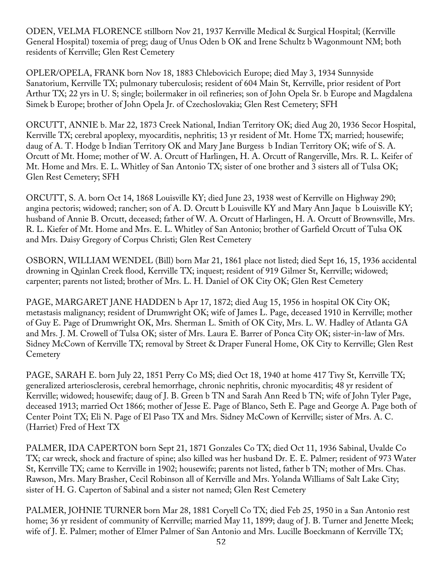ODEN, VELMA FLORENCE stillborn Nov 21, 1937 Kerrville Medical & Surgical Hospital; (Kerrville General Hospital) toxemia of preg; daug of Unus Oden b OK and Irene Schultz b Wagonmount NM; both residents of Kerrville; Glen Rest Cemetery

OPLER/OPELA, FRANK born Nov 18, 1883 Chlebovicich Europe; died May 3, 1934 Sunnyside Sanatorium, Kerrville TX; pulmonary tuberculosis; resident of 604 Main St, Kerrville, prior resident of Port Arthur TX; 22 yrs in U. S; single; boilermaker in oil refineries; son of John Opela Sr. b Europe and Magdalena Simek b Europe; brother of John Opela Jr. of Czechoslovakia; Glen Rest Cemetery; SFH

ORCUTT, ANNIE b. Mar 22, 1873 Creek National, Indian Territory OK; died Aug 20, 1936 Secor Hospital, Kerrville TX; cerebral apoplexy, myocarditis, nephritis; 13 yr resident of Mt. Home TX; married; housewife; daug of A. T. Hodge b Indian Territory OK and Mary Jane Burgess b Indian Territory OK; wife of S. A. Orcutt of Mt. Home; mother of W. A. Orcutt of Harlingen, H. A. Orcutt of Rangerville, Mrs. R. L. Keifer of Mt. Home and Mrs. E. L. Whitley of San Antonio TX; sister of one brother and 3 sisters all of Tulsa OK; Glen Rest Cemetery; SFH

ORCUTT, S. A. born Oct 14, 1868 Louisville KY; died June 23, 1938 west of Kerrville on Highway 290; angina pectoris; widowed; rancher; son of A. D. Orcutt b Louisville KY and Mary Ann Jaque b Louisville KY; husband of Annie B. Orcutt, deceased; father of W. A. Orcutt of Harlingen, H. A. Orcutt of Brownsville, Mrs. R. L. Kiefer of Mt. Home and Mrs. E. L. Whitley of San Antonio; brother of Garfield Orcutt of Tulsa OK and Mrs. Daisy Gregory of Corpus Christi; Glen Rest Cemetery

OSBORN, WILLIAM WENDEL (Bill) born Mar 21, 1861 place not listed; died Sept 16, 15, 1936 accidental drowning in Quinlan Creek flood, Kerrville TX; inquest; resident of 919 Gilmer St, Kerrville; widowed; carpenter; parents not listed; brother of Mrs. L. H. Daniel of OK City OK; Glen Rest Cemetery

PAGE, MARGARET JANE HADDEN b Apr 17, 1872; died Aug 15, 1956 in hospital OK City OK; metastasis malignancy; resident of Drumwright OK; wife of James L. Page, deceased 1910 in Kerrville; mother of Guy E. Page of Drumwright OK, Mrs. Sherman L. Smith of OK City, Mrs. L. W. Hadley of Atlanta GA and Mrs. J. M. Crowell of Tulsa OK; sister of Mrs. Laura E. Barrer of Ponca City OK; sister-in-law of Mrs. Sidney McCown of Kerrville TX; removal by Street & Draper Funeral Home, OK City to Kerrville; Glen Rest **Cemetery** 

PAGE, SARAH E. born July 22, 1851 Perry Co MS; died Oct 18, 1940 at home 417 Tivy St, Kerrville TX; generalized arteriosclerosis, cerebral hemorrhage, chronic nephritis, chronic myocarditis; 48 yr resident of Kerrville; widowed; housewife; daug of J. B. Green b TN and Sarah Ann Reed b TN; wife of John Tyler Page, deceased 1913; married Oct 1866; mother of Jesse E. Page of Blanco, Seth E. Page and George A. Page both of Center Point TX; Eli N. Page of El Paso TX and Mrs. Sidney McCown of Kerrville; sister of Mrs. A. C. (Harriet) Fred of Hext TX

PALMER, IDA CAPERTON born Sept 21, 1871 Gonzales Co TX; died Oct 11, 1936 Sabinal, Uvalde Co TX; car wreck, shock and fracture of spine; also killed was her husband Dr. E. E. Palmer; resident of 973 Water St, Kerrville TX; came to Kerrville in 1902; housewife; parents not listed, father b TN; mother of Mrs. Chas. Rawson, Mrs. Mary Brasher, Cecil Robinson all of Kerrville and Mrs. Yolanda Williams of Salt Lake City; sister of H. G. Caperton of Sabinal and a sister not named; Glen Rest Cemetery

PALMER, JOHNIE TURNER born Mar 28, 1881 Coryell Co TX; died Feb 25, 1950 in a San Antonio rest home; 36 yr resident of community of Kerrville; married May 11, 1899; daug of J. B. Turner and Jenette Meek; wife of J. E. Palmer; mother of Elmer Palmer of San Antonio and Mrs. Lucille Boeckmann of Kerrville TX;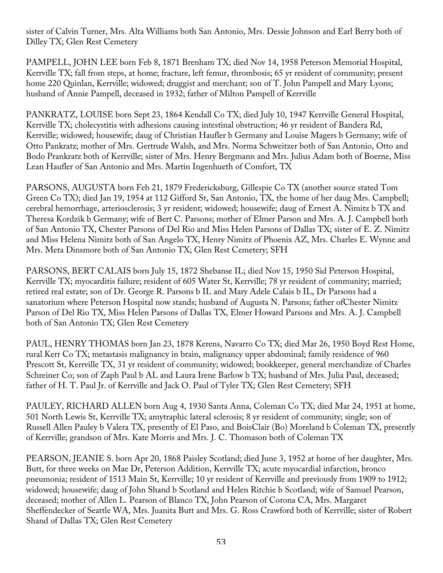sister of Calvin Turner, Mrs. Alta Williams both San Antonio, Mrs. Dessie Johnson and Earl Berry both of Dilley TX; Glen Rest Cemetery

PAMPELL, JOHN LEE born Feb 8, 1871 Brenham TX; died Nov 14, 1958 Peterson Memorial Hospital, Kerrville TX; fall from steps, at home; fracture, left femur, thrombosis; 65 yr resident of community; present home 220 Quinlan, Kerrville; widowed; druggist and merchant; son of T. John Pampell and Mary Lyons; husband of Annie Pampell, deceased in 1932; father of Milton Pampell of Kerrville

PANKRATZ, LOUISE born Sept 23, 1864 Kendall Co TX; died July 10, 1947 Kerrville General Hospital, Kerrville TX; cholecystitis with adhesions causing intestinal obstruction; 46 yr resident of Bandera Rd, Kerrville; widowed; housewife; daug of Christian Haufler b Germany and Louise Magers b Germany; wife of Otto Pankratz; mother of Mrs. Gertrude Walsh, and Mrs. Norma Schweitzer both of San Antonio, Otto and Bodo Prankratz both of Kerrville; sister of Mrs. Henry Bergmann and Mrs. Julius Adam both of Boerne, Miss Lean Haufler of San Antonio and Mrs. Martin Ingenhueth of Comfort, TX

PARSONS, AUGUSTA born Feb 21, 1879 Fredericksburg, Gillespie Co TX (another source stated Tom Green Co TX); died Jan 19, 1954 at 112 Gifford St, San Antonio, TX, the home of her daug Mrs. Campbell; cerebral hemorrhage, arteriosclerosis; 3 yr resident; widowed; housewife; daug of Ernest A. Nimitz b TX and Theresa Kordzik b Germany; wife of Bert C. Parsons; mother of Elmer Parson and Mrs. A. J. Campbell both of San Antonio TX, Chester Parsons of Del Rio and Miss Helen Parsons of Dallas TX; sister of E. Z. Nimitz and Miss Helena Nimitz both of San Angelo TX, Henry Nimitz of Phoenix AZ, Mrs. Charles E. Wynne and Mrs. Meta Dinsmore both of San Antonio TX; Glen Rest Cemetery; SFH

PARSONS, BERT CALAIS born July 15, 1872 Shebanse IL; died Nov 15, 1950 Sid Peterson Hospital, Kerrville TX; myocarditis failure; resident of 605 Water St, Kerrville; 78 yr resident of community; married; retired real estate; son of Dr. George R. Parsons b IL and Mary Adele Calais b IL, Dr Parsons had a sanatorium where Peterson Hospital now stands; husband of Augusta N. Parsons; father ofChester Nimitz Parson of Del Rio TX, Miss Helen Parsons of Dallas TX, Elmer Howard Parsons and Mrs. A. J. Campbell both of San Antonio TX; Glen Rest Cemetery

PAUL, HENRY THOMAS born Jan 23, 1878 Kerens, Navarro Co TX; died Mar 26, 1950 Boyd Rest Home, rural Kerr Co TX; metastasis malignancy in brain, malignancy upper abdominal; family residence of 960 Prescott St, Kerrville TX, 31 yr resident of community; widowed; bookkeeper, general merchandize of Charles Schreiner Co; son of Zaph Paul b AL and Laura Irene Barlow b TX; husband of Mrs. Julia Paul, deceased; father of H. T. Paul Jr. of Kerrville and Jack O. Paul of Tyler TX; Glen Rest Cemetery; SFH

PAULEY, RICHARD ALLEN born Aug 4, 1930 Santa Anna, Coleman Co TX; died Mar 24, 1951 at home, 501 North Lewis St, Kerrville TX; amytraphic lateral sclerosis; 8 yr resident of community; single; son of Russell Allen Pauley b Valera TX, presently of El Paso, and BoisClair (Bo) Moreland b Coleman TX, presently of Kerrville; grandson of Mrs. Kate Morris and Mrs. J. C. Thomason both of Coleman TX

PEARSON, JEANIE S. born Apr 20, 1868 Paisley Scotland; died June 3, 1952 at home of her daughter, Mrs. Butt, for three weeks on Mae Dr, Peterson Addition, Kerrville TX; acute myocardial infarction, bronco pneumonia; resident of 1513 Main St, Kerrville; 10 yr resident of Kerrville and previously from 1909 to 1912; widowed; housewife; daug of John Shand b Scotland and Helen Ritchie b Scotland; wife of Samuel Pearson, deceased; mother of Allen L. Pearson of Blanco TX, John Pearson of Corona CA, Mrs. Margaret Sheffendecker of Seattle WA, Mrs. Juanita Butt and Mrs. G. Ross Crawford both of Kerrville; sister of Robert Shand of Dallas TX; Glen Rest Cemetery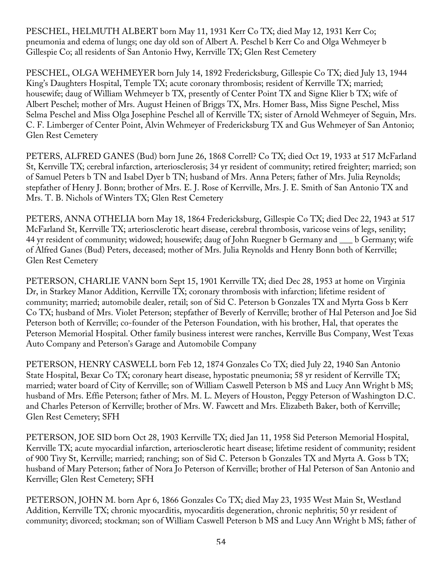PESCHEL, HELMUTH ALBERT born May 11, 1931 Kerr Co TX; died May 12, 1931 Kerr Co; pneumonia and edema of lungs; one day old son of Albert A. Peschel b Kerr Co and Olga Wehmeyer b Gillespie Co; all residents of San Antonio Hwy, Kerrville TX; Glen Rest Cemetery

PESCHEL, OLGA WEHMEYER born July 14, 1892 Fredericksburg, Gillespie Co TX; died July 13, 1944 King's Daughters Hospital, Temple TX; acute coronary thrombosis; resident of Kerrville TX; married; housewife; daug of William Wehmeyer b TX, presently of Center Point TX and Signe Klier b TX; wife of Albert Peschel; mother of Mrs. August Heinen of Briggs TX, Mrs. Homer Bass, Miss Signe Peschel, Miss Selma Peschel and Miss Olga Josephine Peschel all of Kerrville TX; sister of Arnold Wehmeyer of Seguin, Mrs. C. F. Limberger of Center Point, Alvin Wehmeyer of Fredericksburg TX and Gus Wehmeyer of San Antonio; Glen Rest Cemetery

PETERS, ALFRED GANES (Bud) born June 26, 1868 Correll? Co TX; died Oct 19, 1933 at 517 McFarland St, Kerrville TX; cerebral infarction, arteriosclerosis; 34 yr resident of community; retired freighter; married; son of Samuel Peters b TN and Isabel Dyer b TN; husband of Mrs. Anna Peters; father of Mrs. Julia Reynolds; stepfather of Henry J. Bonn; brother of Mrs. E. J. Rose of Kerrville, Mrs. J. E. Smith of San Antonio TX and Mrs. T. B. Nichols of Winters TX; Glen Rest Cemetery

PETERS, ANNA OTHELIA born May 18, 1864 Fredericksburg, Gillespie Co TX; died Dec 22, 1943 at 517 McFarland St, Kerrville TX; arteriosclerotic heart disease, cerebral thrombosis, varicose veins of legs, senility; 44 yr resident of community; widowed; housewife; daug of John Ruegner b Germany and \_\_\_ b Germany; wife of Alfred Ganes (Bud) Peters, deceased; mother of Mrs. Julia Reynolds and Henry Bonn both of Kerrville; Glen Rest Cemetery

PETERSON, CHARLIE VANN born Sept 15, 1901 Kerrville TX; died Dec 28, 1953 at home on Virginia Dr, in Starkey Manor Addition, Kerrville TX; coronary thrombosis with infarction; lifetime resident of community; married; automobile dealer, retail; son of Sid C. Peterson b Gonzales TX and Myrta Goss b Kerr Co TX; husband of Mrs. Violet Peterson; stepfather of Beverly of Kerrville; brother of Hal Peterson and Joe Sid Peterson both of Kerrville; co-founder of the Peterson Foundation, with his brother, Hal, that operates the Peterson Memorial Hospital. Other family business interest were ranches, Kerrville Bus Company, West Texas Auto Company and Peterson's Garage and Automobile Company

PETERSON, HENRY CASWELL born Feb 12, 1874 Gonzales Co TX; died July 22, 1940 San Antonio State Hospital, Bexar Co TX; coronary heart disease, hypostatic pneumonia; 58 yr resident of Kerrville TX; married; water board of City of Kerrville; son of William Caswell Peterson b MS and Lucy Ann Wright b MS; husband of Mrs. Effie Peterson; father of Mrs. M. L. Meyers of Houston, Peggy Peterson of Washington D.C. and Charles Peterson of Kerrville; brother of Mrs. W. Fawcett and Mrs. Elizabeth Baker, both of Kerrville; Glen Rest Cemetery; SFH

PETERSON, JOE SID born Oct 28, 1903 Kerrville TX; died Jan 11, 1958 Sid Peterson Memorial Hospital, Kerrville TX; acute myocardial infarction, arteriosclerotic heart disease; lifetime resident of community; resident of 900 Tivy St, Kerrville; married; ranching; son of Sid C. Peterson b Gonzales TX and Myrta A. Goss b TX; husband of Mary Peterson; father of Nora Jo Peterson of Kerrville; brother of Hal Peterson of San Antonio and Kerrville; Glen Rest Cemetery; SFH

PETERSON, JOHN M. born Apr 6, 1866 Gonzales Co TX; died May 23, 1935 West Main St, Westland Addition, Kerrville TX; chronic myocarditis, myocarditis degeneration, chronic nephritis; 50 yr resident of community; divorced; stockman; son of William Caswell Peterson b MS and Lucy Ann Wright b MS; father of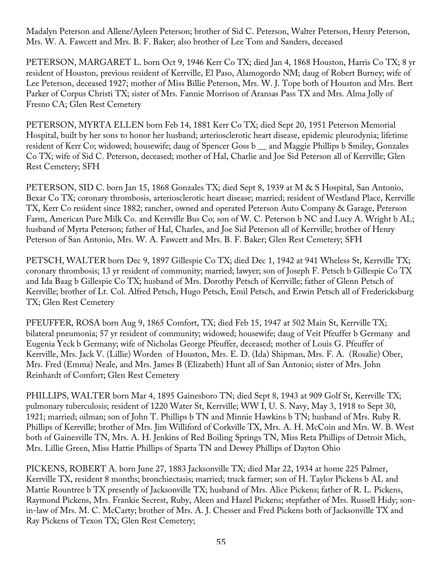Madalyn Peterson and Allene/Ayleen Peterson; brother of Sid C. Peterson, Walter Peterson, Henry Peterson, Mrs. W. A. Fawcett and Mrs. B. F. Baker; also brother of Lee Tom and Sanders, deceased

PETERSON, MARGARET L. born Oct 9, 1946 Kerr Co TX; died Jan 4, 1868 Houston, Harris Co TX; 8 yr resident of Houston, previous resident of Kerrville, El Paso, Alamogordo NM; daug of Robert Burney; wife of Lee Peterson, deceased 1927; mother of Miss Billie Peterson, Mrs. W. J. Tope both of Houston and Mrs. Bert Parker of Corpus Christi TX; sister of Mrs. Fannie Morrison of Aransas Pass TX and Mrs. Alma Jolly of Fresno CA; Glen Rest Cemetery

PETERSON, MYRTA ELLEN born Feb 14, 1881 Kerr Co TX; died Sept 20, 1951 Peterson Memorial Hospital, built by her sons to honor her husband; arteriosclerotic heart disease, epidemic pleurodynia; lifetime resident of Kerr Co; widowed; housewife; daug of Spencer Goss b \_\_ and Maggie Phillips b Smiley, Gonzales Co TX; wife of Sid C. Peterson, deceased; mother of Hal, Charlie and Joe Sid Peterson all of Kerrville; Glen Rest Cemetery; SFH

PETERSON, SID C. born Jan 15, 1868 Gonzales TX; died Sept 8, 1939 at M & S Hospital, San Antonio, Bexar Co TX; coronary thrombosis, arteriosclerotic heart disease; married; resident of Westland Place, Kerrville TX, Kerr Co resident since 1882; rancher, owned and operated Peterson Auto Company & Garage, Peterson Farm, American Pure Milk Co. and Kerrville Bus Co; son of W. C. Peterson b NC and Lucy A. Wright b AL; husband of Myrta Peterson; father of Hal, Charles, and Joe Sid Peterson all of Kerrville; brother of Henry Peterson of San Antonio, Mrs. W. A. Fawcett and Mrs. B. F. Baker; Glen Rest Cemetery; SFH

PETSCH, WALTER born Dec 9, 1897 Gillespie Co TX; died Dec 1, 1942 at 941 Wheless St, Kerrville TX; coronary thrombosis; 13 yr resident of community; married; lawyer; son of Joseph F. Petsch b Gillespie Co TX and Ida Baag b Gillespie Co TX; husband of Mrs. Dorothy Petsch of Kerrville; father of Glenn Petsch of Kerrville; brother of Lt. Col. Alfred Petsch, Hugo Petsch, Emil Petsch, and Erwin Petsch all of Fredericksburg TX; Glen Rest Cemetery

PFEUFFER, ROSA born Aug 9, 1865 Comfort, TX; died Feb 15, 1947 at 502 Main St, Kerrville TX; bilateral pneumonia; 57 yr resident of community; widowed; housewife; daug of Veit Pfeuffer b Germany and Eugenia Yeck b Germany; wife of Nicholas George Pfeuffer, deceased; mother of Louis G. Pfeuffer of Kerrville, Mrs. Jack V. (Lillie) Worden of Houston, Mrs. E. D. (Ida) Shipman, Mrs. F. A. (Rosalie) Ober, Mrs. Fred (Emma) Neale, and Mrs. James B (Elizabeth) Hunt all of San Antonio; sister of Mrs. John Reinhardt of Comfort; Glen Rest Cemetery

PHILLIPS, WALTER born Mar 4, 1895 Gainesboro TN; died Sept 8, 1943 at 909 Golf St, Kerrville TX; pulmonary tuberculosis; resident of 1220 Water St, Kerrville; WW I, U. S. Navy, May 3, 1918 to Sept 30, 1921; married; oilman; son of John T. Phillips b TN and Minnie Hawkins b TN; husband of Mrs. Ruby R. Phillips of Kerrville; brother of Mrs. Jim Williford of Corkville TX, Mrs. A. H. McCoin and Mrs. W. B. West both of Gainesville TN, Mrs. A. H. Jenkins of Red Boiling Springs TN, Miss Reta Phillips of Detroit Mich, Mrs. Lillie Green, Miss Hattie Phillips of Sparta TN and Dewey Phillips of Dayton Ohio

PICKENS, ROBERT A. born June 27, 1883 Jacksonville TX; died Mar 22, 1934 at home 225 Palmer, Kerrville TX, resident 8 months; bronchiectasis; married; truck farmer; son of H. Taylor Pickens b AL and Mattie Rountree b TX presently of Jacksonville TX; husband of Mrs. Alice Pickens; father of R. L. Pickens, Raymond Pickens, Mrs. Frankie Secrest, Ruby, Aleen and Hazel Pickens; stepfather of Mrs. Russell Hidy; sonin-law of Mrs. M. C. McCarty; brother of Mrs. A. J. Chesser and Fred Pickens both of Jacksonville TX and Ray Pickens of Texon TX; Glen Rest Cemetery;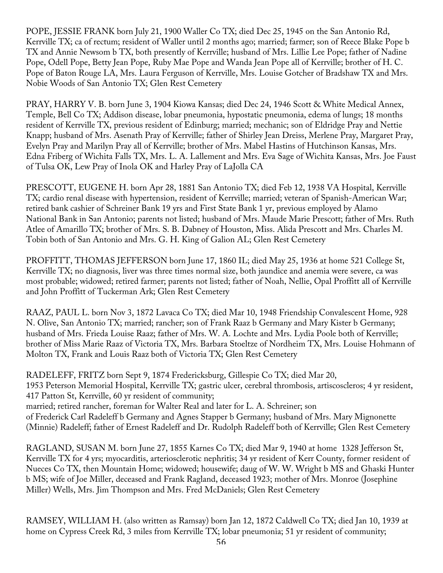POPE, JESSIE FRANK born July 21, 1900 Waller Co TX; died Dec 25, 1945 on the San Antonio Rd, Kerrville TX; ca of rectum; resident of Waller until 2 months ago; married; farmer; son of Reece Blake Pope b TX and Annie Newsom b TX, both presently of Kerrville; husband of Mrs. Lillie Lee Pope; father of Nadine Pope, Odell Pope, Betty Jean Pope, Ruby Mae Pope and Wanda Jean Pope all of Kerrville; brother of H. C. Pope of Baton Rouge LA, Mrs. Laura Ferguson of Kerrville, Mrs. Louise Gotcher of Bradshaw TX and Mrs. Nobie Woods of San Antonio TX; Glen Rest Cemetery

PRAY, HARRY V. B. born June 3, 1904 Kiowa Kansas; died Dec 24, 1946 Scott & White Medical Annex, Temple, Bell Co TX; Addison disease, lobar pneumonia, hypostatic pneumonia, edema of lungs; 18 months resident of Kerrville TX, previous resident of Edinburg; married; mechanic; son of Eldridge Pray and Nettie Knapp; husband of Mrs. Asenath Pray of Kerrville; father of Shirley Jean Dreiss, Merlene Pray, Margaret Pray, Evelyn Pray and Marilyn Pray all of Kerrville; brother of Mrs. Mabel Hastins of Hutchinson Kansas, Mrs. Edna Friberg of Wichita Falls TX, Mrs. L. A. Lallement and Mrs. Eva Sage of Wichita Kansas, Mrs. Joe Faust of Tulsa OK, Lew Pray of Inola OK and Harley Pray of LaJolla CA

PRESCOTT, EUGENE H. born Apr 28, 1881 San Antonio TX; died Feb 12, 1938 VA Hospital, Kerrville TX; cardio renal disease with hypertension, resident of Kerrville; married; veteran of Spanish-American War; retired bank cashier of Schreiner Bank 19 yrs and First State Bank 1 yr, previous employed by Alamo National Bank in San Antonio; parents not listed; husband of Mrs. Maude Marie Prescott; father of Mrs. Ruth Atlee of Amarillo TX; brother of Mrs. S. B. Dabney of Houston, Miss. Alida Prescott and Mrs. Charles M. Tobin both of San Antonio and Mrs. G. H. King of Galion AL; Glen Rest Cemetery

PROFFITT, THOMAS JEFFERSON born June 17, 1860 IL; died May 25, 1936 at home 521 College St, Kerrville TX; no diagnosis, liver was three times normal size, both jaundice and anemia were severe, ca was most probable; widowed; retired farmer; parents not listed; father of Noah, Nellie, Opal Proffitt all of Kerrville and John Proffitt of Tuckerman Ark; Glen Rest Cemetery

RAAZ, PAUL L. born Nov 3, 1872 Lavaca Co TX; died Mar 10, 1948 Friendship Convalescent Home, 928 N. Olive, San Antonio TX; married; rancher; son of Frank Raaz b Germany and Mary Kister b Germany; husband of Mrs. Frieda Louise Raaz; father of Mrs. W. A. Lochte and Mrs. Lydia Poole both of Kerrville; brother of Miss Marie Raaz of Victoria TX, Mrs. Barbara Stoeltze of Nordheim TX, Mrs. Louise Hohmann of Molton TX, Frank and Louis Raaz both of Victoria TX; Glen Rest Cemetery

RADELEFF, FRITZ born Sept 9, 1874 Fredericksburg, Gillespie Co TX; died Mar 20, 1953 Peterson Memorial Hospital, Kerrville TX; gastric ulcer, cerebral thrombosis, artiscoscleros; 4 yr resident, 417 Patton St, Kerrville, 60 yr resident of community; married; retired rancher, foreman for Walter Real and later for L. A. Schreiner; son of Frederick Carl Radeleff b Germany and Agnes Stapper b Germany; husband of Mrs. Mary Mignonette (Minnie) Radeleff; father of Ernest Radeleff and Dr. Rudolph Radeleff both of Kerrville; Glen Rest Cemetery

RAGLAND, SUSAN M. born June 27, 1855 Karnes Co TX; died Mar 9, 1940 at home 1328 Jefferson St, Kerrville TX for 4 yrs; myocarditis, arteriosclerotic nephritis; 34 yr resident of Kerr County, former resident of Nueces Co TX, then Mountain Home; widowed; housewife; daug of W. W. Wright b MS and Ghaski Hunter b MS; wife of Joe Miller, deceased and Frank Ragland, deceased 1923; mother of Mrs. Monroe (Josephine Miller) Wells, Mrs. Jim Thompson and Mrs. Fred McDaniels; Glen Rest Cemetery

RAMSEY, WILLIAM H. (also written as Ramsay) born Jan 12, 1872 Caldwell Co TX; died Jan 10, 1939 at home on Cypress Creek Rd, 3 miles from Kerrville TX; lobar pneumonia; 51 yr resident of community;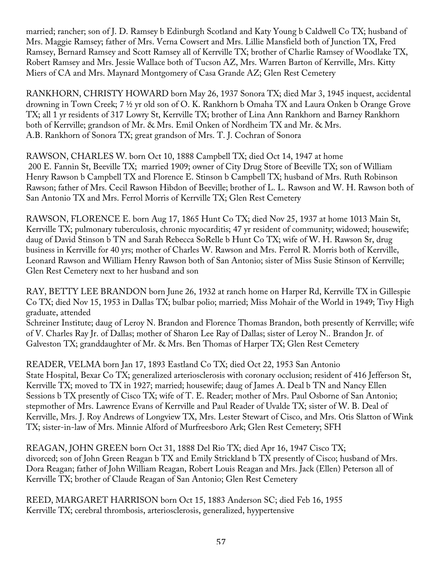married; rancher; son of J. D. Ramsey b Edinburgh Scotland and Katy Young b Caldwell Co TX; husband of Mrs. Maggie Ramsey; father of Mrs. Verna Cowsert and Mrs. Lillie Mansfield both of Junction TX, Fred Ramsey, Bernard Ramsey and Scott Ramsey all of Kerrville TX; brother of Charlie Ramsey of Woodlake TX, Robert Ramsey and Mrs. Jessie Wallace both of Tucson AZ, Mrs. Warren Barton of Kerrville, Mrs. Kitty Miers of CA and Mrs. Maynard Montgomery of Casa Grande AZ; Glen Rest Cemetery

RANKHORN, CHRISTY HOWARD born May 26, 1937 Sonora TX; died Mar 3, 1945 inquest, accidental drowning in Town Creek; 7 ½ yr old son of O. K. Rankhorn b Omaha TX and Laura Onken b Orange Grove TX; all 1 yr residents of 317 Lowry St, Kerrville TX; brother of Lina Ann Rankhorn and Barney Rankhorn both of Kerrville; grandson of Mr. & Mrs. Emil Onken of Nordheim TX and Mr. & Mrs. A.B. Rankhorn of Sonora TX; great grandson of Mrs. T. J. Cochran of Sonora

RAWSON, CHARLES W. born Oct 10, 1888 Campbell TX; died Oct 14, 1947 at home 200 E. Fannin St, Beeville TX; married 1909; owner of City Drug Store of Beeville TX; son of William Henry Rawson b Campbell TX and Florence E. Stinson b Campbell TX; husband of Mrs. Ruth Robinson Rawson; father of Mrs. Cecil Rawson Hibdon of Beeville; brother of L. L. Rawson and W. H. Rawson both of San Antonio TX and Mrs. Ferrol Morris of Kerrville TX; Glen Rest Cemetery

RAWSON, FLORENCE E. born Aug 17, 1865 Hunt Co TX; died Nov 25, 1937 at home 1013 Main St, Kerrville TX; pulmonary tuberculosis, chronic myocarditis; 47 yr resident of community; widowed; housewife; daug of David Stinson b TN and Sarah Rebecca SoRelle b Hunt Co TX; wife of W. H. Rawson Sr, drug business in Kerrville for 40 yrs; mother of Charles W. Rawson and Mrs. Ferrol R. Morris both of Kerrville, Leonard Rawson and William Henry Rawson both of San Antonio; sister of Miss Susie Stinson of Kerrville; Glen Rest Cemetery next to her husband and son

RAY, BETTY LEE BRANDON born June 26, 1932 at ranch home on Harper Rd, Kerrville TX in Gillespie Co TX; died Nov 15, 1953 in Dallas TX; bulbar polio; married; Miss Mohair of the World in 1949; Tivy High graduate, attended Schreiner Institute; daug of Leroy N. Brandon and Florence Thomas Brandon, both presently of Kerrville; wife of V. Charles Ray Jr. of Dallas; mother of Sharon Lee Ray of Dallas; sister of Leroy N.. Brandon Jr. of Galveston TX; granddaughter of Mr. & Mrs. Ben Thomas of Harper TX; Glen Rest Cemetery

READER, VELMA born Jan 17, 1893 Eastland Co TX; died Oct 22, 1953 San Antonio State Hospital, Bexar Co TX; generalized arteriosclerosis with coronary occlusion; resident of 416 Jefferson St, Kerrville TX; moved to TX in 1927; married; housewife; daug of James A. Deal b TN and Nancy Ellen Sessions b TX presently of Cisco TX; wife of T. E. Reader; mother of Mrs. Paul Osborne of San Antonio; stepmother of Mrs. Lawrence Evans of Kerrville and Paul Reader of Uvalde TX; sister of W. B. Deal of Kerrville, Mrs. J. Roy Andrews of Longview TX, Mrs. Lester Stewart of Cisco, and Mrs. Otis Slatton of Wink TX; sister-in-law of Mrs. Minnie Alford of Murfreesboro Ark; Glen Rest Cemetery; SFH

REAGAN, JOHN GREEN born Oct 31, 1888 Del Rio TX; died Apr 16, 1947 Cisco TX; divorced; son of John Green Reagan b TX and Emily Strickland b TX presently of Cisco; husband of Mrs. Dora Reagan; father of John William Reagan, Robert Louis Reagan and Mrs. Jack (Ellen) Peterson all of Kerrville TX; brother of Claude Reagan of San Antonio; Glen Rest Cemetery

REED, MARGARET HARRISON born Oct 15, 1883 Anderson SC; died Feb 16, 1955 Kerrville TX; cerebral thrombosis, arteriosclerosis, generalized, hyypertensive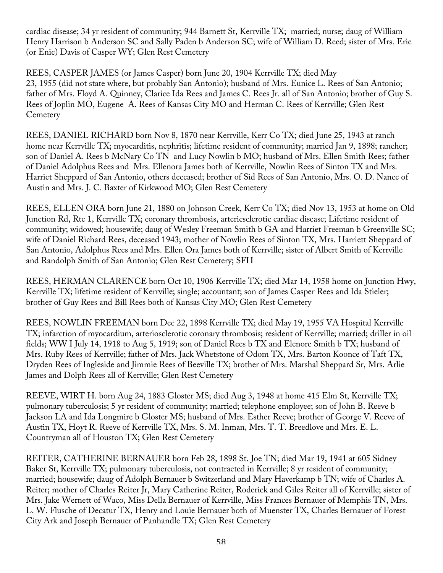cardiac disease; 34 yr resident of community; 944 Barnett St, Kerrville TX; married; nurse; daug of William Henry Harrison b Anderson SC and Sally Paden b Anderson SC; wife of William D. Reed; sister of Mrs. Erie (or Enie) Davis of Casper WY; Glen Rest Cemetery

REES, CASPER JAMES (or James Casper) born June 20, 1904 Kerrville TX; died May 23, 1955 (did not state where, but probably San Antonio); husband of Mrs. Eunice L. Rees of San Antonio; father of Mrs. Floyd A. Quinney, Clarice Ida Rees and James C. Rees Jr. all of San Antonio; brother of Guy S. Rees of Joplin MO, Eugene A. Rees of Kansas City MO and Herman C. Rees of Kerrville; Glen Rest **Cemetery** 

REES, DANIEL RICHARD born Nov 8, 1870 near Kerrville, Kerr Co TX; died June 25, 1943 at ranch home near Kerrville TX; myocarditis, nephritis; lifetime resident of community; married Jan 9, 1898; rancher; son of Daniel A. Rees b McNary Co TN and Lucy Nowlin b MO; husband of Mrs. Ellen Smith Rees; father of Daniel Adolphus Rees and Mrs. Ellenora James both of Kerrville, Nowlin Rees of Sinton TX and Mrs. Harriet Sheppard of San Antonio, others deceased; brother of Sid Rees of San Antonio, Mrs. O. D. Nance of Austin and Mrs. J. C. Baxter of Kirkwood MO; Glen Rest Cemetery

REES, ELLEN ORA born June 21, 1880 on Johnson Creek, Kerr Co TX; died Nov 13, 1953 at home on Old Junction Rd, Rte 1, Kerrville TX; coronary thrombosis, artericsclerotic cardiac disease; Lifetime resident of community; widowed; housewife; daug of Wesley Freeman Smith b GA and Harriet Freeman b Greenville SC; wife of Daniel Richard Rees, deceased 1943; mother of Nowlin Rees of Sinton TX, Mrs. Harriett Sheppard of San Antonio, Adolphus Rees and Mrs. Ellen Ora James both of Kerrville; sister of Albert Smith of Kerrville and Randolph Smith of San Antonio; Glen Rest Cemetery; SFH

REES, HERMAN CLARENCE born Oct 10, 1906 Kerrville TX; died Mar 14, 1958 home on Junction Hwy, Kerrville TX; lifetime resident of Kerrville; single; accountant; son of James Casper Rees and Ida Stieler; brother of Guy Rees and Bill Rees both of Kansas City MO; Glen Rest Cemetery

REES, NOWLIN FREEMAN born Dec 22, 1898 Kerrville TX; died May 19, 1955 VA Hospital Kerrville TX; infarction of myocardium, arteriosclerotic coronary thrombosis; resident of Kerrville; married; driller in oil fields; WW I July 14, 1918 to Aug 5, 1919; son of Daniel Rees b TX and Elenore Smith b TX; husband of Mrs. Ruby Rees of Kerrville; father of Mrs. Jack Whetstone of Odom TX, Mrs. Barton Koonce of Taft TX, Dryden Rees of Ingleside and Jimmie Rees of Beeville TX; brother of Mrs. Marshal Sheppard Sr, Mrs. Arlie James and Dolph Rees all of Kerrville; Glen Rest Cemetery

REEVE, WIRT H. born Aug 24, 1883 Gloster MS; died Aug 3, 1948 at home 415 Elm St, Kerrville TX; pulmonary tuberculosis; 5 yr resident of community; married; telephone employee; son of John B. Reeve b Jackson LA and Ida Longmire b Gloster MS; husband of Mrs. Esther Reeve; brother of George V. Reeve of Austin TX, Hoyt R. Reeve of Kerrville TX, Mrs. S. M. Inman, Mrs. T. T. Breedlove and Mrs. E. L. Countryman all of Houston TX; Glen Rest Cemetery

REITER, CATHERINE BERNAUER born Feb 28, 1898 St. Joe TN; died Mar 19, 1941 at 605 Sidney Baker St, Kerrville TX; pulmonary tuberculosis, not contracted in Kerrville; 8 yr resident of community; married; housewife; daug of Adolph Bernauer b Switzerland and Mary Haverkamp b TN; wife of Charles A. Reiter; mother of Charles Reiter Jr, Mary Catherine Reiter, Roderick and Giles Reiter all of Kerrville; sister of Mrs. Jake Wernett of Waco, Miss Della Bernauer of Kerrville, Miss Frances Bernauer of Memphis TN, Mrs. L. W. Flusche of Decatur TX, Henry and Louie Bernauer both of Muenster TX, Charles Bernauer of Forest City Ark and Joseph Bernauer of Panhandle TX; Glen Rest Cemetery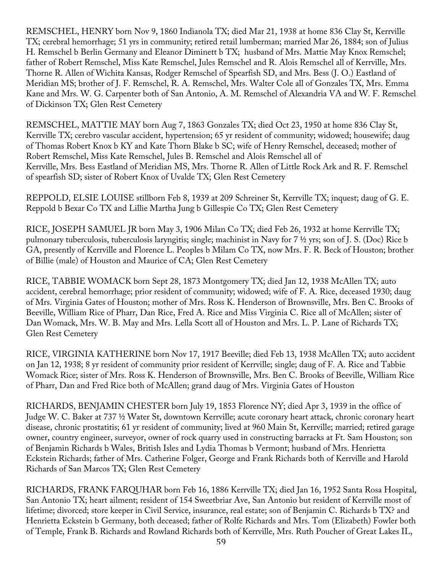REMSCHEL, HENRY born Nov 9, 1860 Indianola TX; died Mar 21, 1938 at home 836 Clay St, Kerrville TX; cerebral hemorrhage; 51 yrs in community; retired retail lumberman; married Mar 26, 1884; son of Julius H. Remschel b Berlin Germany and Eleanor Diminett b TX; husband of Mrs. Mattie May Knox Remschel; father of Robert Remschel, Miss Kate Remschel, Jules Remschel and R. Alois Remschel all of Kerrville, Mrs. Thorne R. Allen of Wichita Kansas, Rodger Remschel of Spearfish SD, and Mrs. Bess (J. O.) Eastland of Meridian MS; brother of J. F. Remschel, R. A. Remschel, Mrs. Walter Cole all of Gonzales TX, Mrs. Emma Kane and Mrs. W. G. Carpenter both of San Antonio, A. M. Remschel of Alexandria VA and W. F. Remschel of Dickinson TX; Glen Rest Cemetery

REMSCHEL, MATTIE MAY born Aug 7, 1863 Gonzales TX; died Oct 23, 1950 at home 836 Clay St, Kerrville TX; cerebro vascular accident, hypertension; 65 yr resident of community; widowed; housewife; daug of Thomas Robert Knox b KY and Kate Thorn Blake b SC; wife of Henry Remschel, deceased; mother of Robert Remschel, Miss Kate Remschel, Jules B. Remschel and Alois Remschel all of Kerrville, Mrs. Bess Eastland of Meridian MS, Mrs. Thorne R. Allen of Little Rock Ark and R. F. Remschel of spearfish SD; sister of Robert Knox of Uvalde TX; Glen Rest Cemetery

REPPOLD, ELSIE LOUISE stillborn Feb 8, 1939 at 209 Schreiner St, Kerrville TX; inquest; daug of G. E. Reppold b Bexar Co TX and Lillie Martha Jung b Gillespie Co TX; Glen Rest Cemetery

RICE, JOSEPH SAMUEL JR born May 3, 1906 Milan Co TX; died Feb 26, 1932 at home Kerrville TX; pulmonary tuberculosis, tuberculosis laryngitis; single; machinist in Navy for 7 ½ yrs; son of J. S. (Doc) Rice b GA, presently of Kerrville and Florence L. Peoples b Milam Co TX, now Mrs. F. R. Beck of Houston; brother of Billie (male) of Houston and Maurice of CA; Glen Rest Cemetery

RICE, TABBIE WOMACK born Sept 28, 1873 Montgomery TX; died Jan 12, 1938 McAllen TX; auto accident, cerebral hemorrhage; prior resident of community; widowed; wife of F. A. Rice, deceased 1930; daug of Mrs. Virginia Gates of Houston; mother of Mrs. Ross K. Henderson of Brownsville, Mrs. Ben C. Brooks of Beeville, William Rice of Pharr, Dan Rice, Fred A. Rice and Miss Virginia C. Rice all of McAllen; sister of Dan Womack, Mrs. W. B. May and Mrs. Lella Scott all of Houston and Mrs. L. P. Lane of Richards TX; Glen Rest Cemetery

RICE, VIRGINIA KATHERINE born Nov 17, 1917 Beeville; died Feb 13, 1938 McAllen TX; auto accident on Jan 12, 1938; 8 yr resident of community prior resident of Kerrville; single; daug of F. A. Rice and Tabbie Womack Rice; sister of Mrs. Ross K. Henderson of Brownsville, Mrs. Ben C. Brooks of Beeville, William Rice of Pharr, Dan and Fred Rice both of McAllen; grand daug of Mrs. Virginia Gates of Houston

RICHARDS, BENJAMIN CHESTER born July 19, 1853 Florence NY; died Apr 3, 1939 in the office of Judge W. C. Baker at 737 ½ Water St, downtown Kerrville; acute coronary heart attack, chronic coronary heart disease, chronic prostatitis; 61 yr resident of community; lived at 960 Main St, Kerrville; married; retired garage owner, country engineer, surveyor, owner of rock quarry used in constructing barracks at Ft. Sam Houston; son of Benjamin Richards b Wales, British Isles and Lydia Thomas b Vermont; husband of Mrs. Henrietta Eckstein Richards; father of Mrs. Catherine Folger, George and Frank Richards both of Kerrville and Harold Richards of San Marcos TX; Glen Rest Cemetery

RICHARDS, FRANK FARQUHAR born Feb 16, 1886 Kerrville TX; died Jan 16, 1952 Santa Rosa Hospital, San Antonio TX; heart ailment; resident of 154 Sweetbriar Ave, San Antonio but resident of Kerrville most of lifetime; divorced; store keeper in Civil Service, insurance, real estate; son of Benjamin C. Richards b TX? and Henrietta Eckstein b Germany, both deceased; father of Rolfe Richards and Mrs. Tom (Elizabeth) Fowler both of Temple, Frank B. Richards and Rowland Richards both of Kerrville, Mrs. Ruth Poucher of Great Lakes IL,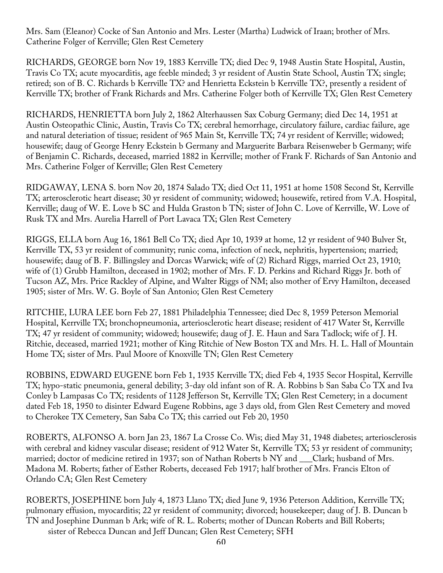Mrs. Sam (Eleanor) Cocke of San Antonio and Mrs. Lester (Martha) Ludwick of Iraan; brother of Mrs. Catherine Folger of Kerrville; Glen Rest Cemetery

RICHARDS, GEORGE born Nov 19, 1883 Kerrville TX; died Dec 9, 1948 Austin State Hospital, Austin, Travis Co TX; acute myocarditis, age feeble minded; 3 yr resident of Austin State School, Austin TX; single; retired; son of B. C. Richards b Kerrville TX? and Henrietta Eckstein b Kerrville TX?, presently a resident of Kerrville TX; brother of Frank Richards and Mrs. Catherine Folger both of Kerrville TX; Glen Rest Cemetery

RICHARDS, HENRIETTA born July 2, 1862 Alterhaussen Sax Coburg Germany; died Dec 14, 1951 at Austin Osteopathic Clinic, Austin, Travis Co TX; cerebral hemorrhage, circulatory failure, cardiac failure, age and natural deteriation of tissue; resident of 965 Main St, Kerrville TX; 74 yr resident of Kerrville; widowed; housewife; daug of George Henry Eckstein b Germany and Marguerite Barbara Reisenweber b Germany; wife of Benjamin C. Richards, deceased, married 1882 in Kerrville; mother of Frank F. Richards of San Antonio and Mrs. Catherine Folger of Kerrville; Glen Rest Cemetery

RIDGAWAY, LENA S. born Nov 20, 1874 Salado TX; died Oct 11, 1951 at home 1508 Second St, Kerrville TX; arterosclerotic heart disease; 30 yr resident of community; widowed; housewife, retired from V.A. Hospital, Kerrville; daug of W. E. Love b SC and Hulda Graston b TN; sister of John C. Love of Kerrville, W. Love of Rusk TX and Mrs. Aurelia Harrell of Port Lavaca TX; Glen Rest Cemetery

RIGGS, ELLA born Aug 16, 1861 Bell Co TX; died Apr 10, 1939 at home, 12 yr resident of 940 Bulver St, Kerrville TX, 53 yr resident of community; runic coma, infection of neck, nephritis, hypertension; married; housewife; daug of B. F. Billingsley and Dorcas Warwick; wife of (2) Richard Riggs, married Oct 23, 1910; wife of (1) Grubb Hamilton, deceased in 1902; mother of Mrs. F. D. Perkins and Richard Riggs Jr. both of Tucson AZ, Mrs. Price Rackley of Alpine, and Walter Riggs of NM; also mother of Ervy Hamilton, deceased 1905; sister of Mrs. W. G. Boyle of San Antonio; Glen Rest Cemetery

RITCHIE, LURA LEE born Feb 27, 1881 Philadelphia Tennessee; died Dec 8, 1959 Peterson Memorial Hospital, Kerrville TX; bronchopneumonia, arteriosclerotic heart disease; resident of 417 Water St, Kerrville TX; 47 yr resident of community; widowed; housewife; daug of J. E. Haun and Sara Tadlock; wife of J. H. Ritchie, deceased, married 1921; mother of King Ritchie of New Boston TX and Mrs. H. L. Hall of Mountain Home TX; sister of Mrs. Paul Moore of Knoxville TN; Glen Rest Cemetery

ROBBINS, EDWARD EUGENE born Feb 1, 1935 Kerrville TX; died Feb 4, 1935 Secor Hospital, Kerrville TX; hypo-static pneumonia, general debility; 3-day old infant son of R. A. Robbins b San Saba Co TX and Iva Conley b Lampasas Co TX; residents of 1128 Jefferson St, Kerrville TX; Glen Rest Cemetery; in a document dated Feb 18, 1950 to disinter Edward Eugene Robbins, age 3 days old, from Glen Rest Cemetery and moved to Cherokee TX Cemetery, San Saba Co TX; this carried out Feb 20, 1950

ROBERTS, ALFONSO A. born Jan 23, 1867 La Crosse Co. Wis; died May 31, 1948 diabetes; arteriosclerosis with cerebral and kidney vascular disease; resident of 912 Water St, Kerrville TX; 53 yr resident of community; married; doctor of medicine retired in 1937; son of Nathan Roberts b NY and \_\_\_Clark; husband of Mrs. Madona M. Roberts; father of Esther Roberts, deceased Feb 1917; half brother of Mrs. Francis Elton of Orlando CA; Glen Rest Cemetery

ROBERTS, JOSEPHINE born July 4, 1873 Llano TX; died June 9, 1936 Peterson Addition, Kerrville TX; pulmonary effusion, myocarditis; 22 yr resident of community; divorced; housekeeper; daug of J. B. Duncan b TN and Josephine Dunman b Ark; wife of R. L. Roberts; mother of Duncan Roberts and Bill Roberts; sister of Rebecca Duncan and Jeff Duncan; Glen Rest Cemetery; SFH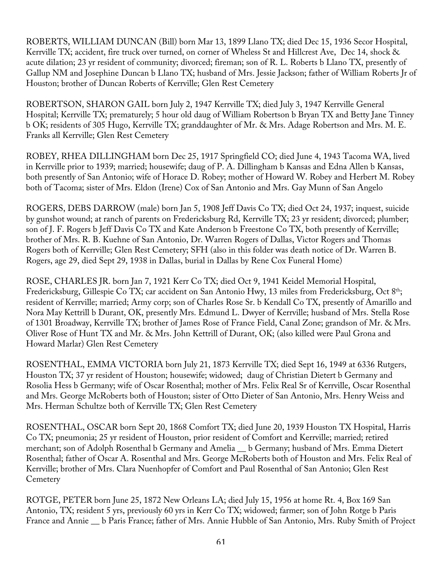ROBERTS, WILLIAM DUNCAN (Bill) born Mar 13, 1899 Llano TX; died Dec 15, 1936 Secor Hospital, Kerrville TX; accident, fire truck over turned, on corner of Wheless St and Hillcrest Ave, Dec 14, shock & acute dilation; 23 yr resident of community; divorced; fireman; son of R. L. Roberts b Llano TX, presently of Gallup NM and Josephine Duncan b Llano TX; husband of Mrs. Jessie Jackson; father of William Roberts Jr of Houston; brother of Duncan Roberts of Kerrville; Glen Rest Cemetery

ROBERTSON, SHARON GAIL born July 2, 1947 Kerrville TX; died July 3, 1947 Kerrville General Hospital; Kerrville TX; prematurely; 5 hour old daug of William Robertson b Bryan TX and Betty Jane Tinney b OK; residents of 305 Hugo, Kerrville TX; granddaughter of Mr. & Mrs. Adage Robertson and Mrs. M. E. Franks all Kerrville; Glen Rest Cemetery

ROBEY, RHEA DILLINGHAM born Dec 25, 1917 Springfield CO; died June 4, 1943 Tacoma WA, lived in Kerrville prior to 1939; married; housewife; daug of P. A. Dillingham b Kansas and Edna Allen b Kansas, both presently of San Antonio; wife of Horace D. Robey; mother of Howard W. Robey and Herbert M. Robey both of Tacoma; sister of Mrs. Eldon (Irene) Cox of San Antonio and Mrs. Gay Munn of San Angelo

ROGERS, DEBS DARROW (male) born Jan 5, 1908 Jeff Davis Co TX; died Oct 24, 1937; inquest, suicide by gunshot wound; at ranch of parents on Fredericksburg Rd, Kerrville TX; 23 yr resident; divorced; plumber; son of J. F. Rogers b Jeff Davis Co TX and Kate Anderson b Freestone Co TX, both presently of Kerrville; brother of Mrs. R. B. Kuehne of San Antonio, Dr. Warren Rogers of Dallas, Victor Rogers and Thomas Rogers both of Kerrville; Glen Rest Cemetery; SFH (also in this folder was death notice of Dr. Warren B. Rogers, age 29, died Sept 29, 1938 in Dallas, burial in Dallas by Rene Cox Funeral Home)

ROSE, CHARLES JR. born Jan 7, 1921 Kerr Co TX; died Oct 9, 1941 Keidel Memorial Hospital, Fredericksburg, Gillespie Co TX; car accident on San Antonio Hwy, 13 miles from Fredericksburg, Oct 8th; resident of Kerrville; married; Army corp; son of Charles Rose Sr. b Kendall Co TX, presently of Amarillo and Nora May Kettrill b Durant, OK, presently Mrs. Edmund L. Dwyer of Kerrville; husband of Mrs. Stella Rose of 1301 Broadway, Kerrville TX; brother of James Rose of France Field, Canal Zone; grandson of Mr. & Mrs. Oliver Rose of Hunt TX and Mr. & Mrs. John Kettrill of Durant, OK; (also killed were Paul Grona and Howard Marlar) Glen Rest Cemetery

ROSENTHAL, EMMA VICTORIA born July 21, 1873 Kerrville TX; died Sept 16, 1949 at 6336 Rutgers, Houston TX; 37 yr resident of Houston; housewife; widowed; daug of Christian Dietert b Germany and Rosolia Hess b Germany; wife of Oscar Rosenthal; mother of Mrs. Felix Real Sr of Kerrville, Oscar Rosenthal and Mrs. George McRoberts both of Houston; sister of Otto Dieter of San Antonio, Mrs. Henry Weiss and Mrs. Herman Schultze both of Kerrville TX; Glen Rest Cemetery

ROSENTHAL, OSCAR born Sept 20, 1868 Comfort TX; died June 20, 1939 Houston TX Hospital, Harris Co TX; pneumonia; 25 yr resident of Houston, prior resident of Comfort and Kerrville; married; retired merchant; son of Adolph Rosenthal b Germany and Amelia \_\_ b Germany; husband of Mrs. Emma Dietert Rosenthal; father of Oscar A. Rosenthal and Mrs. George McRoberts both of Houston and Mrs. Felix Real of Kerrville; brother of Mrs. Clara Nuenhopfer of Comfort and Paul Rosenthal of San Antonio; Glen Rest **Cemetery** 

ROTGE, PETER born June 25, 1872 New Orleans LA; died July 15, 1956 at home Rt. 4, Box 169 San Antonio, TX; resident 5 yrs, previously 60 yrs in Kerr Co TX; widowed; farmer; son of John Rotge b Paris France and Annie \_\_ b Paris France; father of Mrs. Annie Hubble of San Antonio, Mrs. Ruby Smith of Project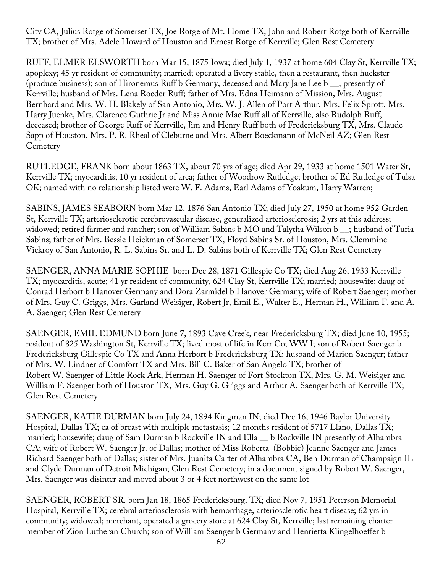City CA, Julius Rotge of Somerset TX, Joe Rotge of Mt. Home TX, John and Robert Rotge both of Kerrville TX; brother of Mrs. Adele Howard of Houston and Ernest Rotge of Kerrville; Glen Rest Cemetery

RUFF, ELMER ELSWORTH born Mar 15, 1875 Iowa; died July 1, 1937 at home 604 Clay St, Kerrville TX; apoplexy; 45 yr resident of community; married; operated a livery stable, then a restaurant, then huckster (produce business); son of Hironemus Ruff b Germany, deceased and Mary Jane Lee b \_\_, presently of Kerrville; husband of Mrs. Lena Roeder Ruff; father of Mrs. Edna Heimann of Mission, Mrs. August Bernhard and Mrs. W. H. Blakely of San Antonio, Mrs. W. J. Allen of Port Arthur, Mrs. Felix Sprott, Mrs. Harry Juenke, Mrs. Clarence Guthrie Jr and Miss Annie Mae Ruff all of Kerrville, also Rudolph Ruff, deceased; brother of George Ruff of Kerrville, Jim and Henry Ruff both of Fredericksburg TX, Mrs. Claude Sapp of Houston, Mrs. P. R. Rheal of Cleburne and Mrs. Albert Boeckmann of McNeil AZ; Glen Rest **Cemetery** 

RUTLEDGE, FRANK born about 1863 TX, about 70 yrs of age; died Apr 29, 1933 at home 1501 Water St, Kerrville TX; myocarditis; 10 yr resident of area; father of Woodrow Rutledge; brother of Ed Rutledge of Tulsa OK; named with no relationship listed were W. F. Adams, Earl Adams of Yoakum, Harry Warren;

SABINS, JAMES SEABORN born Mar 12, 1876 San Antonio TX; died July 27, 1950 at home 952 Garden St, Kerrville TX; arteriosclerotic cerebrovascular disease, generalized arteriosclerosis; 2 yrs at this address; widowed; retired farmer and rancher; son of William Sabins b MO and Talytha Wilson b \_\_; husband of Turia Sabins; father of Mrs. Bessie Heickman of Somerset TX, Floyd Sabins Sr. of Houston, Mrs. Clemmine Vickroy of San Antonio, R. L. Sabins Sr. and L. D. Sabins both of Kerrville TX; Glen Rest Cemetery

SAENGER, ANNA MARIE SOPHIE born Dec 28, 1871 Gillespie Co TX; died Aug 26, 1933 Kerrville TX; myocarditis, acute; 41 yr resident of community, 624 Clay St, Kerrville TX; married; housewife; daug of Conrad Herbort b Hanover Germany and Dora Zarmidel b Hanover Germany; wife of Robert Saenger; mother of Mrs. Guy C. Griggs, Mrs. Garland Weisiger, Robert Jr, Emil E., Walter E., Herman H., William F. and A. A. Saenger; Glen Rest Cemetery

SAENGER, EMIL EDMUND born June 7, 1893 Cave Creek, near Fredericksburg TX; died June 10, 1955; resident of 825 Washington St, Kerrville TX; lived most of life in Kerr Co; WW I; son of Robert Saenger b Fredericksburg Gillespie Co TX and Anna Herbort b Fredericksburg TX; husband of Marion Saenger; father of Mrs. W. Lindner of Comfort TX and Mrs. Bill C. Baker of San Angelo TX; brother of Robert W. Saenger of Little Rock Ark, Herman H. Saenger of Fort Stockton TX, Mrs. G. M. Weisiger and William F. Saenger both of Houston TX, Mrs. Guy G. Griggs and Arthur A. Saenger both of Kerrville TX; Glen Rest Cemetery

SAENGER, KATIE DURMAN born July 24, 1894 Kingman IN; died Dec 16, 1946 Baylor University Hospital, Dallas TX; ca of breast with multiple metastasis; 12 months resident of 5717 Llano, Dallas TX; married; housewife; daug of Sam Durman b Rockville IN and Ella \_\_ b Rockville IN presently of Alhambra CA; wife of Robert W. Saenger Jr. of Dallas; mother of Miss Roberta (Bobbie) Jeanne Saenger and James Richard Saenger both of Dallas; sister of Mrs. Juanita Carter of Alhambra CA, Ben Durman of Champaign IL and Clyde Durman of Detroit Michigan; Glen Rest Cemetery; in a document signed by Robert W. Saenger, Mrs. Saenger was disinter and moved about 3 or 4 feet northwest on the same lot

SAENGER, ROBERT SR. born Jan 18, 1865 Fredericksburg, TX; died Nov 7, 1951 Peterson Memorial Hospital, Kerrville TX; cerebral arteriosclerosis with hemorrhage, arteriosclerotic heart disease; 62 yrs in community; widowed; merchant, operated a grocery store at 624 Clay St, Kerrville; last remaining charter member of Zion Lutheran Church; son of William Saenger b Germany and Henrietta Klingelhoeffer b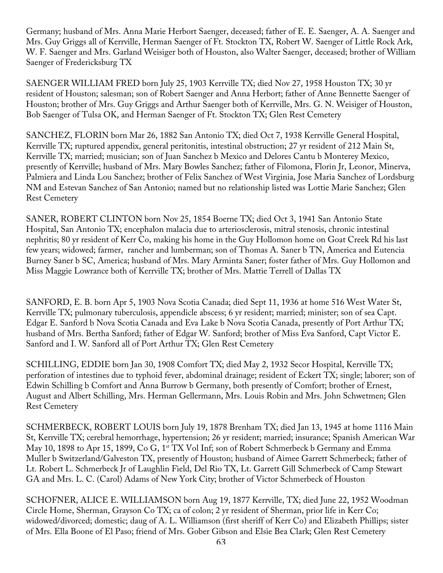Germany; husband of Mrs. Anna Marie Herbort Saenger, deceased; father of E. E. Saenger, A. A. Saenger and Mrs. Guy Griggs all of Kerrville, Herman Saenger of Ft. Stockton TX, Robert W. Saenger of Little Rock Ark, W. F. Saenger and Mrs. Garland Weisiger both of Houston, also Walter Saenger, deceased; brother of William Saenger of Fredericksburg TX

SAENGER WILLIAM FRED born July 25, 1903 Kerrville TX; died Nov 27, 1958 Houston TX; 30 yr resident of Houston; salesman; son of Robert Saenger and Anna Herbort; father of Anne Bennette Saenger of Houston; brother of Mrs. Guy Griggs and Arthur Saenger both of Kerrville, Mrs. G. N. Weisiger of Houston, Bob Saenger of Tulsa OK, and Herman Saenger of Ft. Stockton TX; Glen Rest Cemetery

SANCHEZ, FLORIN born Mar 26, 1882 San Antonio TX; died Oct 7, 1938 Kerrville General Hospital, Kerrville TX; ruptured appendix, general peritonitis, intestinal obstruction; 27 yr resident of 212 Main St, Kerrville TX; married; musician; son of Juan Sanchez b Mexico and Delores Cantu b Monterey Mexico, presently of Kerrville; husband of Mrs. Mary Bowles Sanchez; father of Filomona, Florin Jr, Leonor, Minerva, Palmiera and Linda Lou Sanchez; brother of Felix Sanchez of West Virginia, Jose Maria Sanchez of Lordsburg NM and Estevan Sanchez of San Antonio; named but no relationship listed was Lottie Marie Sanchez; Glen Rest Cemetery

SANER, ROBERT CLINTON born Nov 25, 1854 Boerne TX; died Oct 3, 1941 San Antonio State Hospital, San Antonio TX; encephalon malacia due to arteriosclerosis, mitral stenosis, chronic intestinal nephritis; 80 yr resident of Kerr Co, making his home in the Guy Hollomon home on Goat Creek Rd his last few years; widowed; farmer, rancher and lumberman; son of Thomas A. Saner b TN, America and Eutencia Burney Saner b SC, America; husband of Mrs. Mary Arminta Saner; foster father of Mrs. Guy Hollomon and Miss Maggie Lowrance both of Kerrville TX; brother of Mrs. Mattie Terrell of Dallas TX

SANFORD, E. B. born Apr 5, 1903 Nova Scotia Canada; died Sept 11, 1936 at home 516 West Water St, Kerrville TX; pulmonary tuberculosis, appendicle abscess; 6 yr resident; married; minister; son of sea Capt. Edgar E. Sanford b Nova Scotia Canada and Eva Lake b Nova Scotia Canada, presently of Port Arthur TX; husband of Mrs. Bertha Sanford; father of Edgar W. Sanford; brother of Miss Eva Sanford, Capt Victor E. Sanford and I. W. Sanford all of Port Arthur TX; Glen Rest Cemetery

SCHILLING, EDDIE born Jan 30, 1908 Comfort TX; died May 2, 1932 Secor Hospital, Kerrville TX; perforation of intestines due to typhoid fever, abdominal drainage; resident of Eckert TX; single; laborer; son of Edwin Schilling b Comfort and Anna Burrow b Germany, both presently of Comfort; brother of Ernest, August and Albert Schilling, Mrs. Herman Gellermann, Mrs. Louis Robin and Mrs. John Schwetmen; Glen Rest Cemetery

SCHMERBECK, ROBERT LOUIS born July 19, 1878 Brenham TX; died Jan 13, 1945 at home 1116 Main St, Kerrville TX; cerebral hemorrhage, hypertension; 26 yr resident; married; insurance; Spanish American War May 10, 1898 to Apr 15, 1899, Co G,  $1^{st}$  TX Vol Inf; son of Robert Schmerbeck b Germany and Emma Muller b Switzerland/Galveston TX, presently of Houston; husband of Aimee Garrett Schmerbeck; father of Lt. Robert L. Schmerbeck Jr of Laughlin Field, Del Rio TX, Lt. Garrett Gill Schmerbeck of Camp Stewart GA and Mrs. L. C. (Carol) Adams of New York City; brother of Victor Schmerbeck of Houston

SCHOFNER, ALICE E. WILLIAMSON born Aug 19, 1877 Kerrville, TX; died June 22, 1952 Woodman Circle Home, Sherman, Grayson Co TX; ca of colon; 2 yr resident of Sherman, prior life in Kerr Co; widowed/divorced; domestic; daug of A. L. Williamson (first sheriff of Kerr Co) and Elizabeth Phillips; sister of Mrs. Ella Boone of El Paso; friend of Mrs. Gober Gibson and Elsie Bea Clark; Glen Rest Cemetery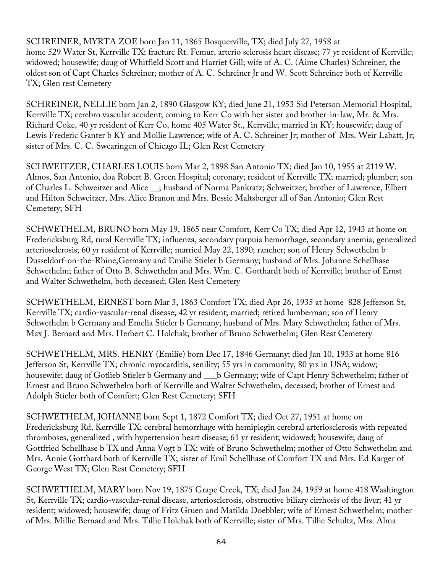SCHREINER, MYRTA ZOE born Jan 11, 1865 Bosquerville, TX; died July 27, 1958 at home 529 Water St, Kerrville TX; fracture Rt. Femur, arterio sclerosis heart disease; 77 yr resident of Kerrville; widowed; housewife; daug of Whitfield Scott and Harriet Gill; wife of A. C. (Aime Charles) Schreiner, the oldest son of Capt Charles Schreiner; mother of A. C. Schreiner Jr and W. Scott Schreiner both of Kerrville TX; Glen rest Cemetery

SCHREINER, NELLIE born Jan 2, 1890 Glasgow KY; died June 21, 1953 Sid Peterson Memorial Hospital, Kerrville TX; cerebro vascular accident; coming to Kerr Co with her sister and brother-in-law, Mr. & Mrs. Richard Coke, 40 yr resident of Kerr Co, home 405 Water St., Kerrville; married in KY; housewife; daug of Lewis Frederic Ganter b KY and Mollie Lawrence; wife of A. C. Schreiner Jr; mother of Mrs. Weir Labatt, Jr; sister of Mrs. C. C. Swearingen of Chicago IL; Glen Rest Cemetery

SCHWEITZER, CHARLES LOUIS born Mar 2, 1898 San Antonio TX; died Jan 10, 1955 at 2119 W. Almos, San Antonio, doa Robert B. Green Hospital; coronary; resident of Kerrville TX; married; plumber; son of Charles L. Schweitzer and Alice \_\_; husband of Norma Pankratz; Schweitzer; brother of Lawrence, Elbert and Hilton Schweitzer, Mrs. Alice Branon and Mrs. Bessie Maltsberger all of San Antonio; Glen Rest Cemetery; SFH

SCHWETHELM, BRUNO born May 19, 1865 near Comfort, Kerr Co TX; died Apr 12, 1943 at home on Fredericksburg Rd, rural Kerrville TX; influenza, secondary purpuia hemorrhage, secondary anemia, generalized arteriosclerosis; 60 yr resident of Kerrville; married May 22, 1890; rancher; son of Henry Schwethelm b Dusseldorf-on-the-Rhine,Germany and Emilie Stieler b Germany; husband of Mrs. Johanne Schellhase Schwethelm; father of Otto B. Schwethelm and Mrs. Wm. C. Gotthardt both of Kerrville; brother of Ernst and Walter Schwethelm, both deceased; Glen Rest Cemetery

SCHWETHELM, ERNEST born Mar 3, 1863 Comfort TX; died Apr 26, 1935 at home 828 Jefferson St, Kerrville TX; cardio-vascular-renal disease; 42 yr resident; married; retired lumberman; son of Henry Schwethelm b Germany and Emelia Stieler b Germany; husband of Mrs. Mary Schwethelm; father of Mrs. Max J. Bernard and Mrs. Herbert C. Holchak; brother of Bruno Schwethelm; Glen Rest Cemetery

SCHWETHELM, MRS. HENRY (Emilie) born Dec 17, 1846 Germany; died Jan 10, 1933 at home 816 Jefferson St, Kerrville TX; chronic myocarditis, senility; 55 yrs in community, 80 yrs in USA; widow; housewife; daug of Gotlieb Stieler b Germany and \_\_\_b Germany; wife of Capt Henry Schwethelm; father of Ernest and Bruno Schwethelm both of Kerrville and Walter Schwethelm, deceased; brother of Ernest and Adolph Stieler both of Comfort; Glen Rest Cemetery; SFH

SCHWETHELM, JOHANNE born Sept 1, 1872 Comfort TX; died Oct 27, 1951 at home on Fredericksburg Rd, Kerrville TX; cerebral hemorrhage with hemiplegin cerebral arteriosclerosis with repeated thromboses, generalized , with hypertension heart disease; 61 yr resident; widowed; housewife; daug of Gottfried Schellhase b TX and Anna Vogt b TX; wife of Bruno Schwethelm; mother of Otto Schwethelm and Mrs. Annie Gotthard both of Kerrville TX; sister of Emil Schellhase of Comfort TX and Mrs. Ed Karger of George West TX; Glen Rest Cemetery; SFH

SCHWETHELM, MARY born Nov 19, 1875 Grape Creek, TX; died Jan 24, 1959 at home 418 Washington St, Kerrville TX; cardio-vascular-renal disease, arteriosclerosis, obstructive biliary cirrhosis of the liver; 41 yr resident; widowed; housewife; daug of Fritz Gruen and Matilda Doebbler; wife of Ernest Schwethelm; mother of Mrs. Millie Bernard and Mrs. Tillie Holchak both of Kerrville; sister of Mrs. Tillie Schultz, Mrs. Alma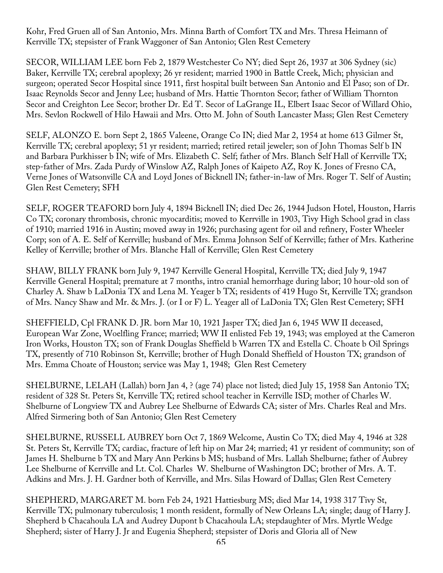Kohr, Fred Gruen all of San Antonio, Mrs. Minna Barth of Comfort TX and Mrs. Thresa Heimann of Kerrville TX; stepsister of Frank Waggoner of San Antonio; Glen Rest Cemetery

SECOR, WILLIAM LEE born Feb 2, 1879 Westchester Co NY; died Sept 26, 1937 at 306 Sydney (sic) Baker, Kerrville TX; cerebral apoplexy; 26 yr resident; married 1900 in Battle Creek, Mich; physician and surgeon; operated Secor Hospital since 1911, first hospital built between San Antonio and El Paso; son of Dr. Isaac Reynolds Secor and Jenny Lee; husband of Mrs. Hattie Thornton Secor; father of William Thornton Secor and Creighton Lee Secor; brother Dr. Ed T. Secor of LaGrange IL, Elbert Isaac Secor of Willard Ohio, Mrs. Sevlon Rockwell of Hilo Hawaii and Mrs. Otto M. John of South Lancaster Mass; Glen Rest Cemetery

SELF, ALONZO E. born Sept 2, 1865 Valeene, Orange Co IN; died Mar 2, 1954 at home 613 Gilmer St, Kerrville TX; cerebral apoplexy; 51 yr resident; married; retired retail jeweler; son of John Thomas Self b IN and Barbara Purkhisser b IN; wife of Mrs. Elizabeth C. Self; father of Mrs. Blanch Self Hall of Kerrville TX; step-father of Mrs. Zada Purdy of Winslow AZ, Ralph Jones of Kaipeto AZ, Roy K. Jones of Fresno CA, Verne Jones of Watsonville CA and Loyd Jones of Bicknell IN; father-in-law of Mrs. Roger T. Self of Austin; Glen Rest Cemetery; SFH

SELF, ROGER TEAFORD born July 4, 1894 Bicknell IN; died Dec 26, 1944 Judson Hotel, Houston, Harris Co TX; coronary thrombosis, chronic myocarditis; moved to Kerrville in 1903, Tivy High School grad in class of 1910; married 1916 in Austin; moved away in 1926; purchasing agent for oil and refinery, Foster Wheeler Corp; son of A. E. Self of Kerrville; husband of Mrs. Emma Johnson Self of Kerrville; father of Mrs. Katherine Kelley of Kerrville; brother of Mrs. Blanche Hall of Kerrville; Glen Rest Cemetery

SHAW, BILLY FRANK born July 9, 1947 Kerrville General Hospital, Kerrville TX; died July 9, 1947 Kerrville General Hospital; premature at 7 months, intro cranial hemorrhage during labor; 10 hour-old son of Charley A. Shaw b LaDonia TX and Lena M. Yeager b TX; residents of 419 Hugo St, Kerrville TX; grandson of Mrs. Nancy Shaw and Mr. & Mrs. J. (or I or F) L. Yeager all of LaDonia TX; Glen Rest Cemetery; SFH

SHEFFIELD, Cpl FRANK D. JR. born Mar 10, 1921 Jasper TX; died Jan 6, 1945 WW II deceased, European War Zone, Woelfling France; married; WW II enlisted Feb 19, 1943; was employed at the Cameron Iron Works, Houston TX; son of Frank Douglas Sheffield b Warren TX and Estella C. Choate b Oil Springs TX, presently of 710 Robinson St, Kerrville; brother of Hugh Donald Sheffield of Houston TX; grandson of Mrs. Emma Choate of Houston; service was May 1, 1948; Glen Rest Cemetery

SHELBURNE, LELAH (Lallah) born Jan 4, ? (age 74) place not listed; died July 15, 1958 San Antonio TX; resident of 328 St. Peters St, Kerrville TX; retired school teacher in Kerrville ISD; mother of Charles W. Shelburne of Longview TX and Aubrey Lee Shelburne of Edwards CA; sister of Mrs. Charles Real and Mrs. Alfred Sirmering both of San Antonio; Glen Rest Cemetery

SHELBURNE, RUSSELL AUBREY born Oct 7, 1869 Welcome, Austin Co TX; died May 4, 1946 at 328 St. Peters St, Kerrville TX; cardiac, fracture of left hip on Mar 24; married; 41 yr resident of community; son of James H. Shelburne b TX and Mary Ann Perkins b MS; husband of Mrs. Lallah Shelburne; father of Aubrey Lee Shelburne of Kerrville and Lt. Col. Charles W. Shelburne of Washington DC; brother of Mrs. A. T. Adkins and Mrs. J. H. Gardner both of Kerrville, and Mrs. Silas Howard of Dallas; Glen Rest Cemetery

SHEPHERD, MARGARET M. born Feb 24, 1921 Hattiesburg MS; died Mar 14, 1938 317 Tivy St, Kerrville TX; pulmonary tuberculosis; 1 month resident, formally of New Orleans LA; single; daug of Harry J. Shepherd b Chacahoula LA and Audrey Dupont b Chacahoula LA; stepdaughter of Mrs. Myrtle Wedge Shepherd; sister of Harry J. Jr and Eugenia Shepherd; stepsister of Doris and Gloria all of New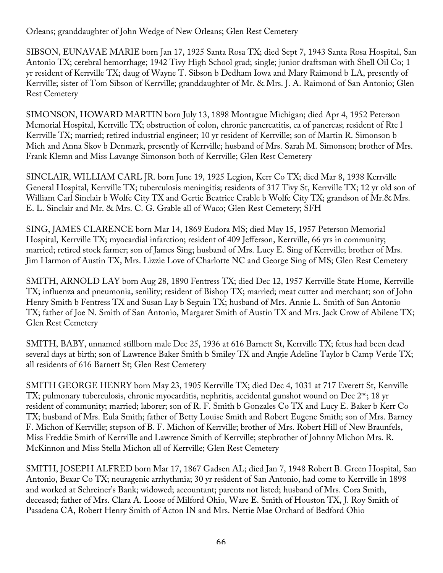Orleans; granddaughter of John Wedge of New Orleans; Glen Rest Cemetery

SIBSON, EUNAVAE MARIE born Jan 17, 1925 Santa Rosa TX; died Sept 7, 1943 Santa Rosa Hospital, San Antonio TX; cerebral hemorrhage; 1942 Tivy High School grad; single; junior draftsman with Shell Oil Co; 1 yr resident of Kerrville TX; daug of Wayne T. Sibson b Dedham Iowa and Mary Raimond b LA, presently of Kerrville; sister of Tom Sibson of Kerrville; granddaughter of Mr. & Mrs. J. A. Raimond of San Antonio; Glen Rest Cemetery

SIMONSON, HOWARD MARTIN born July 13, 1898 Montague Michigan; died Apr 4, 1952 Peterson Memorial Hospital, Kerrville TX; obstruction of colon, chronic pancreatitis, ca of pancreas; resident of Rte l Kerrville TX; married; retired industrial engineer; 10 yr resident of Kerrville; son of Martin R. Simonson b Mich and Anna Skov b Denmark, presently of Kerrville; husband of Mrs. Sarah M. Simonson; brother of Mrs. Frank Klemn and Miss Lavange Simonson both of Kerrville; Glen Rest Cemetery

SINCLAIR, WILLIAM CARL JR. born June 19, 1925 Legion, Kerr Co TX; died Mar 8, 1938 Kerrville General Hospital, Kerrville TX; tuberculosis meningitis; residents of 317 Tivy St, Kerrville TX; 12 yr old son of William Carl Sinclair b Wolfe City TX and Gertie Beatrice Crable b Wolfe City TX; grandson of Mr.& Mrs. E. L. Sinclair and Mr. & Mrs. C. G. Grable all of Waco; Glen Rest Cemetery; SFH

SING, JAMES CLARENCE born Mar 14, 1869 Eudora MS; died May 15, 1957 Peterson Memorial Hospital, Kerrville TX; myocardial infarction; resident of 409 Jefferson, Kerrville, 66 yrs in community; married; retired stock farmer; son of James Sing; husband of Mrs. Lucy E. Sing of Kerrville; brother of Mrs. Jim Harmon of Austin TX, Mrs. Lizzie Love of Charlotte NC and George Sing of MS; Glen Rest Cemetery

SMITH, ARNOLD LAY born Aug 28, 1890 Fentress TX; died Dec 12, 1957 Kerrville State Home, Kerrville TX; influenza and pneumonia, senility; resident of Bishop TX; married; meat cutter and merchant; son of John Henry Smith b Fentress TX and Susan Lay b Seguin TX; husband of Mrs. Annie L. Smith of San Antonio TX; father of Joe N. Smith of San Antonio, Margaret Smith of Austin TX and Mrs. Jack Crow of Abilene TX; Glen Rest Cemetery

SMITH, BABY, unnamed stillborn male Dec 25, 1936 at 616 Barnett St, Kerrville TX; fetus had been dead several days at birth; son of Lawrence Baker Smith b Smiley TX and Angie Adeline Taylor b Camp Verde TX; all residents of 616 Barnett St; Glen Rest Cemetery

SMITH GEORGE HENRY born May 23, 1905 Kerrville TX; died Dec 4, 1031 at 717 Everett St, Kerrville TX; pulmonary tuberculosis, chronic myocarditis, nephritis, accidental gunshot wound on Dec 2<sup>nd</sup>; 18 yr resident of community; married; laborer; son of R. F. Smith b Gonzales Co TX and Lucy E. Baker b Kerr Co TX; husband of Mrs. Eula Smith; father of Betty Louise Smith and Robert Eugene Smith; son of Mrs. Barney F. Michon of Kerrville; stepson of B. F. Michon of Kerrville; brother of Mrs. Robert Hill of New Braunfels, Miss Freddie Smith of Kerrville and Lawrence Smith of Kerrville; stepbrother of Johnny Michon Mrs. R. McKinnon and Miss Stella Michon all of Kerrville; Glen Rest Cemetery

SMITH, JOSEPH ALFRED born Mar 17, 1867 Gadsen AL; died Jan 7, 1948 Robert B. Green Hospital, San Antonio, Bexar Co TX; neuragenic arrhythmia; 30 yr resident of San Antonio, had come to Kerrville in 1898 and worked at Schreiner's Bank; widowed; accountant; parents not listed; husband of Mrs. Cora Smith, deceased; father of Mrs. Clara A. Loose of Milford Ohio, Ware E. Smith of Houston TX, J. Roy Smith of Pasadena CA, Robert Henry Smith of Acton IN and Mrs. Nettie Mae Orchard of Bedford Ohio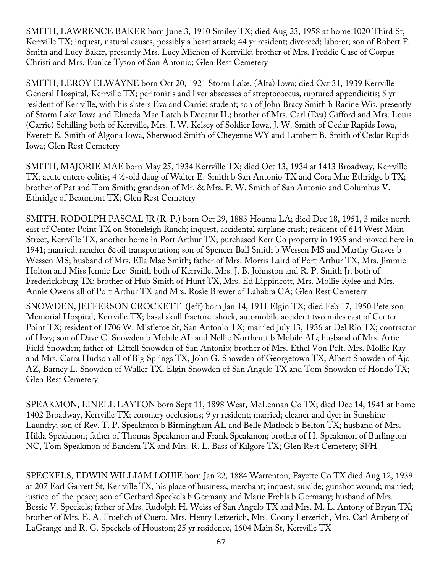SMITH, LAWRENCE BAKER born June 3, 1910 Smiley TX; died Aug 23, 1958 at home 1020 Third St, Kerrville TX; inquest, natural causes, possibly a heart attack; 44 yr resident; divorced; laborer; son of Robert F. Smith and Lucy Baker, presently Mrs. Lucy Michon of Kerrville; brother of Mrs. Freddie Case of Corpus Christi and Mrs. Eunice Tyson of San Antonio; Glen Rest Cemetery

SMITH, LEROY ELWAYNE born Oct 20, 1921 Storm Lake, (Alta) Iowa; died Oct 31, 1939 Kerrville General Hospital, Kerrville TX; peritonitis and liver abscesses of streptococcus, ruptured appendicitis; 5 yr resident of Kerrville, with his sisters Eva and Carrie; student; son of John Bracy Smith b Racine Wis, presently of Storm Lake Iowa and Elmeda Mae Latch b Decatur IL; brother of Mrs. Carl (Eva) Gifford and Mrs. Louis (Carrie) Schilling both of Kerrville, Mrs. J. W. Kelsey of Soldier Iowa, J. W. Smith of Cedar Rapids Iowa, Everett E. Smith of Algona Iowa, Sherwood Smith of Cheyenne WY and Lambert B. Smith of Cedar Rapids Iowa; Glen Rest Cemetery

SMITH, MAJORIE MAE born May 25, 1934 Kerrville TX; died Oct 13, 1934 at 1413 Broadway, Kerrville TX; acute entero colitis; 4 ½-old daug of Walter E. Smith b San Antonio TX and Cora Mae Ethridge b TX; brother of Pat and Tom Smith; grandson of Mr. & Mrs. P. W. Smith of San Antonio and Columbus V. Ethridge of Beaumont TX; Glen Rest Cemetery

SMITH, RODOLPH PASCAL JR (R. P.) born Oct 29, 1883 Houma LA; died Dec 18, 1951, 3 miles north east of Center Point TX on Stoneleigh Ranch; inquest, accidental airplane crash; resident of 614 West Main Street, Kerrville TX, another home in Port Arthur TX; purchased Kerr Co property in 1935 and moved here in 1941; married; rancher & oil transportation; son of Spencer Ball Smith b Wessen MS and Marthy Graves b Wessen MS; husband of Mrs. Ella Mae Smith; father of Mrs. Morris Laird of Port Arthur TX, Mrs. Jimmie Holton and Miss Jennie Lee Smith both of Kerrville, Mrs. J. B. Johnston and R. P. Smith Jr. both of Fredericksburg TX; brother of Hub Smith of Hunt TX, Mrs. Ed Lippincott, Mrs. Mollie Rylee and Mrs. Annie Owens all of Port Arthur TX and Mrs. Rosie Brewer of Lahabra CA; Glen Rest Cemetery

SNOWDEN, JEFFERSON CROCKETT (Jeff) born Jan 14, 1911 Elgin TX; died Feb 17, 1950 Peterson Memorial Hospital, Kerrville TX; basal skull fracture. shock, automobile accident two miles east of Center Point TX; resident of 1706 W. Mistletoe St, San Antonio TX; married July 13, 1936 at Del Rio TX; contractor of Hwy; son of Dave C. Snowden b Mobile AL and Nellie Northcutt b Mobile AL; husband of Mrs. Artie Field Snowden; father of Littell Snowden of San Antonio; brother of Mrs. Ethel Von Pelt, Mrs. Mollie Ray and Mrs. Carra Hudson all of Big Springs TX, John G. Snowden of Georgetown TX, Albert Snowden of Ajo AZ, Barney L. Snowden of Waller TX, Elgin Snowden of San Angelo TX and Tom Snowden of Hondo TX; Glen Rest Cemetery

SPEAKMON, LINELL LAYTON born Sept 11, 1898 West, McLennan Co TX; died Dec 14, 1941 at home 1402 Broadway, Kerrville TX; coronary occlusions; 9 yr resident; married; cleaner and dyer in Sunshine Laundry; son of Rev. T. P. Speakmon b Birmingham AL and Belle Matlock b Belton TX; husband of Mrs. Hilda Speakmon; father of Thomas Speakmon and Frank Speakmon; brother of H. Speakmon of Burlington NC, Tom Speakmon of Bandera TX and Mrs. R. L. Bass of Kilgore TX; Glen Rest Cemetery; SFH

SPECKELS, EDWIN WILLIAM LOUIE born Jan 22, 1884 Warrenton, Fayette Co TX died Aug 12, 1939 at 207 Earl Garrett St, Kerrville TX, his place of business, merchant; inquest, suicide; gunshot wound; married; justice-of-the-peace; son of Gerhard Speckels b Germany and Marie Frehls b Germany; husband of Mrs. Bessie V. Speckels; father of Mrs. Rudolph H. Weiss of San Angelo TX and Mrs. M. L. Antony of Bryan TX; brother of Mrs. E. A. Froelich of Cuero, Mrs. Henry Letzerich, Mrs. Coony Letzerich, Mrs. Carl Amberg of LaGrange and R. G. Speckels of Houston; 25 yr residence, 1604 Main St, Kerrville TX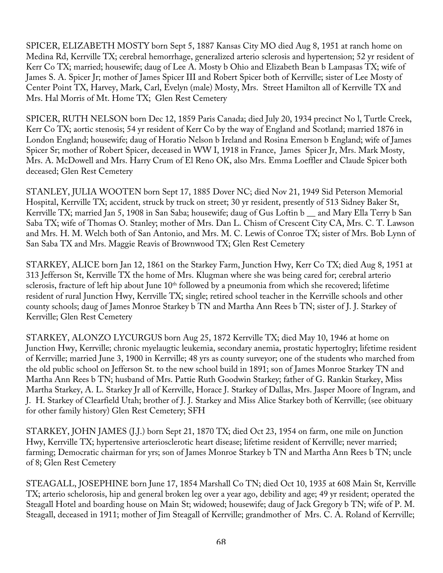SPICER, ELIZABETH MOSTY born Sept 5, 1887 Kansas City MO died Aug 8, 1951 at ranch home on Medina Rd, Kerrville TX; cerebral hemorrhage, generalized arterio sclerosis and hypertension; 52 yr resident of Kerr Co TX; married; housewife; daug of Lee A. Mosty b Ohio and Elizabeth Bean b Lampasas TX; wife of James S. A. Spicer Jr; mother of James Spicer III and Robert Spicer both of Kerrville; sister of Lee Mosty of Center Point TX, Harvey, Mark, Carl, Evelyn (male) Mosty, Mrs. Street Hamilton all of Kerrville TX and Mrs. Hal Morris of Mt. Home TX; Glen Rest Cemetery

SPICER, RUTH NELSON born Dec 12, 1859 Paris Canada; died July 20, 1934 precinct No l, Turtle Creek, Kerr Co TX; aortic stenosis; 54 yr resident of Kerr Co by the way of England and Scotland; married 1876 in London England; housewife; daug of Horatio Nelson b Ireland and Rosina Emerson b England; wife of James Spicer Sr; mother of Robert Spicer, deceased in WW I, 1918 in France, James Spicer Jr, Mrs. Mark Mosty, Mrs. A. McDowell and Mrs. Harry Crum of El Reno OK, also Mrs. Emma Loeffler and Claude Spicer both deceased; Glen Rest Cemetery

STANLEY, JULIA WOOTEN born Sept 17, 1885 Dover NC; died Nov 21, 1949 Sid Peterson Memorial Hospital, Kerrville TX; accident, struck by truck on street; 30 yr resident, presently of 513 Sidney Baker St, Kerrville TX; married Jan 5, 1908 in San Saba; housewife; daug of Gus Loftin b \_\_ and Mary Ella Terry b San Saba TX; wife of Thomas O. Stanley; mother of Mrs. Dan L. Chism of Crescent City CA, Mrs. C. T. Lawson and Mrs. H. M. Welch both of San Antonio, and Mrs. M. C. Lewis of Conroe TX; sister of Mrs. Bob Lynn of San Saba TX and Mrs. Maggie Reavis of Brownwood TX; Glen Rest Cemetery

STARKEY, ALICE born Jan 12, 1861 on the Starkey Farm, Junction Hwy, Kerr Co TX; died Aug 8, 1951 at 313 Jefferson St, Kerrville TX the home of Mrs. Klugman where she was being cared for; cerebral arterio sclerosis, fracture of left hip about June 10<sup>th</sup> followed by a pneumonia from which she recovered; lifetime resident of rural Junction Hwy, Kerrville TX; single; retired school teacher in the Kerrville schools and other county schools; daug of James Monroe Starkey b TN and Martha Ann Rees b TN; sister of J. J. Starkey of Kerrville; Glen Rest Cemetery

STARKEY, ALONZO LYCURGUS born Aug 25, 1872 Kerrville TX; died May 10, 1946 at home on Junction Hwy, Kerrville; chronic myelaugtic leukemia, secondary anemia, prostatic hypertoglry; lifetime resident of Kerrville; married June 3, 1900 in Kerrville; 48 yrs as county surveyor; one of the students who marched from the old public school on Jefferson St. to the new school build in 1891; son of James Monroe Starkey TN and Martha Ann Rees b TN; husband of Mrs. Pattie Ruth Goodwin Starkey; father of G. Rankin Starkey, Miss Martha Starkey, A. L. Starkey Jr all of Kerrville, Horace J. Starkey of Dallas, Mrs. Jasper Moore of Ingram, and J. H. Starkey of Clearfield Utah; brother of J. J. Starkey and Miss Alice Starkey both of Kerrville; (see obituary for other family history) Glen Rest Cemetery; SFH

STARKEY, JOHN JAMES (J.J.) born Sept 21, 1870 TX; died Oct 23, 1954 on farm, one mile on Junction Hwy, Kerrville TX; hypertensive arteriosclerotic heart disease; lifetime resident of Kerrville; never married; farming; Democratic chairman for yrs; son of James Monroe Starkey b TN and Martha Ann Rees b TN; uncle of 8; Glen Rest Cemetery

STEAGALL, JOSEPHINE born June 17, 1854 Marshall Co TN; died Oct 10, 1935 at 608 Main St, Kerrville TX; arterio schelorosis, hip and general broken leg over a year ago, debility and age; 49 yr resident; operated the Steagall Hotel and boarding house on Main St; widowed; housewife; daug of Jack Gregory b TN; wife of P. M. Steagall, deceased in 1911; mother of Jim Steagall of Kerrville; grandmother of Mrs. C. A. Roland of Kerrville;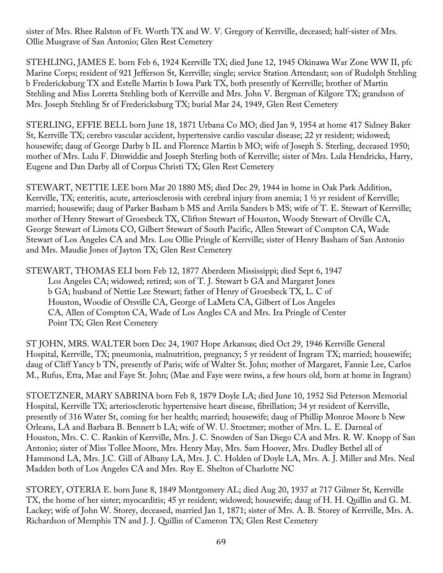sister of Mrs. Rhee Ralston of Ft. Worth TX and W. V. Gregory of Kerrville, deceased; half-sister of Mrs. Ollie Musgrave of San Antonio; Glen Rest Cemetery

STEHLING, JAMES E. born Feb 6, 1924 Kerrville TX; died June 12, 1945 Okinawa War Zone WW II, pfc Marine Corps; resident of 921 Jefferson St, Kerrville; single; service Station Attendant; son of Rudolph Stehling b Fredericksburg TX and Estelle Martin b Iowa Park TX, both presently of Kerrville; brother of Martin Stehling and Miss Loretta Stehling both of Kerrville and Mrs. John V. Bergman of Kilgore TX; grandson of Mrs. Joseph Stehling Sr of Fredericksburg TX; burial Mar 24, 1949, Glen Rest Cemetery

STERLING, EFFIE BELL born June 18, 1871 Urbana Co MO; died Jan 9, 1954 at home 417 Sidney Baker St, Kerrville TX; cerebro vascular accident, hypertensive cardio vascular disease; 22 yr resident; widowed; housewife; daug of George Darby b IL and Florence Martin b MO; wife of Joseph S. Sterling, deceased 1950; mother of Mrs. Lulu F. Dinwiddie and Joseph Sterling both of Kerrville; sister of Mrs. Lula Hendricks, Harry, Eugene and Dan Darby all of Corpus Christi TX; Glen Rest Cemetery

STEWART, NETTIE LEE born Mar 20 1880 MS; died Dec 29, 1944 in home in Oak Park Addition, Kerrville, TX; enteritis, acute, arteriosclerosis with cerebral injury from anemia; 1 ½ yr resident of Kerrville; married; housewife; daug of Parker Basham b MS and Arrila Sanders b MS; wife of T. E. Stewart of Kerrville; mother of Henry Stewart of Groesbeck TX, Clifton Stewart of Houston, Woody Stewart of Orville CA, George Stewart of Limota CO, Gilbert Stewart of South Pacific, Allen Stewart of Compton CA, Wade Stewart of Los Angeles CA and Mrs. Lou Ollie Pringle of Kerrville; sister of Henry Basham of San Antonio and Mrs. Maudie Jones of Jayton TX; Glen Rest Cemetery

STEWART, THOMAS ELI born Feb 12, 1877 Aberdeen Mississippi; died Sept 6, 1947 Los Angeles CA; widowed; retired; son of T. J. Stewart b GA and Margaret Jones b GA; husband of Nettie Lee Stewart; father of Henry of Groesbeck TX, L. C of Houston, Woodie of Orsville CA, George of LaMeta CA, Gilbert of Los Angeles CA, Allen of Compton CA, Wade of Los Angles CA and Mrs. Ira Pringle of Center Point TX; Glen Rest Cemetery

ST JOHN, MRS. WALTER born Dec 24, 1907 Hope Arkansas; died Oct 29, 1946 Kerrville General Hospital, Kerrville, TX; pneumonia, malnutrition, pregnancy; 5 yr resident of Ingram TX; married; housewife; daug of Cliff Yancy b TN, presently of Paris; wife of Walter St. John; mother of Margaret, Fannie Lee, Carlos M., Rufus, Etta, Mae and Faye St. John; (Mae and Faye were twins, a few hours old, born at home in Ingram)

STOETZNER, MARY SABRINA born Feb 8, 1879 Doyle LA; died June 10, 1952 Sid Peterson Memorial Hospital, Kerrville TX; arteriosclerotic hypertensive heart disease, fibrillation; 34 yr resident of Kerrville, presently of 316 Water St, coming for her health; married; housewife; daug of Phillip Monroe Moore b New Orleans, LA and Barbara B. Bennett b LA; wife of W. U. Stoetzner; mother of Mrs. L. E. Darneal of Houston, Mrs. C. C. Rankin of Kerrville, Mrs. J. C. Snowden of San Diego CA and Mrs. R. W. Knopp of San Antonio; sister of Miss Tollee Moore, Mrs. Henry May, Mrs. Sam Hoover, Mrs. Dudley Bethel all of Hammond LA, Mrs. J.C. Gill of Albany LA, Mrs. J. C. Holden of Doyle LA, Mrs. A. J. Miller and Mrs. Neal Madden both of Los Angeles CA and Mrs. Roy E. Shelton of Charlotte NC

STOREY, OTERIA E. born June 8, 1849 Montgomery AL; died Aug 20, 1937 at 717 Gilmer St, Kerrville TX, the home of her sister; myocarditis; 45 yr resident; widowed; housewife; daug of H. H. Quillin and G. M. Lackey; wife of John W. Storey, deceased, married Jan 1, 1871; sister of Mrs. A. B. Storey of Kerrville, Mrs. A. Richardson of Memphis TN and J. J. Quillin of Cameron TX; Glen Rest Cemetery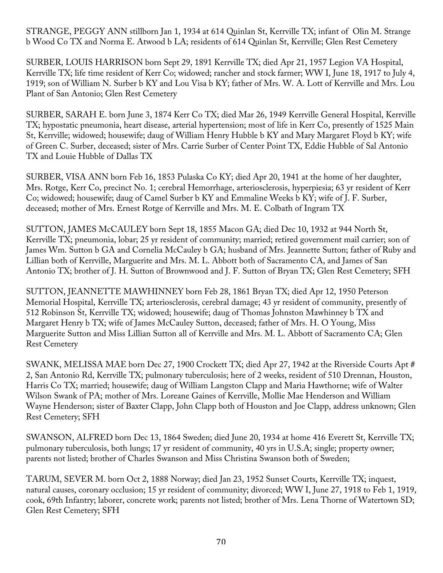STRANGE, PEGGY ANN stillborn Jan 1, 1934 at 614 Quinlan St, Kerrville TX; infant of Olin M. Strange b Wood Co TX and Norma E. Atwood b LA; residents of 614 Quinlan St, Kerrville; Glen Rest Cemetery

SURBER, LOUIS HARRISON born Sept 29, 1891 Kerrville TX; died Apr 21, 1957 Legion VA Hospital, Kerrville TX; life time resident of Kerr Co; widowed; rancher and stock farmer; WW I, June 18, 1917 to July 4, 1919; son of William N. Surber b KY and Lou Visa b KY; father of Mrs. W. A. Lott of Kerrville and Mrs. Lou Plant of San Antonio; Glen Rest Cemetery

SURBER, SARAH E. born June 3, 1874 Kerr Co TX; died Mar 26, 1949 Kerrville General Hospital, Kerrville TX; hypostatic pneumonia, heart disease, arterial hypertension; most of life in Kerr Co, presently of 1525 Main St, Kerrville; widowed; housewife; daug of William Henry Hubble b KY and Mary Margaret Floyd b KY; wife of Green C. Surber, deceased; sister of Mrs. Carrie Surber of Center Point TX, Eddie Hubble of Sal Antonio TX and Louie Hubble of Dallas TX

SURBER, VISA ANN born Feb 16, 1853 Pulaska Co KY; died Apr 20, 1941 at the home of her daughter, Mrs. Rotge, Kerr Co, precinct No. 1; cerebral Hemorrhage, arteriosclerosis, hyperpiesia; 63 yr resident of Kerr Co; widowed; housewife; daug of Camel Surber b KY and Emmaline Weeks b KY; wife of J. F. Surber, deceased; mother of Mrs. Ernest Rotge of Kerrville and Mrs. M. E. Colbath of Ingram TX

SUTTON, JAMES McCAULEY born Sept 18, 1855 Macon GA; died Dec 10, 1932 at 944 North St, Kerrville TX; pneumonia, lobar; 25 yr resident of community; married; retired government mail carrier; son of James Wm. Sutton b GA and Cornelia McCauley b GA; husband of Mrs. Jeannette Sutton; father of Ruby and Lillian both of Kerrville, Marguerite and Mrs. M. L. Abbott both of Sacramento CA, and James of San Antonio TX; brother of J. H. Sutton of Brownwood and J. F. Sutton of Bryan TX; Glen Rest Cemetery; SFH

SUTTON, JEANNETTE MAWHINNEY born Feb 28, 1861 Bryan TX; died Apr 12, 1950 Peterson Memorial Hospital, Kerrville TX; arteriosclerosis, cerebral damage; 43 yr resident of community, presently of 512 Robinson St, Kerrville TX; widowed; housewife; daug of Thomas Johnston Mawhinney b TX and Margaret Henry b TX; wife of James McCauley Sutton, deceased; father of Mrs. H. O Young, Miss Marguerite Sutton and Miss Lillian Sutton all of Kerrville and Mrs. M. L. Abbott of Sacramento CA; Glen Rest Cemetery

SWANK, MELISSA MAE born Dec 27, 1900 Crockett TX; died Apr 27, 1942 at the Riverside Courts Apt # 2, San Antonio Rd, Kerrville TX; pulmonary tuberculosis; here of 2 weeks, resident of 510 Drennan, Houston, Harris Co TX; married; housewife; daug of William Langston Clapp and Maria Hawthorne; wife of Walter Wilson Swank of PA; mother of Mrs. Loreane Gaines of Kerrville, Mollie Mae Henderson and William Wayne Henderson; sister of Baxter Clapp, John Clapp both of Houston and Joe Clapp, address unknown; Glen Rest Cemetery; SFH

SWANSON, ALFRED born Dec 13, 1864 Sweden; died June 20, 1934 at home 416 Everett St, Kerrville TX; pulmonary tuberculosis, both lungs; 17 yr resident of community, 40 yrs in U.S.A; single; property owner; parents not listed; brother of Charles Swanson and Miss Christina Swanson both of Sweden;

TARUM, SEVER M. born Oct 2, 1888 Norway; died Jan 23, 1952 Sunset Courts, Kerrville TX; inquest, natural causes, coronary occlusion; 15 yr resident of community; divorced; WW I, June 27, 1918 to Feb 1, 1919, cook, 69th Infantry; laborer, concrete work; parents not listed; brother of Mrs. Lena Thorne of Watertown SD; Glen Rest Cemetery; SFH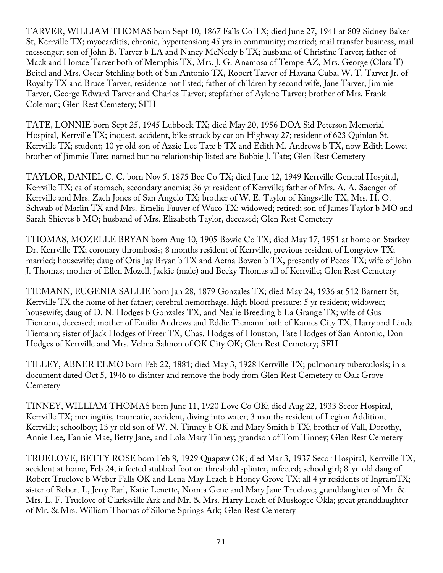TARVER, WILLIAM THOMAS born Sept 10, 1867 Falls Co TX; died June 27, 1941 at 809 Sidney Baker St, Kerrville TX; myocarditis, chronic, hypertension; 45 yrs in community; married; mail transfer business, mail messenger; son of John B. Tarver b LA and Nancy McNeely b TX; husband of Christine Tarver; father of Mack and Horace Tarver both of Memphis TX, Mrs. J. G. Anamosa of Tempe AZ, Mrs. George (Clara T) Beitel and Mrs. Oscar Stehling both of San Antonio TX, Robert Tarver of Havana Cuba, W. T. Tarver Jr. of Royalty TX and Bruce Tarver, residence not listed; father of children by second wife, Jane Tarver, Jimmie Tarver, George Edward Tarver and Charles Tarver; stepfather of Aylene Tarver; brother of Mrs. Frank Coleman; Glen Rest Cemetery; SFH

TATE, LONNIE born Sept 25, 1945 Lubbock TX; died May 20, 1956 DOA Sid Peterson Memorial Hospital, Kerrville TX; inquest, accident, bike struck by car on Highway 27; resident of 623 Quinlan St, Kerrville TX; student; 10 yr old son of Azzie Lee Tate b TX and Edith M. Andrews b TX, now Edith Lowe; brother of Jimmie Tate; named but no relationship listed are Bobbie J. Tate; Glen Rest Cemetery

TAYLOR, DANIEL C. C. born Nov 5, 1875 Bee Co TX; died June 12, 1949 Kerrville General Hospital, Kerrville TX; ca of stomach, secondary anemia; 36 yr resident of Kerrville; father of Mrs. A. A. Saenger of Kerrville and Mrs. Zach Jones of San Angelo TX; brother of W. E. Taylor of Kingsville TX, Mrs. H. O. Schwab of Marlin TX and Mrs. Emelia Fauver of Waco TX; widowed; retired; son of James Taylor b MO and Sarah Shieves b MO; husband of Mrs. Elizabeth Taylor, deceased; Glen Rest Cemetery

THOMAS, MOZELLE BRYAN born Aug 10, 1905 Bowie Co TX; died May 17, 1951 at home on Starkey Dr, Kerrville TX; coronary thrombosis; 8 months resident of Kerrville, previous resident of Longview TX; married; housewife; daug of Otis Jay Bryan b TX and Aetna Bowen b TX, presently of Pecos TX; wife of John J. Thomas; mother of Ellen Mozell, Jackie (male) and Becky Thomas all of Kerrville; Glen Rest Cemetery

TIEMANN, EUGENIA SALLIE born Jan 28, 1879 Gonzales TX; died May 24, 1936 at 512 Barnett St, Kerrville TX the home of her father; cerebral hemorrhage, high blood pressure; 5 yr resident; widowed; housewife; daug of D. N. Hodges b Gonzales TX, and Nealie Breeding b La Grange TX; wife of Gus Tiemann, deceased; mother of Emilia Andrews and Eddie Tiemann both of Karnes City TX, Harry and Linda Tiemann; sister of Jack Hodges of Freer TX, Chas. Hodges of Houston, Tate Hodges of San Antonio, Don Hodges of Kerrville and Mrs. Velma Salmon of OK City OK; Glen Rest Cemetery; SFH

TILLEY, ABNER ELMO born Feb 22, 1881; died May 3, 1928 Kerrville TX; pulmonary tuberculosis; in a document dated Oct 5, 1946 to disinter and remove the body from Glen Rest Cemetery to Oak Grove **Cemetery** 

TINNEY, WILLIAM THOMAS born June 11, 1920 Love Co OK; died Aug 22, 1933 Secor Hospital, Kerrville TX; meningitis, traumatic, accident, diving into water; 3 months resident of Legion Addition, Kerrville; schoolboy; 13 yr old son of W. N. Tinney b OK and Mary Smith b TX; brother of Vall, Dorothy, Annie Lee, Fannie Mae, Betty Jane, and Lola Mary Tinney; grandson of Tom Tinney; Glen Rest Cemetery

TRUELOVE, BETTY ROSE born Feb 8, 1929 Quapaw OK; died Mar 3, 1937 Secor Hospital, Kerrville TX; accident at home, Feb 24, infected stubbed foot on threshold splinter, infected; school girl; 8-yr-old daug of Robert Truelove b Weber Falls OK and Lena May Leach b Honey Grove TX; all 4 yr residents of IngramTX; sister of Robert L, Jerry Earl, Katie Lenette, Norma Gene and Mary Jane Truelove; granddaughter of Mr. & Mrs. L. F. Truelove of Clarksville Ark and Mr. & Mrs. Harry Leach of Muskogee Okla; great granddaughter of Mr. & Mrs. William Thomas of Silome Springs Ark; Glen Rest Cemetery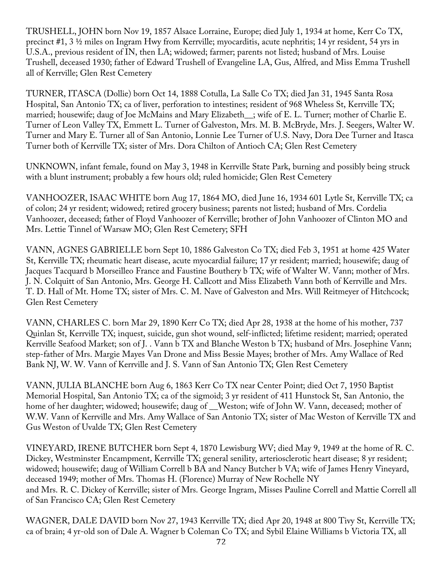TRUSHELL, JOHN born Nov 19, 1857 Alsace Lorraine, Europe; died July 1, 1934 at home, Kerr Co TX, precinct #1, 3 ½ miles on Ingram Hwy from Kerrville; myocarditis, acute nephritis; 14 yr resident, 54 yrs in U.S.A., previous resident of IN, then LA; widowed; farmer; parents not listed; husband of Mrs. Louise Trushell, deceased 1930; father of Edward Trushell of Evangeline LA, Gus, Alfred, and Miss Emma Trushell all of Kerrville; Glen Rest Cemetery

TURNER, ITASCA (Dollie) born Oct 14, 1888 Cotulla, La Salle Co TX; died Jan 31, 1945 Santa Rosa Hospital, San Antonio TX; ca of liver, perforation to intestines; resident of 968 Wheless St, Kerrville TX; married; housewife; daug of Joe McMains and Mary Elizabeth\_\_; wife of E. L. Turner; mother of Charlie E. Turner of Leon Valley TX, Emmett L. Turner of Galveston, Mrs. M. B. McBryde, Mrs. J. Seegers, Walter W. Turner and Mary E. Turner all of San Antonio, Lonnie Lee Turner of U.S. Navy, Dora Dee Turner and Itasca Turner both of Kerrville TX; sister of Mrs. Dora Chilton of Antioch CA; Glen Rest Cemetery

UNKNOWN, infant female, found on May 3, 1948 in Kerrville State Park, burning and possibly being struck with a blunt instrument; probably a few hours old; ruled homicide; Glen Rest Cemetery

VANHOOZER, ISAAC WHITE born Aug 17, 1864 MO, died June 16, 1934 601 Lytle St, Kerrville TX; ca of colon; 24 yr resident; widowed; retired grocery business; parents not listed; husband of Mrs. Cordelia Vanhoozer, deceased; father of Floyd Vanhoozer of Kerrville; brother of John Vanhoozer of Clinton MO and Mrs. Lettie Tinnel of Warsaw MO; Glen Rest Cemetery; SFH

VANN, AGNES GABRIELLE born Sept 10, 1886 Galveston Co TX; died Feb 3, 1951 at home 425 Water St, Kerrville TX; rheumatic heart disease, acute myocardial failure; 17 yr resident; married; housewife; daug of Jacques Tacquard b Morseilleo France and Faustine Bouthery b TX; wife of Walter W. Vann; mother of Mrs. J. N. Colquitt of San Antonio, Mrs. George H. Callcott and Miss Elizabeth Vann both of Kerrville and Mrs. T. D. Hall of Mt. Home TX; sister of Mrs. C. M. Nave of Galveston and Mrs. Will Reitmeyer of Hitchcock; Glen Rest Cemetery

VANN, CHARLES C. born Mar 29, 1890 Kerr Co TX; died Apr 28, 1938 at the home of his mother, 737 Quinlan St, Kerrville TX; inquest, suicide, gun shot wound, self-inflicted; lifetime resident; married; operated Kerrville Seafood Market; son of J. . Vann b TX and Blanche Weston b TX; husband of Mrs. Josephine Vann; step-father of Mrs. Margie Mayes Van Drone and Miss Bessie Mayes; brother of Mrs. Amy Wallace of Red Bank NJ, W. W. Vann of Kerrville and J. S. Vann of San Antonio TX; Glen Rest Cemetery

VANN, JULIA BLANCHE born Aug 6, 1863 Kerr Co TX near Center Point; died Oct 7, 1950 Baptist Memorial Hospital, San Antonio TX; ca of the sigmoid; 3 yr resident of 411 Hunstock St, San Antonio, the home of her daughter; widowed; housewife; daug of Weston; wife of John W. Vann, deceased; mother of W.W. Vann of Kerrville and Mrs. Amy Wallace of San Antonio TX; sister of Mac Weston of Kerrville TX and Gus Weston of Uvalde TX; Glen Rest Cemetery

VINEYARD, IRENE BUTCHER born Sept 4, 1870 Lewisburg WV; died May 9, 1949 at the home of R. C. Dickey, Westminster Encampment, Kerrville TX; general senility, arteriosclerotic heart disease; 8 yr resident; widowed; housewife; daug of William Correll b BA and Nancy Butcher b VA; wife of James Henry Vineyard, deceased 1949; mother of Mrs. Thomas H. (Florence) Murray of New Rochelle NY and Mrs. R. C. Dickey of Kerrville; sister of Mrs. George Ingram, Misses Pauline Correll and Mattie Correll all of San Francisco CA; Glen Rest Cemetery

WAGNER, DALE DAVID born Nov 27, 1943 Kerrville TX; died Apr 20, 1948 at 800 Tivy St, Kerrville TX; ca of brain; 4 yr-old son of Dale A. Wagner b Coleman Co TX; and Sybil Elaine Williams b Victoria TX, all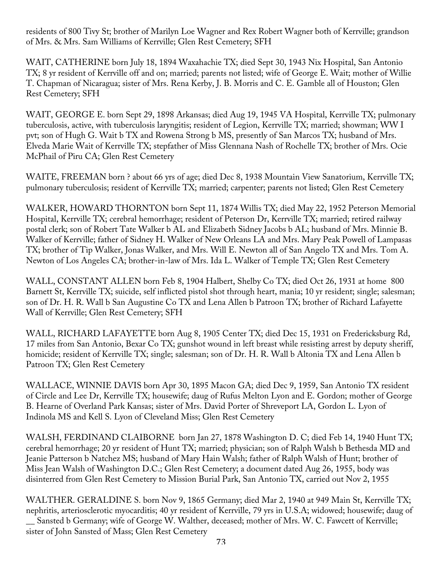residents of 800 Tivy St; brother of Marilyn Loe Wagner and Rex Robert Wagner both of Kerrville; grandson of Mrs. & Mrs. Sam Williams of Kerrville; Glen Rest Cemetery; SFH

WAIT, CATHERINE born July 18, 1894 Waxahachie TX; died Sept 30, 1943 Nix Hospital, San Antonio TX; 8 yr resident of Kerrville off and on; married; parents not listed; wife of George E. Wait; mother of Willie T. Chapman of Nicaragua; sister of Mrs. Rena Kerby, J. B. Morris and C. E. Gamble all of Houston; Glen Rest Cemetery; SFH

WAIT, GEORGE E. born Sept 29, 1898 Arkansas; died Aug 19, 1945 VA Hospital, Kerrville TX; pulmonary tuberculosis, active, with tuberculosis laryngitis; resident of Legion, Kerrville TX; married; showman; WW I pvt; son of Hugh G. Wait b TX and Rowena Strong b MS, presently of San Marcos TX; husband of Mrs. Elveda Marie Wait of Kerrville TX; stepfather of Miss Glennana Nash of Rochelle TX; brother of Mrs. Ocie McPhail of Piru CA; Glen Rest Cemetery

WAITE, FREEMAN born ? about 66 yrs of age; died Dec 8, 1938 Mountain View Sanatorium, Kerrville TX; pulmonary tuberculosis; resident of Kerrville TX; married; carpenter; parents not listed; Glen Rest Cemetery

WALKER, HOWARD THORNTON born Sept 11, 1874 Willis TX; died May 22, 1952 Peterson Memorial Hospital, Kerrville TX; cerebral hemorrhage; resident of Peterson Dr, Kerrville TX; married; retired railway postal clerk; son of Robert Tate Walker b AL and Elizabeth Sidney Jacobs b AL; husband of Mrs. Minnie B. Walker of Kerrville; father of Sidney H. Walker of New Orleans LA and Mrs. Mary Peak Powell of Lampasas TX; brother of Tip Walker, Jonas Walker, and Mrs. Will E. Newton all of San Angelo TX and Mrs. Tom A. Newton of Los Angeles CA; brother-in-law of Mrs. Ida L. Walker of Temple TX; Glen Rest Cemetery

WALL, CONSTANT ALLEN born Feb 8, 1904 Halbert, Shelby Co TX; died Oct 26, 1931 at home 800 Barnett St, Kerrville TX; suicide, self inflicted pistol shot through heart, mania; 10 yr resident; single; salesman; son of Dr. H. R. Wall b San Augustine Co TX and Lena Allen b Patroon TX; brother of Richard Lafayette Wall of Kerrville; Glen Rest Cemetery; SFH

WALL, RICHARD LAFAYETTE born Aug 8, 1905 Center TX; died Dec 15, 1931 on Fredericksburg Rd, 17 miles from San Antonio, Bexar Co TX; gunshot wound in left breast while resisting arrest by deputy sheriff, homicide; resident of Kerrville TX; single; salesman; son of Dr. H. R. Wall b Altonia TX and Lena Allen b Patroon TX; Glen Rest Cemetery

WALLACE, WINNIE DAVIS born Apr 30, 1895 Macon GA; died Dec 9, 1959, San Antonio TX resident of Circle and Lee Dr, Kerrville TX; housewife; daug of Rufus Melton Lyon and E. Gordon; mother of George B. Hearne of Overland Park Kansas; sister of Mrs. David Porter of Shreveport LA, Gordon L. Lyon of Indinola MS and Kell S. Lyon of Cleveland Miss; Glen Rest Cemetery

WALSH, FERDINAND CLAIBORNE born Jan 27, 1878 Washington D. C; died Feb 14, 1940 Hunt TX; cerebral hemorrhage; 20 yr resident of Hunt TX; married; physician; son of Ralph Walsh b Bethesda MD and Jeanie Patterson b Natchez MS; husband of Mary Hain Walsh; father of Ralph Walsh of Hunt; brother of Miss Jean Walsh of Washington D.C.; Glen Rest Cemetery; a document dated Aug 26, 1955, body was disinterred from Glen Rest Cemetery to Mission Burial Park, San Antonio TX, carried out Nov 2, 1955

WALTHER. GERALDINE S. born Nov 9, 1865 Germany; died Mar 2, 1940 at 949 Main St, Kerrville TX; nephritis, arteriosclerotic myocarditis; 40 yr resident of Kerrville, 79 yrs in U.S.A; widowed; housewife; daug of \_\_ Sansted b Germany; wife of George W. Walther, deceased; mother of Mrs. W. C. Fawcett of Kerrville; sister of John Sansted of Mass; Glen Rest Cemetery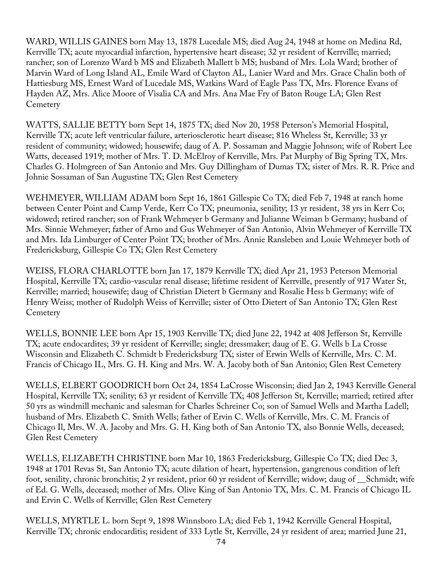WARD, WILLIS GAINES born May 13, 1878 Lucedale MS; died Aug 24, 1948 at home on Medina Rd, Kerrville TX; acute myocardial infarction, hypertensive heart disease; 32 yr resident of Kerrville; married; rancher; son of Lorenzo Ward b MS and Elizabeth Mallett b MS; husband of Mrs. Lola Ward; brother of Marvin Ward of Long Island AL, Emile Ward of Clayton AL, Lanier Ward and Mrs. Grace Chalin both of Hattiesburg MS, Ernest Ward of Lucedale MS, Watkins Ward of Eagle Pass TX, Mrs. Florence Evans of Hayden AZ, Mrs. Alice Moore of Visalia CA and Mrs. Ana Mae Fry of Baton Rouge LA; Glen Rest **Cemetery** 

WATTS, SALLIE BETTY born Sept 14, 1875 TX; died Nov 20, 1958 Peterson's Memorial Hospital, Kerrville TX; acute left ventricular failure, arteriosclerotic heart disease; 816 Wheless St, Kerrville; 33 yr resident of community; widowed; housewife; daug of A. P. Sossaman and Maggie Johnson; wife of Robert Lee Watts, deceased 1919; mother of Mrs. T. D. McElroy of Kerrville, Mrs. Pat Murphy of Big Spring TX, Mrs. Charles G. Holmgreen of San Antonio and Mrs. Guy Dillingham of Dumas TX; sister of Mrs. R. R. Price and Johnie Sossaman of San Augustine TX; Glen Rest Cemetery

WEHMEYER, WILLIAM ADAM born Sept 16, 1861 Gillespie Co TX; died Feb 7, 1948 at ranch home between Center Point and Camp Verde, Kerr Co TX; pneumonia, senility; 13 yr resident, 38 yrs in Kerr Co; widowed; retired rancher; son of Frank Wehmeyer b Germany and Julianne Weiman b Germany; husband of Mrs. Sinnie Wehmeyer; father of Arno and Gus Wehmeyer of San Antonio, Alvin Wehmeyer of Kerrville TX and Mrs. Ida Limburger of Center Point TX; brother of Mrs. Annie Ransleben and Louie Wehmeyer both of Fredericksburg, Gillespie Co TX; Glen Rest Cemetery

WEISS, FLORA CHARLOTTE born Jan 17, 1879 Kerrville TX; died Apr 21, 1953 Peterson Memorial Hospital, Kerrville TX; cardio-vascular renal disease; lifetime resident of Kerrville, presently of 917 Water St, Kerrville; married; housewife; daug of Christian Dietert b Germany and Rosalie Hess b Germany; wife of Henry Weiss; mother of Rudolph Weiss of Kerrville; sister of Otto Dietert of San Antonio TX; Glen Rest **Cemetery** 

WELLS, BONNIE LEE born Apr 15, 1903 Kerrville TX; died June 22, 1942 at 408 Jefferson St, Kerrville TX; acute endocardites; 39 yr resident of Kerrville; single; dressmaker; daug of E. G. Wells b La Crosse Wisconsin and Elizabeth C. Schmidt b Fredericksburg TX; sister of Erwin Wells of Kerrville, Mrs. C. M. Francis of Chicago IL, Mrs. G. H. King and Mrs. W. A. Jacoby both of San Antonio; Glen Rest Cemetery

WELLS, ELBERT GOODRICH born Oct 24, 1854 LaCrosse Wisconsin; died Jan 2, 1943 Kerrville General Hospital, Kerrville TX; senility; 63 yr resident of Kerrville TX; 408 Jefferson St, Kerrville; married; retired after 50 yrs as windmill mechanic and salesman for Charles Schreiner Co; son of Samuel Wells and Martha Ladell; husband of Mrs. Elizabeth C. Smith Wells; father of Ervin C. Wells of Kerrville, Mrs. C. M. Francis of Chicago Il, Mrs. W. A. Jacoby and Mrs. G. H. King both of San Antonio TX, also Bonnie Wells, deceased; Glen Rest Cemetery

WELLS, ELIZABETH CHRISTINE born Mar 10, 1863 Fredericksburg, Gillespie Co TX; died Dec 3, 1948 at 1701 Revas St, San Antonio TX; acute dilation of heart, hypertension, gangrenous condition of left foot, senility, chronic bronchitis; 2 yr resident, prior 60 yr resident of Kerrville; widow; daug of \_\_Schmidt; wife of Ed. G. Wells, deceased; mother of Mrs. Olive King of San Antonio TX, Mrs. C. M. Francis of Chicago IL and Ervin C. Wells of Kerrville; Glen Rest Cemetery

WELLS, MYRTLE L. born Sept 9, 1898 Winnsboro LA; died Feb 1, 1942 Kerrville General Hospital, Kerrville TX; chronic endocarditis; resident of 333 Lytle St, Kerrville, 24 yr resident of area; married June 21,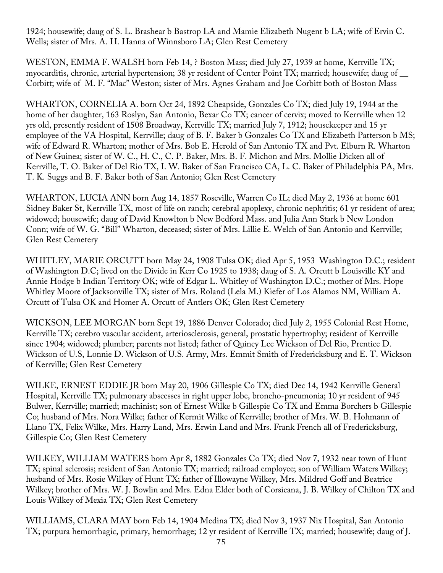1924; housewife; daug of S. L. Brashear b Bastrop LA and Mamie Elizabeth Nugent b LA; wife of Ervin C. Wells; sister of Mrs. A. H. Hanna of Winnsboro LA; Glen Rest Cemetery

WESTON, EMMA F. WALSH born Feb 14, ? Boston Mass; died July 27, 1939 at home, Kerrville TX; myocarditis, chronic, arterial hypertension; 38 yr resident of Center Point TX; married; housewife; daug of \_\_ Corbitt; wife of M. F. "Mac" Weston; sister of Mrs. Agnes Graham and Joe Corbitt both of Boston Mass

WHARTON, CORNELIA A. born Oct 24, 1892 Cheapside, Gonzales Co TX; died July 19, 1944 at the home of her daughter, 163 Roslyn, San Antonio, Bexar Co TX; cancer of cervix; moved to Kerrville when 12 yrs old, presently resident of 1508 Broadway, Kerrville TX; married July 7, 1912; housekeeper and 15 yr employee of the VA Hospital, Kerrville; daug of B. F. Baker b Gonzales Co TX and Elizabeth Patterson b MS; wife of Edward R. Wharton; mother of Mrs. Bob E. Herold of San Antonio TX and Pvt. Elburn R. Wharton of New Guinea; sister of W. C., H. C., C. P. Baker, Mrs. B. F. Michon and Mrs. Mollie Dicken all of Kerrville, T. O. Baker of Del Rio TX, I. W. Baker of San Francisco CA, L. C. Baker of Philadelphia PA, Mrs. T. K. Suggs and B. F. Baker both of San Antonio; Glen Rest Cemetery

WHARTON, LUCIA ANN born Aug 14, 1857 Roseville, Warren Co IL; died May 2, 1936 at home 601 Sidney Baker St, Kerrville TX, most of life on ranch; cerebral apoplexy, chronic nephritis; 61 yr resident of area; widowed; housewife; daug of David Knowlton b New Bedford Mass. and Julia Ann Stark b New London Conn; wife of W. G. "Bill" Wharton, deceased; sister of Mrs. Lillie E. Welch of San Antonio and Kerrville; Glen Rest Cemetery

WHITLEY, MARIE ORCUTT born May 24, 1908 Tulsa OK; died Apr 5, 1953 Washington D.C.; resident of Washington D.C; lived on the Divide in Kerr Co 1925 to 1938; daug of S. A. Orcutt b Louisville KY and Annie Hodge b Indian Territory OK; wife of Edgar L. Whitley of Washington D.C.; mother of Mrs. Hope Whitley Moore of Jacksonville TX; sister of Mrs. Roland (Lela M.) Kiefer of Los Alamos NM, William A. Orcutt of Tulsa OK and Homer A. Orcutt of Antlers OK; Glen Rest Cemetery

WICKSON, LEE MORGAN born Sept 19, 1886 Denver Colorado; died July 2, 1955 Colonial Rest Home, Kerrville TX; cerebro vascular accident, arteriosclerosis, general, prostatic hypertrophy; resident of Kerrville since 1904; widowed; plumber; parents not listed; father of Quincy Lee Wickson of Del Rio, Prentice D. Wickson of U.S, Lonnie D. Wickson of U.S. Army, Mrs. Emmit Smith of Fredericksburg and E. T. Wickson of Kerrville; Glen Rest Cemetery

WILKE, ERNEST EDDIE JR born May 20, 1906 Gillespie Co TX; died Dec 14, 1942 Kerrville General Hospital, Kerrville TX; pulmonary abscesses in right upper lobe, broncho-pneumonia; 10 yr resident of 945 Bulwer, Kerrville; married; machinist; son of Ernest Wilke b Gillespie Co TX and Emma Borchers b Gillespie Co; husband of Mrs. Nora Wilke; father of Kermit Wilke of Kerrville; brother of Mrs. W. B. Hohmann of Llano TX, Felix Wilke, Mrs. Harry Land, Mrs. Erwin Land and Mrs. Frank French all of Fredericksburg, Gillespie Co; Glen Rest Cemetery

WILKEY, WILLIAM WATERS born Apr 8, 1882 Gonzales Co TX; died Nov 7, 1932 near town of Hunt TX; spinal sclerosis; resident of San Antonio TX; married; railroad employee; son of William Waters Wilkey; husband of Mrs. Rosie Wilkey of Hunt TX; father of Illowayne Wilkey, Mrs. Mildred Goff and Beatrice Wilkey; brother of Mrs. W. J. Bowlin and Mrs. Edna Elder both of Corsicana, J. B. Wilkey of Chilton TX and Louis Wilkey of Mexia TX; Glen Rest Cemetery

WILLIAMS, CLARA MAY born Feb 14, 1904 Medina TX; died Nov 3, 1937 Nix Hospital, San Antonio TX; purpura hemorrhagic, primary, hemorrhage; 12 yr resident of Kerrville TX; married; housewife; daug of J.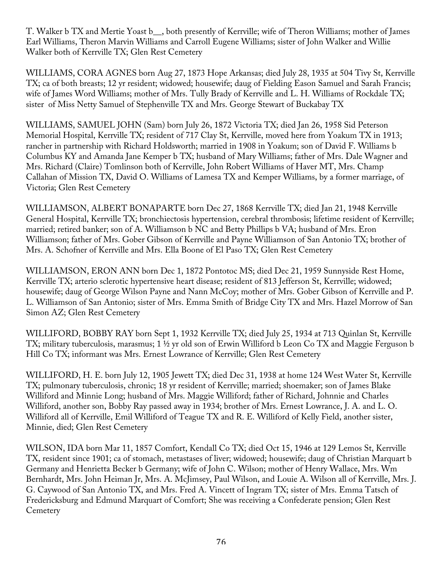T. Walker b TX and Mertie Yoast b\_\_, both presently of Kerrville; wife of Theron Williams; mother of James Earl Williams, Theron Marvin Williams and Carroll Eugene Williams; sister of John Walker and Willie Walker both of Kerrville TX; Glen Rest Cemetery

WILLIAMS, CORA AGNES born Aug 27, 1873 Hope Arkansas; died July 28, 1935 at 504 Tivy St, Kerrville TX; ca of both breasts; 12 yr resident; widowed; housewife; daug of Fielding Eason Samuel and Sarah Francis; wife of James Word Williams; mother of Mrs. Tully Brady of Kerrville and L. H. Williams of Rockdale TX; sister of Miss Netty Samuel of Stephenville TX and Mrs. George Stewart of Buckabay TX

WILLIAMS, SAMUEL JOHN (Sam) born July 26, 1872 Victoria TX; died Jan 26, 1958 Sid Peterson Memorial Hospital, Kerrville TX; resident of 717 Clay St, Kerrville, moved here from Yoakum TX in 1913; rancher in partnership with Richard Holdsworth; married in 1908 in Yoakum; son of David F. Williams b Columbus KY and Amanda Jane Kemper b TX; husband of Mary Williams; father of Mrs. Dale Wagner and Mrs. Richard (Claire) Tomlinson both of Kerrville, John Robert Williams of Haver MT, Mrs. Champ Callahan of Mission TX, David O. Williams of Lamesa TX and Kemper Williams, by a former marriage, of Victoria; Glen Rest Cemetery

WILLIAMSON, ALBERT BONAPARTE born Dec 27, 1868 Kerrville TX; died Jan 21, 1948 Kerrville General Hospital, Kerrville TX; bronchiectosis hypertension, cerebral thrombosis; lifetime resident of Kerrville; married; retired banker; son of A. Williamson b NC and Betty Phillips b VA; husband of Mrs. Eron Williamson; father of Mrs. Gober Gibson of Kerrville and Payne Williamson of San Antonio TX; brother of Mrs. A. Schofner of Kerrville and Mrs. Ella Boone of El Paso TX; Glen Rest Cemetery

WILLIAMSON, ERON ANN born Dec 1, 1872 Pontotoc MS; died Dec 21, 1959 Sunnyside Rest Home, Kerrville TX; arterio sclerotic hypertensive heart disease; resident of 813 Jefferson St, Kerrville; widowed; housewife; daug of George Wilson Payne and Nann McCoy; mother of Mrs. Gober Gibson of Kerrville and P. L. Williamson of San Antonio; sister of Mrs. Emma Smith of Bridge City TX and Mrs. Hazel Morrow of San Simon AZ; Glen Rest Cemetery

WILLIFORD, BOBBY RAY born Sept 1, 1932 Kerrville TX; died July 25, 1934 at 713 Quinlan St, Kerrville TX; military tuberculosis, marasmus; 1 ½ yr old son of Erwin Williford b Leon Co TX and Maggie Ferguson b Hill Co TX; informant was Mrs. Ernest Lowrance of Kerrville; Glen Rest Cemetery

WILLIFORD, H. E. born July 12, 1905 Jewett TX; died Dec 31, 1938 at home 124 West Water St, Kerrville TX; pulmonary tuberculosis, chronic; 18 yr resident of Kerrville; married; shoemaker; son of James Blake Williford and Minnie Long; husband of Mrs. Maggie Williford; father of Richard, Johnnie and Charles Williford, another son, Bobby Ray passed away in 1934; brother of Mrs. Ernest Lowrance, J. A. and L. O. Williford all of Kerrville, Emil Williford of Teague TX and R. E. Williford of Kelly Field, another sister, Minnie, died; Glen Rest Cemetery

WILSON, IDA born Mar 11, 1857 Comfort, Kendall Co TX; died Oct 15, 1946 at 129 Lemos St, Kerrville TX, resident since 1901; ca of stomach, metastases of liver; widowed; housewife; daug of Christian Marquart b Germany and Henrietta Becker b Germany; wife of John C. Wilson; mother of Henry Wallace, Mrs. Wm Bernhardt, Mrs. John Heiman Jr, Mrs. A. McJimsey, Paul Wilson, and Louie A. Wilson all of Kerrville, Mrs. J. G. Caywood of San Antonio TX, and Mrs. Fred A. Vincett of Ingram TX; sister of Mrs. Emma Tatsch of Fredericksburg and Edmund Marquart of Comfort; She was receiving a Confederate pension; Glen Rest **Cemetery**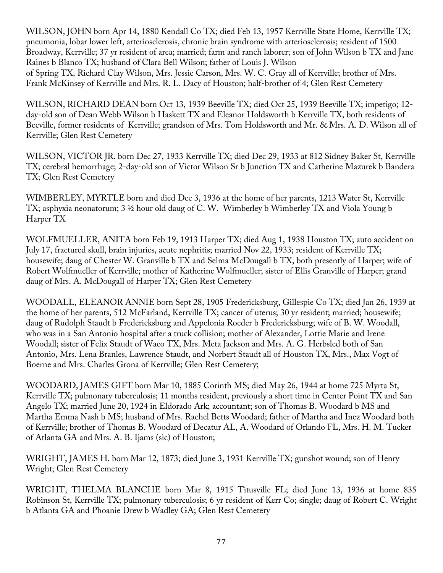WILSON, JOHN born Apr 14, 1880 Kendall Co TX; died Feb 13, 1957 Kerrville State Home, Kerrville TX; pneumonia, lobar lower left, arteriosclerosis, chronic brain syndrome with arteriosclerosis; resident of 1500 Broadway, Kerrville; 37 yr resident of area; married; farm and ranch laborer; son of John Wilson b TX and Jane Raines b Blanco TX; husband of Clara Bell Wilson; father of Louis J. Wilson of Spring TX, Richard Clay Wilson, Mrs. Jessie Carson, Mrs. W. C. Gray all of Kerrville; brother of Mrs. Frank McKinsey of Kerrville and Mrs. R. L. Dacy of Houston; half-brother of 4; Glen Rest Cemetery

WILSON, RICHARD DEAN born Oct 13, 1939 Beeville TX; died Oct 25, 1939 Beeville TX; impetigo; 12 day-old son of Dean Webb Wilson b Haskett TX and Eleanor Holdsworth b Kerrville TX, both residents of Beeville, former residents of Kerrville; grandson of Mrs. Tom Holdsworth and Mr. & Mrs. A. D. Wilson all of Kerrville; Glen Rest Cemetery

WILSON, VICTOR JR. born Dec 27, 1933 Kerrville TX; died Dec 29, 1933 at 812 Sidney Baker St, Kerrville TX; cerebral hemorrhage; 2-day-old son of Victor Wilson Sr b Junction TX and Catherine Mazurek b Bandera TX; Glen Rest Cemetery

WIMBERLEY, MYRTLE born and died Dec 3, 1936 at the home of her parents, 1213 Water St, Kerrville TX; asphyxia neonatorum; 3 ½ hour old daug of C. W. Wimberley b Wimberley TX and Viola Young b Harper TX

WOLFMUELLER, ANITA born Feb 19, 1913 Harper TX; died Aug 1, 1938 Houston TX; auto accident on July 17, fractured skull, brain injuries, acute nephritis; married Nov 22, 1933; resident of Kerrville TX; housewife; daug of Chester W. Granville b TX and Selma McDougall b TX, both presently of Harper; wife of Robert Wolfmueller of Kerrville; mother of Katherine Wolfmueller; sister of Ellis Granville of Harper; grand daug of Mrs. A. McDougall of Harper TX; Glen Rest Cemetery

WOODALL, ELEANOR ANNIE born Sept 28, 1905 Fredericksburg, Gillespie Co TX; died Jan 26, 1939 at the home of her parents, 512 McFarland, Kerrville TX; cancer of uterus; 30 yr resident; married; housewife; daug of Rudolph Staudt b Fredericksburg and Appelonia Roeder b Fredericksburg; wife of B. W. Woodall, who was in a San Antonio hospital after a truck collision; mother of Alexander, Lottie Marie and Irene Woodall; sister of Felix Staudt of Waco TX, Mrs. Meta Jackson and Mrs. A. G. Herbsled both of San Antonio, Mrs. Lena Branles, Lawrence Staudt, and Norbert Staudt all of Houston TX, Mrs., Max Vogt of Boerne and Mrs. Charles Grona of Kerrville; Glen Rest Cemetery;

WOODARD, JAMES GIFT born Mar 10, 1885 Corinth MS; died May 26, 1944 at home 725 Myrta St, Kerrville TX; pulmonary tuberculosis; 11 months resident, previously a short time in Center Point TX and San Angelo TX; married June 20, 1924 in Eldorado Ark; accountant; son of Thomas B. Woodard b MS and Martha Emma Nash b MS; husband of Mrs. Rachel Betts Woodard; father of Martha and Inez Woodard both of Kerrville; brother of Thomas B. Woodard of Decatur AL, A. Woodard of Orlando FL, Mrs. H. M. Tucker of Atlanta GA and Mrs. A. B. Ijams (sic) of Houston;

WRIGHT, JAMES H. born Mar 12, 1873; died June 3, 1931 Kerrville TX; gunshot wound; son of Henry Wright; Glen Rest Cemetery

WRIGHT, THELMA BLANCHE born Mar 8, 1915 Titusville FL; died June 13, 1936 at home 835 Robinson St, Kerrville TX; pulmonary tuberculosis; 6 yr resident of Kerr Co; single; daug of Robert C. Wright b Atlanta GA and Phoanie Drew b Wadley GA; Glen Rest Cemetery